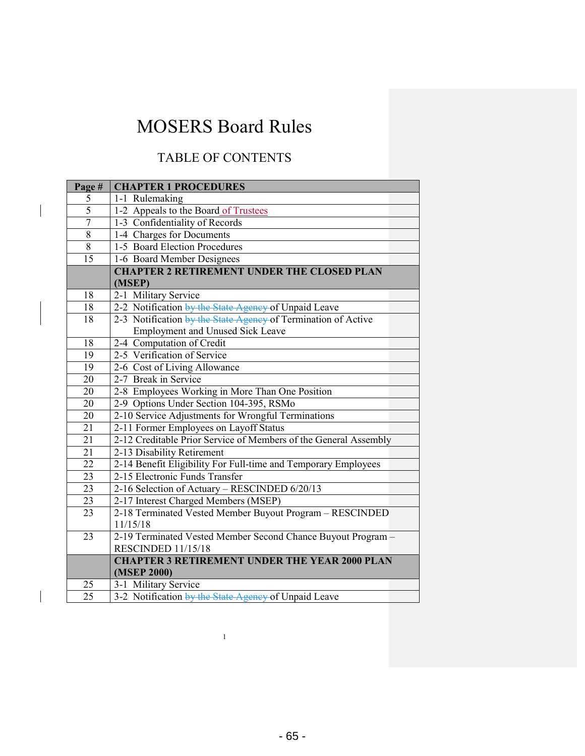### TABLE OF CONTENTS

| Page#               | <b>CHAPTER 1 PROCEDURES</b>                                      |
|---------------------|------------------------------------------------------------------|
|                     |                                                                  |
| 5<br>$\overline{5}$ | 1-1 Rulemaking                                                   |
|                     | 1-2 Appeals to the Board of Trustees                             |
| $\overline{7}$      | 1-3 Confidentiality of Records                                   |
| $\overline{8}$      | 1-4 Charges for Documents                                        |
| $\overline{8}$      | 1-5 Board Election Procedures                                    |
| 15                  | 1-6 Board Member Designees                                       |
|                     | <b>CHAPTER 2 RETIREMENT UNDER THE CLOSED PLAN</b>                |
|                     | (MSEP)                                                           |
| 18                  | 2-1 Military Service                                             |
| 18                  | 2-2 Notification by the State Agency of Unpaid Leave             |
| 18                  | 2-3 Notification by the State Agency of Termination of Active    |
|                     | Employment and Unused Sick Leave                                 |
| 18                  | 2-4 Computation of Credit                                        |
| 19                  | 2-5 Verification of Service                                      |
| 19                  | 2-6 Cost of Living Allowance                                     |
| 20                  | 2-7 Break in Service                                             |
| 20                  | 2-8 Employees Working in More Than One Position                  |
| 20                  | 2-9 Options Under Section 104-395, RSMo                          |
| 20                  | 2-10 Service Adjustments for Wrongful Terminations               |
| 21                  | 2-11 Former Employees on Layoff Status                           |
| 21                  | 2-12 Creditable Prior Service of Members of the General Assembly |
| 21                  | 2-13 Disability Retirement                                       |
| 22                  | 2-14 Benefit Eligibility For Full-time and Temporary Employees   |
| 23                  | 2-15 Electronic Funds Transfer                                   |
| $\overline{23}$     | 2-16 Selection of Actuary - RESCINDED 6/20/13                    |
| 23                  | 2-17 Interest Charged Members (MSEP)                             |
| 23                  | 2-18 Terminated Vested Member Buyout Program - RESCINDED         |
|                     | 11/15/18                                                         |
| 23                  | 2-19 Terminated Vested Member Second Chance Buyout Program -     |
|                     | RESCINDED 11/15/18                                               |
|                     | <b>CHAPTER 3 RETIREMENT UNDER THE YEAR 2000 PLAN</b>             |
|                     | (MSEP 2000)                                                      |
| 25                  | 3-1 Military Service                                             |
| 25                  | 3-2 Notification by the State Agency of Unpaid Leave             |
|                     |                                                                  |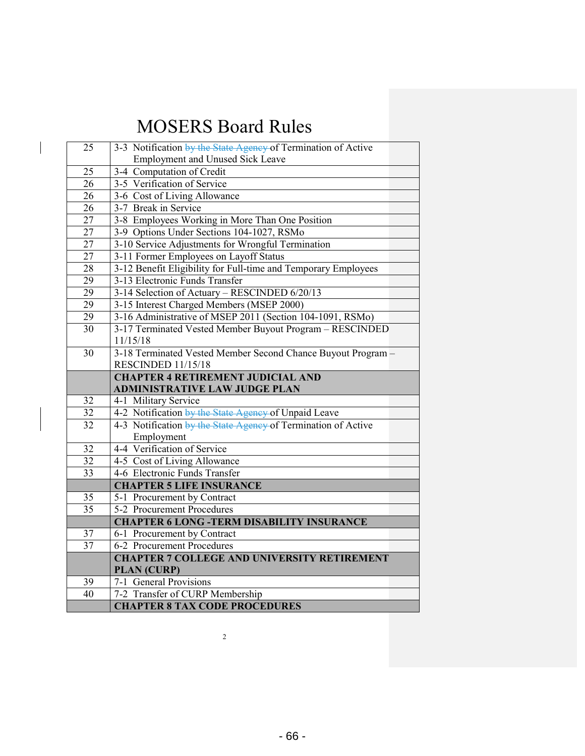$\overline{\phantom{a}}$ 

| 25              | 3-3 Notification by the State Agency of Termination of Active           |
|-----------------|-------------------------------------------------------------------------|
|                 | Employment and Unused Sick Leave                                        |
| 25              | 3-4 Computation of Credit                                               |
| $\overline{26}$ | 3-5 Verification of Service                                             |
| 26              | 3-6 Cost of Living Allowance                                            |
| 26              | 3-7 Break in Service                                                    |
| 27              | 3-8 Employees Working in More Than One Position                         |
| $\overline{27}$ | 3-9 Options Under Sections 104-1027, RSMo                               |
| 27              | 3-10 Service Adjustments for Wrongful Termination                       |
| 27              | 3-11 Former Employees on Layoff Status                                  |
| 28              | 3-12 Benefit Eligibility for Full-time and Temporary Employees          |
| 29              | 3-13 Electronic Funds Transfer                                          |
| $\overline{29}$ | 3-14 Selection of Actuary - RESCINDED 6/20/13                           |
| 29              | 3-15 Interest Charged Members (MSEP 2000)                               |
| 29              | 3-16 Administrative of MSEP 2011 (Section 104-1091, RSMo)               |
| 30              | 3-17 Terminated Vested Member Buyout Program - RESCINDED                |
|                 | 11/15/18                                                                |
| 30              | 3-18 Terminated Vested Member Second Chance Buyout Program -            |
|                 | RESCINDED 11/15/18                                                      |
|                 | <b>CHAPTER 4 RETIREMENT JUDICIAL AND</b>                                |
|                 |                                                                         |
|                 | <b>ADMINISTRATIVE LAW JUDGE PLAN</b>                                    |
| 32              | 4-1 Military Service                                                    |
| $\overline{32}$ | 4-2 Notification by the State Agency of Unpaid Leave                    |
| 32              | 4-3 Notification by the State Agency of Termination of Active           |
|                 | Employment                                                              |
| 32              | 4-4 Verification of Service                                             |
| 32              | 4-5 Cost of Living Allowance                                            |
| $\overline{33}$ | 4-6 Electronic Funds Transfer                                           |
|                 | <b>CHAPTER 5 LIFE INSURANCE</b>                                         |
| 35              | 5-1 Procurement by Contract                                             |
| 35              | 5-2 Procurement Procedures                                              |
|                 | <b>CHAPTER 6 LONG -TERM DISABILITY INSURANCE</b>                        |
| 37              | 6-1 Procurement by Contract                                             |
| 37              | 6-2 Procurement Procedures                                              |
|                 | <b>CHAPTER 7 COLLEGE AND UNIVERSITY RETIREMENT</b>                      |
|                 | <b>PLAN (CURP)</b>                                                      |
| 39              | 7-1 General Provisions                                                  |
| 40              | 7-2 Transfer of CURP Membership<br><b>CHAPTER 8 TAX CODE PROCEDURES</b> |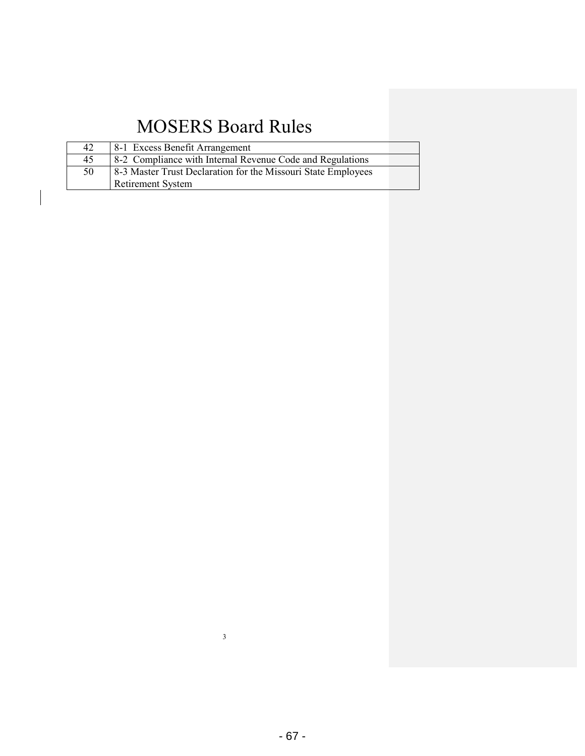| 42 | 8-1 Excess Benefit Arrangement                                |
|----|---------------------------------------------------------------|
| 45 | 8-2 Compliance with Internal Revenue Code and Regulations     |
| 50 | 8-3 Master Trust Declaration for the Missouri State Employees |
|    | Retirement System                                             |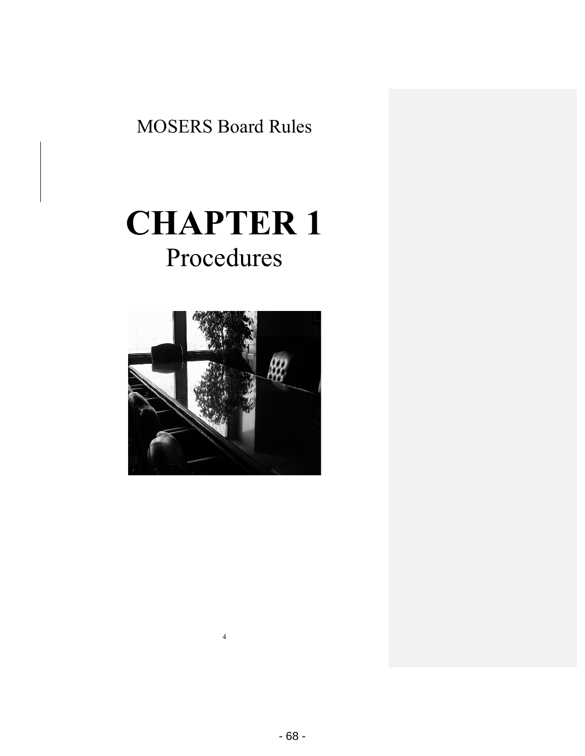# **CHAPTER 1** Procedures

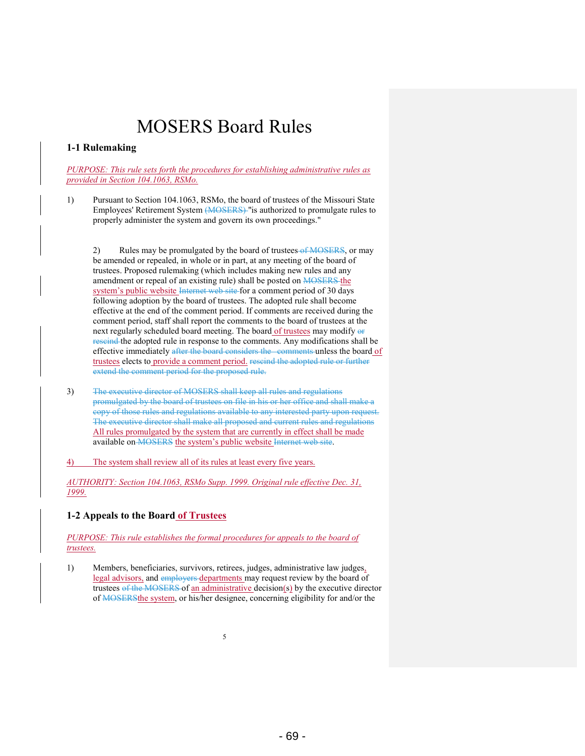#### **1-1 Rulemaking**

*PURPOSE: This rule sets forth the procedures for establishing administrative rules as provided in Section 104.1063, RSMo.* 

1) Pursuant to Section 104.1063, RSMo, the board of trustees of the Missouri State Employees' Retirement System (MOSERS) "is authorized to promulgate rules to properly administer the system and govern its own proceedings."

2) Rules may be promulgated by the board of trustees-of MOSERS, or may be amended or repealed, in whole or in part, at any meeting of the board of trustees. Proposed rulemaking (which includes making new rules and any amendment or repeal of an existing rule) shall be posted on **MOSERS** the system's public website Internet web site for a comment period of 30 days following adoption by the board of trustees. The adopted rule shall become effective at the end of the comment period. If comments are received during the comment period, staff shall report the comments to the board of trustees at the next regularly scheduled board meeting. The board of trustees may modify or rescind the adopted rule in response to the comments. Any modifications shall be effective immediately after the board considers the comments unless the board of trustees elects to provide a comment period. rescind the adopted rule or further extend the comment period for the proposed rule.

3) The executive director of MOSERS shall keep all rules and regulations promulgated by the board of trustees on file in his or her office and shall make a copy of those rules and regulations available to any interested party upon request. The executive director shall make all proposed and current rules and regulations All rules promulgated by the system that are currently in effect shall be made available on MOSERS the system's public website Internet web site.

4) The system shall review all of its rules at least every five years.

*AUTHORITY: Section 104.1063, RSMo Supp. 1999. Original rule effective Dec. 31, 1999.* 

#### **1-2 Appeals to the Board of Trustees**

*PURPOSE: This rule establishes the formal procedures for appeals to the board of trustees.* 

1) Members, beneficiaries, survivors, retirees, judges, administrative law judges, legal advisors, and employers departments may request review by the board of trustees of the MOSERS of an administrative decision(s) by the executive director of MOSERSthe system, or his/her designee, concerning eligibility for and/or the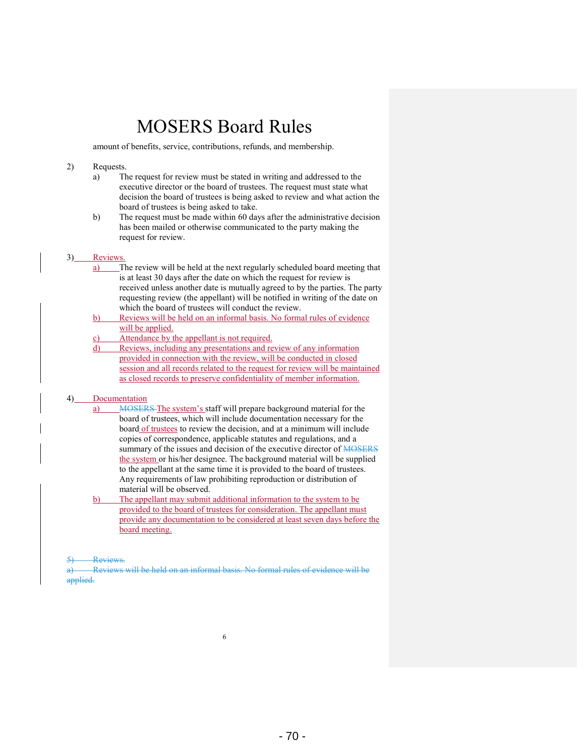amount of benefits, service, contributions, refunds, and membership.

#### 2) Requests.

- a) The request for review must be stated in writing and addressed to the executive director or the board of trustees. The request must state what decision the board of trustees is being asked to review and what action the board of trustees is being asked to take.
- b) The request must be made within 60 days after the administrative decision has been mailed or otherwise communicated to the party making the request for review.

#### 3) Reviews.

- a) The review will be held at the next regularly scheduled board meeting that is at least 30 days after the date on which the request for review is received unless another date is mutually agreed to by the parties. The party requesting review (the appellant) will be notified in writing of the date on which the board of trustees will conduct the review.
- b) Reviews will be held on an informal basis. No formal rules of evidence will be applied.
- c) Attendance by the appellant is not required.
- d) Reviews, including any presentations and review of any information provided in connection with the review, will be conducted in closed session and all records related to the request for review will be maintained as closed records to preserve confidentiality of member information.

#### 4) Documentation

- a) MOSERS The system's staff will prepare background material for the board of trustees, which will include documentation necessary for the board of trustees to review the decision, and at a minimum will include copies of correspondence, applicable statutes and regulations, and a summary of the issues and decision of the executive director of MOSERS the system or his/her designee. The background material will be supplied to the appellant at the same time it is provided to the board of trustees. Any requirements of law prohibiting reproduction or distribution of material will be observed.
- b) The appellant may submit additional information to the system to be provided to the board of trustees for consideration. The appellant must provide any documentation to be considered at least seven days before the board meeting.

5) Reviews.

Reviews will be held on an informal basis. No formal rules of evidence will be applied.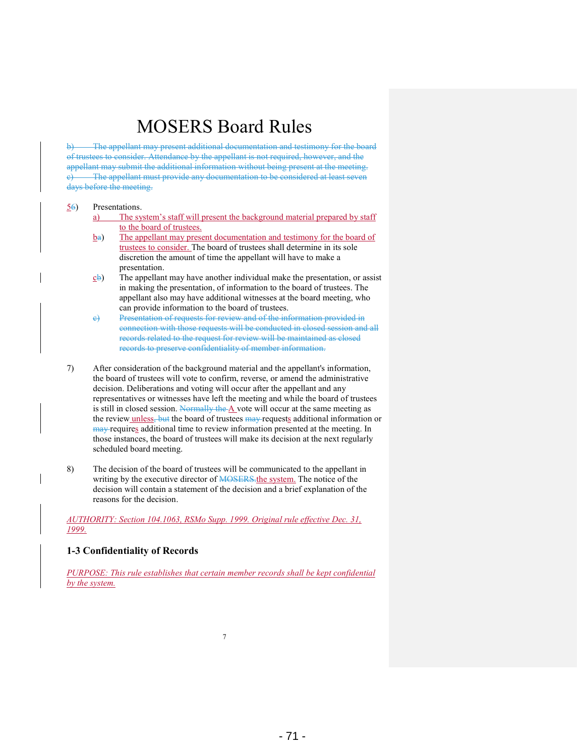b) The appellant may present additional documentation and testimony for the board of trustees to consider. Attendance by the appellant is not required, however, and the appellant may submit the additional information without being present at the meeting. The appellant must provide any documentation to be considered at least seven days before the meeting.

#### 56) Presentations.

- a) The system's staff will present the background material prepared by staff to the board of trustees.
- $b<sub>θ</sub>$ ) The appellant may present documentation and testimony for the board of trustees to consider. The board of trustees shall determine in its sole discretion the amount of time the appellant will have to make a presentation.
- $c<sub>b</sub>$ ) The appellant may have another individual make the presentation, or assist in making the presentation, of information to the board of trustees. The appellant also may have additional witnesses at the board meeting, who can provide information to the board of trustees.
- c) Presentation of requests for review and of the information provided in connection with those requests will be conducted in closed session and all records related to the request for review will be maintained as closed records to preserve confidentiality of member information.
- 7) After consideration of the background material and the appellant's information, the board of trustees will vote to confirm, reverse, or amend the administrative decision. Deliberations and voting will occur after the appellant and any representatives or witnesses have left the meeting and while the board of trustees is still in closed session. Normally the A vote will occur at the same meeting as the review unless, but the board of trustees may requests additional information or may requires additional time to review information presented at the meeting. In those instances, the board of trustees will make its decision at the next regularly scheduled board meeting.
- 8) The decision of the board of trustees will be communicated to the appellant in writing by the executive director of MOSERS. the system. The notice of the decision will contain a statement of the decision and a brief explanation of the reasons for the decision.

*AUTHORITY: Section 104.1063, RSMo Supp. 1999. Original rule effective Dec. 31, 1999.* 

#### **1-3 Confidentiality of Records**

*PURPOSE: This rule establishes that certain member records shall be kept confidential by the system.*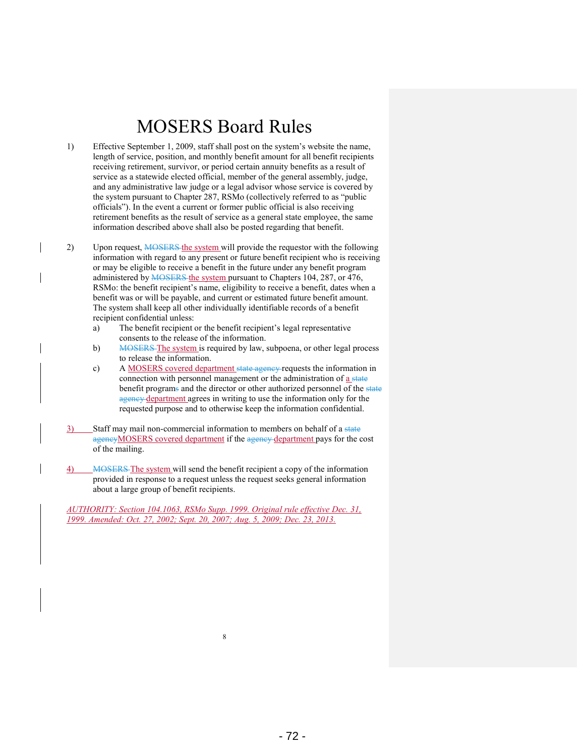- 1) Effective September 1, 2009, staff shall post on the system's website the name, length of service, position, and monthly benefit amount for all benefit recipients receiving retirement, survivor, or period certain annuity benefits as a result of service as a statewide elected official, member of the general assembly, judge, and any administrative law judge or a legal advisor whose service is covered by the system pursuant to Chapter 287, RSMo (collectively referred to as "public officials"). In the event a current or former public official is also receiving retirement benefits as the result of service as a general state employee, the same information described above shall also be posted regarding that benefit.
- 2) Upon request, MOSERS the system will provide the requestor with the following information with regard to any present or future benefit recipient who is receiving or may be eligible to receive a benefit in the future under any benefit program administered by **MOSERS** the system pursuant to Chapters 104, 287, or 476, RSMo: the benefit recipient's name, eligibility to receive a benefit, dates when a benefit was or will be payable, and current or estimated future benefit amount. The system shall keep all other individually identifiable records of a benefit recipient confidential unless:
	- a) The benefit recipient or the benefit recipient's legal representative consents to the release of the information.
	- b) MOSERS The system is required by law, subpoena, or other legal process to release the information.
	- c) A MOSERS covered department state agency requests the information in connection with personnel management or the administration of a state benefit programs and the director or other authorized personnel of the state agency department agrees in writing to use the information only for the requested purpose and to otherwise keep the information confidential.
- 3) Staff may mail non-commercial information to members on behalf of a state agencyMOSERS covered department if the agency department pays for the cost of the mailing.
- 4) MOSERS The system will send the benefit recipient a copy of the information provided in response to a request unless the request seeks general information about a large group of benefit recipients.

*AUTHORITY: Section 104.1063, RSMo Supp. 1999. Original rule effective Dec. 31, 1999. Amended: Oct. 27, 2002; Sept. 20, 2007; Aug. 5, 2009; Dec. 23, 2013.*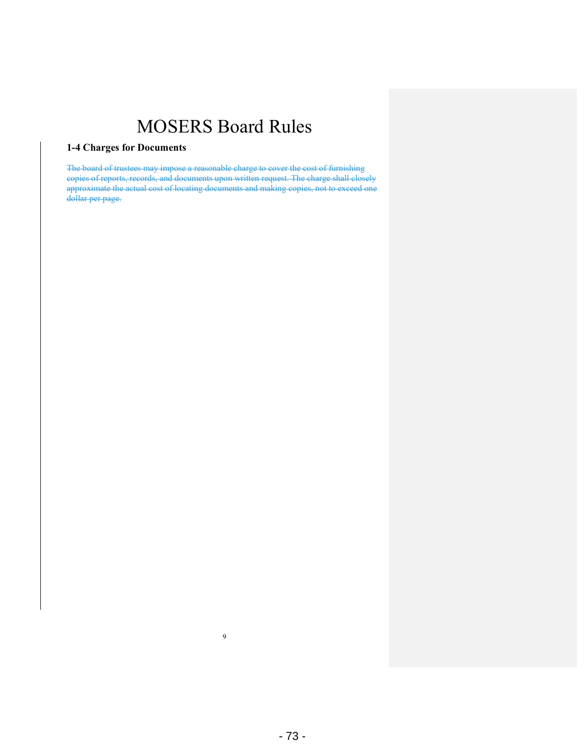### **1-4 Charges for Documents**

The board of trustees may impose a reasonable charge to cover the cost of furnishing copies of reports, records, and documents upon written request. The charge shall closely approximate the actual cost of locating documents and making copies, not to exceed one dollar per page.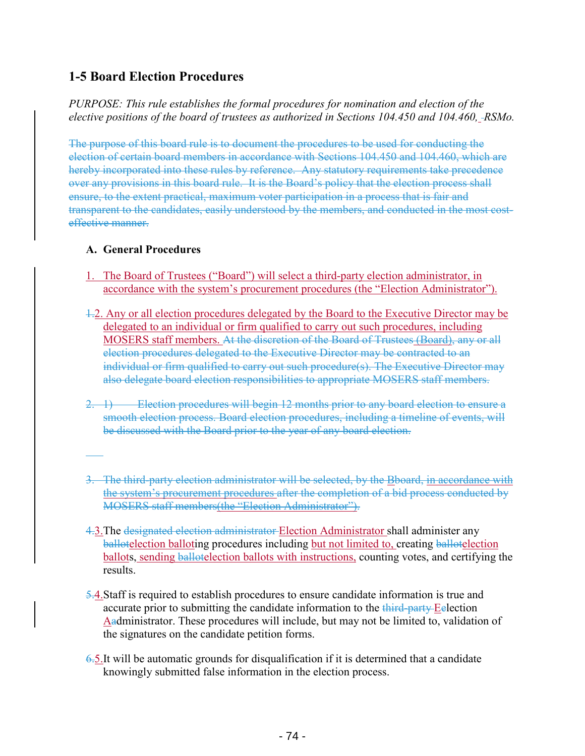### **1-5 Board Election Procedures**

*PURPOSE: This rule establishes the formal procedures for nomination and election of the elective positions of the board of trustees as authorized in Sections 104.450 and 104.460, RSMo.* 

The purpose of this board rule is to document the procedures to be used for conducting the election of certain board members in accordance with Sections 104.450 and 104.460, which are hereby incorporated into these rules by reference. Any statutory requirements take precedence over any provisions in this board rule. It is the Board's policy that the election process shall ensure, to the extent practical, maximum voter participation in a process that is fair and transparent to the candidates, easily understood by the members, and conducted in the most costeffective manner.

### **A. General Procedures**

- 1. The Board of Trustees ("Board") will select a third-party election administrator, in accordance with the system's procurement procedures (the "Election Administrator").
- 1.2. Any or all election procedures delegated by the Board to the Executive Director may be delegated to an individual or firm qualified to carry out such procedures, including MOSERS staff members. At the discretion of the Board of Trustees (Board), any or all election procedures delegated to the Executive Director may be contracted to an individual or firm qualified to carry out such procedure(s). The Executive Director may also delegate board election responsibilities to appropriate MOSERS staff members.
- 2. 1) Election procedures will begin 12 months prior to any board election to ensure a smooth election process. Board election procedures, including a timeline of events, will be discussed with the Board prior to the year of any board election.
- 3. The third-party election administrator will be selected, by the Bboard, in accordance with the system's procurement procedures after the completion of a bid process conducted by MOSERS staff members(the "Election Administrator").
- 4.3.The designated election administrator Election Administrator shall administer any ballotelection balloting procedures including but not limited to, creating ballotelection ballots, sending ballotelection ballots with instructions, counting votes, and certifying the results.
- 5.4.Staff is required to establish procedures to ensure candidate information is true and accurate prior to submitting the candidate information to the third-party-Eelection Aadministrator. These procedures will include, but may not be limited to, validation of the signatures on the candidate petition forms.
- 6.5.It will be automatic grounds for disqualification if it is determined that a candidate knowingly submitted false information in the election process.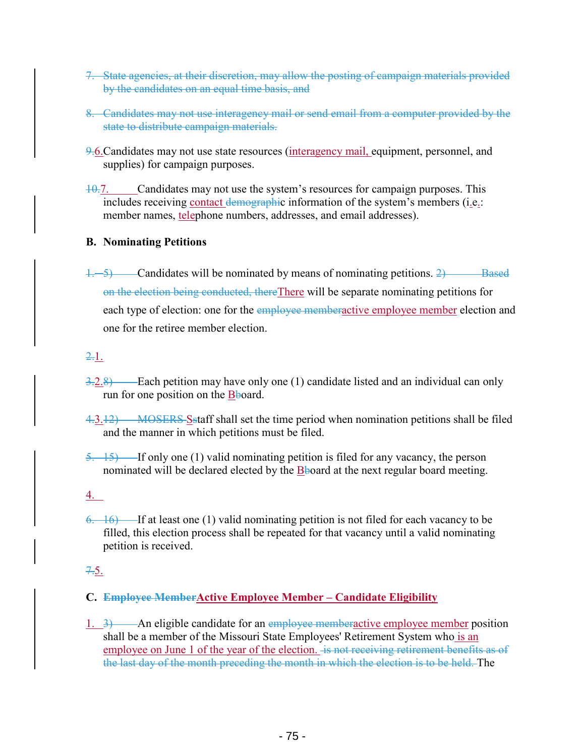- 7. State agencies, at their discretion, may allow the posting of campaign materials provided by the candidates on an equal time basis, and
- 8. Candidates may not use interagency mail or send email from a computer provided by the state to distribute campaign materials.
- 9.6.Candidates may not use state resources (interagency mail, equipment, personnel, and supplies) for campaign purposes.
- $10.7.$  Candidates may not use the system's resources for campaign purposes. This includes receiving contact demographic information of the system's members (i.e.: member names, telephone numbers, addresses, and email addresses).

### **B. Nominating Petitions**

 $\frac{1}{2}$  Candidates will be nominated by means of nominating petitions. 2) Based on the election being conducted, thereThere will be separate nominating petitions for each type of election: one for the employee memberactive employee member election and one for the retiree member election.

### 2.1.

- $3.2.8$  Each petition may have only one (1) candidate listed and an individual can only run for one position on the Bboard.
- $4.3.12$  MOSERS S staff shall set the time period when nomination petitions shall be filed and the manner in which petitions must be filed.
- $5. \quad 15$ ) If only one (1) valid nominating petition is filed for any vacancy, the person nominated will be declared elected by the  $\overline{B}$ board at the next regular board meeting.

### 4.

 $6. 16$  If at least one (1) valid nominating petition is not filed for each vacancy to be filled, this election process shall be repeated for that vacancy until a valid nominating petition is received.

### $7.5.$

### **C. Employee MemberActive Employee Member – Candidate Eligibility**

1.  $3$ ) — An eligible candidate for an employee memberactive employee member position shall be a member of the Missouri State Employees' Retirement System who is an employee on June 1 of the year of the election. is not receiving retirement benefits as of the last day of the month preceding the month in which the election is to be held. The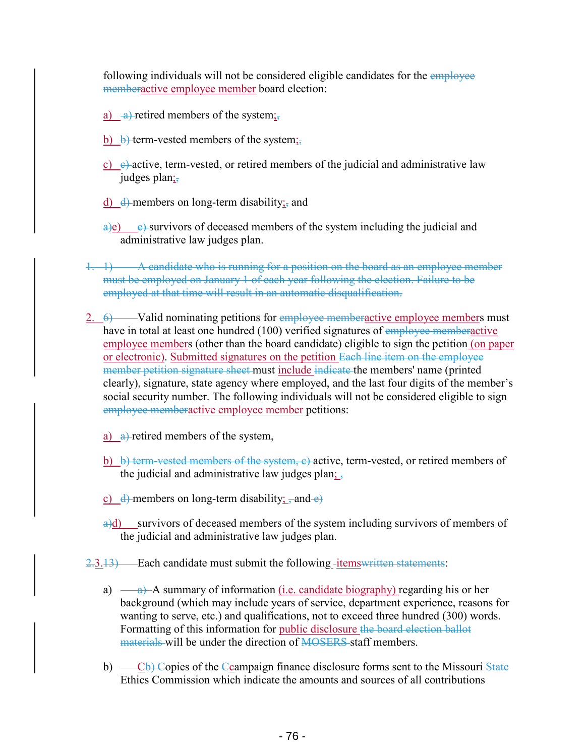following individuals will not be considered eligible candidates for the *employee* memberactive employee member board election:

- a)  $\rightarrow$  retired members of the system;
- b)  $\theta$  term-vested members of the system;
- c)  $\leftrightarrow$  active, term-vested, or retired members of the judicial and administrative law judges plan;
- $\frac{d}{dt}$  members on long-term disability<sub>is</sub> and
- $\alpha$ ) e) survivors of deceased members of the system including the judicial and administrative law judges plan.
- 1. 1) A candidate who is running for a position on the board as an employee member must be employed on January 1 of each year following the election. Failure to be employed at that time will result in an automatic disqualification.
- $\frac{2.6}{2.6}$  Valid nominating petitions for employee memberactive employee members must have in total at least one hundred (100) verified signatures of employee memberactive employee members (other than the board candidate) eligible to sign the petition (on paper or electronic). Submitted signatures on the petition Each line item on the employee member petition signature sheet must include indicate the members' name (printed clearly), signature, state agency where employed, and the last four digits of the member's social security number. The following individuals will not be considered eligible to sign employee memberactive employee member petitions:
	- a) a)-retired members of the system,
	- b) b) term-vested members of the system,  $e$ )-active, term-vested, or retired members of the judicial and administrative law judges plan;  $\frac{1}{2}$
	- c)  $\frac{d}{dx}$  members on long-term disability; and  $\frac{d}{dx}$
	- a)d) survivors of deceased members of the system including survivors of members of the judicial and administrative law judges plan.
- $2.3.13$  Each candidate must submit the following -items written statements:
	- a)  $\frac{a}{a}$  A summary of information <u>(i.e. candidate biography</u>) regarding his or her background (which may include years of service, department experience, reasons for wanting to serve, etc.) and qualifications, not to exceed three hundred (300) words. Formatting of this information for public disclosure the board election ballot materials will be under the direction of MOSERS staff members.
	- b)  $\left(-\text{Cb}\right)$  Copies of the Ccampaign finance disclosure forms sent to the Missouri State Ethics Commission which indicate the amounts and sources of all contributions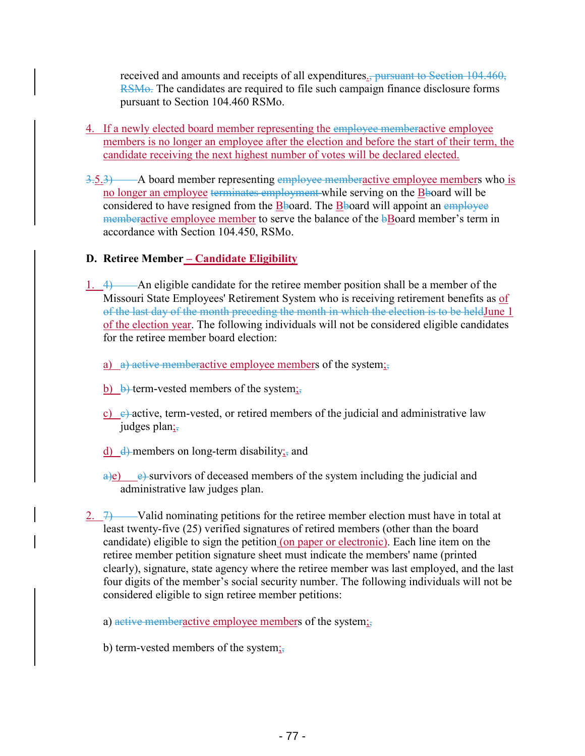received and amounts and receipts of all expenditures., pursuant to Section 104.460, RSMo. The candidates are required to file such campaign finance disclosure forms pursuant to Section 104.460 RSMo.

- 4. If a newly elected board member representing the employee memberactive employee members is no longer an employee after the election and before the start of their term, the candidate receiving the next highest number of votes will be declared elected.
- $3.5.3$   $\rightarrow$  A board member representing employee memberactive employee members who is no longer an employee terminates employment while serving on the **B**board will be considered to have resigned from the Bboard. The Bboard will appoint an employee memberactive employee member to serve the balance of the **bBoard member's term** in accordance with Section 104.450, RSMo.

### **D. Retiree Member – Candidate Eligibility**

- 1.  $\leftrightarrow$  An eligible candidate for the retiree member position shall be a member of the Missouri State Employees' Retirement System who is receiving retirement benefits as of of the last day of the month preceding the month in which the election is to be heldJune 1 of the election year. The following individuals will not be considered eligible candidates for the retiree member board election:
	- a) a) active memberactive employee members of the system;
	- b)  $\theta$  term-vested members of the system;
	- c)  $\leftrightarrow$  active, term-vested, or retired members of the judicial and administrative law judges plan;
	- $\frac{d}{dt}$  members on long-term disability<sub>is</sub> and
	- $\frac{a}{e}$  e) survivors of deceased members of the system including the judicial and administrative law judges plan.
- 2.  $\rightarrow$  Valid nominating petitions for the retiree member election must have in total at least twenty-five (25) verified signatures of retired members (other than the board candidate) eligible to sign the petition (on paper or electronic). Each line item on the retiree member petition signature sheet must indicate the members' name (printed clearly), signature, state agency where the retiree member was last employed, and the last four digits of the member's social security number. The following individuals will not be considered eligible to sign retiree member petitions:
	- a) active memberactive employee members of the system;
	- b) term-vested members of the system $\frac{1}{2}$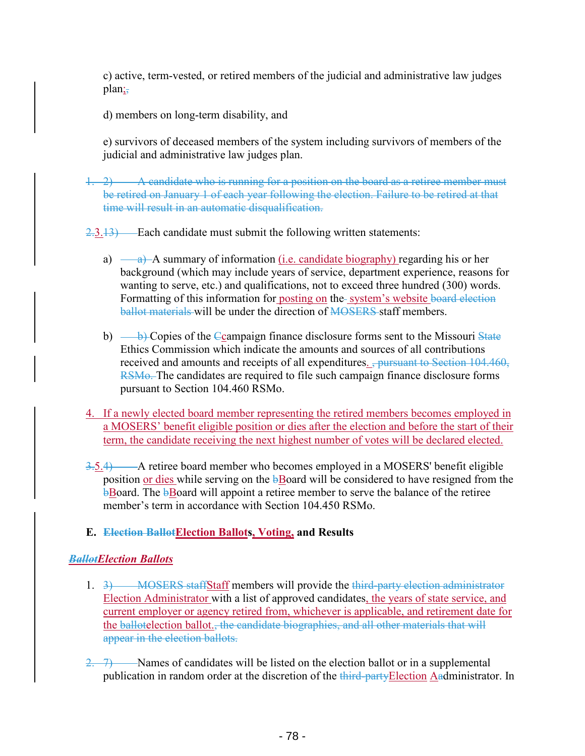c) active, term-vested, or retired members of the judicial and administrative law judges plan;,

d) members on long-term disability, and

e) survivors of deceased members of the system including survivors of members of the judicial and administrative law judges plan.

1. 2) A candidate who is running for a position on the board as a retiree member must be retired on January 1 of each year following the election. Failure to be retired at that time will result in an automatic disqualification.

 $2.3.13$  Each candidate must submit the following written statements:

- a)  $\rightarrow$  A summary of information (i.e. candidate biography) regarding his or her background (which may include years of service, department experience, reasons for wanting to serve, etc.) and qualifications, not to exceed three hundred (300) words. Formatting of this information for posting on the system's website board election ballot materials will be under the direction of MOSERS staff members.
- b)  $\rightarrow$  Copies of the Ccampaign finance disclosure forms sent to the Missouri State Ethics Commission which indicate the amounts and sources of all contributions received and amounts and receipts of all expenditures. <del>, pursuant to Section 104.460,</del> RSMo. The candidates are required to file such campaign finance disclosure forms pursuant to Section 104.460 RSMo.
- 4. If a newly elected board member representing the retired members becomes employed in a MOSERS' benefit eligible position or dies after the election and before the start of their term, the candidate receiving the next highest number of votes will be declared elected.
- $3.5.4$  A retiree board member who becomes employed in a MOSERS' benefit eligible position or dies while serving on the **bBoard** will be considered to have resigned from the **bBoard.** The **bBoard** will appoint a retiree member to serve the balance of the retiree member's term in accordance with Section 104.450 RSMo.
- **E. Election BallotElection Ballots, Voting, and Results**

### *BallotElection Ballots*

- 1. 3) MOSERS staffStaff members will provide the third-party election administrator Election Administrator with a list of approved candidates, the years of state service, and current employer or agency retired from, whichever is applicable, and retirement date for the ballotelection ballot., the candidate biographies, and all other materials that will appear in the election ballots.
- $2. 7$  Names of candidates will be listed on the election ballot or in a supplemental publication in random order at the discretion of the third-party Election Aadministrator. In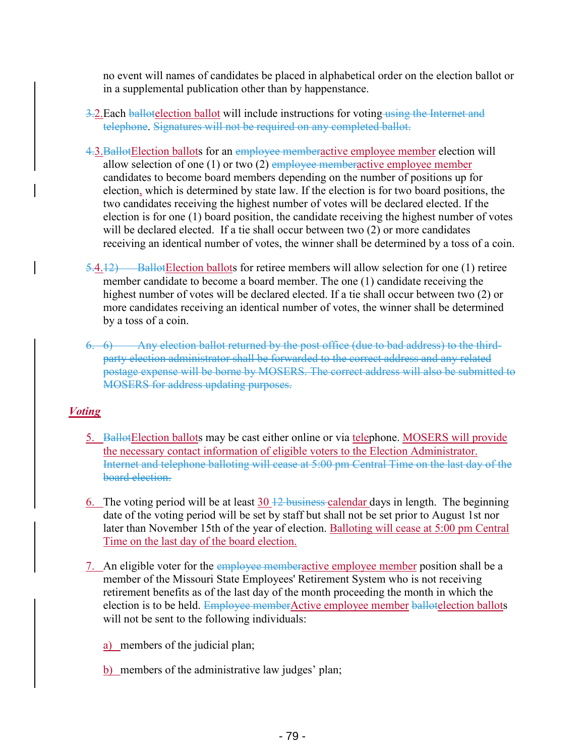no event will names of candidates be placed in alphabetical order on the election ballot or in a supplemental publication other than by happenstance.

- 3. Each ballotelection ballot will include instructions for voting using the Internet and telephone. Signatures will not be required on any completed ballot.
- 4.3.BallotElection ballots for an employee memberactive employee member election will allow selection of one  $(1)$  or two  $(2)$  employee memberactive employee member candidates to become board members depending on the number of positions up for election, which is determined by state law. If the election is for two board positions, the two candidates receiving the highest number of votes will be declared elected. If the election is for one (1) board position, the candidate receiving the highest number of votes will be declared elected. If a tie shall occur between two (2) or more candidates receiving an identical number of votes, the winner shall be determined by a toss of a coin.
- 5.4.12) BallotElection ballots for retiree members will allow selection for one (1) retiree member candidate to become a board member. The one (1) candidate receiving the highest number of votes will be declared elected. If a tie shall occur between two (2) or more candidates receiving an identical number of votes, the winner shall be determined by a toss of a coin.
- 6. 6) Any election ballot returned by the post office (due to bad address) to the thirdparty election administrator shall be forwarded to the correct address and any related postage expense will be borne by MOSERS. The correct address will also be submitted to MOSERS for address updating purposes.

### *Voting*

- 5. BallotElection ballots may be cast either online or via telephone. MOSERS will provide the necessary contact information of eligible voters to the Election Administrator. Internet and telephone balloting will cease at 5:00 pm Central Time on the last day of the board election.
- 6. The voting period will be at least  $30 + 2$  business calendar days in length. The beginning date of the voting period will be set by staff but shall not be set prior to August 1st nor later than November 15th of the year of election. Balloting will cease at 5:00 pm Central Time on the last day of the board election.
- 7. An eligible voter for the employee memberactive employee member position shall be a member of the Missouri State Employees' Retirement System who is not receiving retirement benefits as of the last day of the month proceeding the month in which the election is to be held. Employee memberActive employee member ballotelection ballots will not be sent to the following individuals:

a) members of the judicial plan;

b) members of the administrative law judges' plan;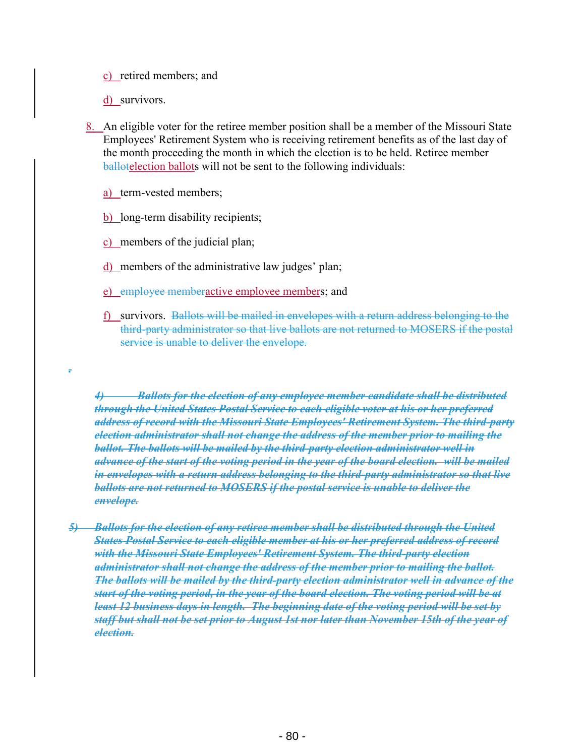c) retired members; and

d) survivors.

*.* 

- 8. An eligible voter for the retiree member position shall be a member of the Missouri State Employees' Retirement System who is receiving retirement benefits as of the last day of the month proceeding the month in which the election is to be held. Retiree member ballotelection ballots will not be sent to the following individuals:
	- a) term-vested members;
	- b) long-term disability recipients;
	- c) members of the judicial plan;
	- d) members of the administrative law judges' plan;
	- e) employee memberactive employee members; and
	- f) survivors. Ballots will be mailed in envelopes with a return address belonging to the third-party administrator so that live ballots are not returned to MOSERS if the postal service is unable to deliver the envelope.

*4) Ballots for the election of any employee member candidate shall be distributed through the United States Postal Service to each eligible voter at his or her preferred address of record with the Missouri State Employees' Retirement System. The third-party election administrator shall not change the address of the member prior to mailing the ballot. The ballots will be mailed by the third-party election administrator well in advance of the start of the voting period in the year of the board election. will be mailed in envelopes with a return address belonging to the third-party administrator so that live ballots are not returned to MOSERS if the postal service is unable to deliver the envelope.* 

*5) Ballots for the election of any retiree member shall be distributed through the United States Postal Service to each eligible member at his or her preferred address of record with the Missouri State Employees' Retirement System. The third-party election administrator shall not change the address of the member prior to mailing the ballot. The ballots will be mailed by the third-party election administrator well in advance of the start of the voting period, in the year of the board election. The voting period will be at least 12 business days in length. The beginning date of the voting period will be set by staff but shall not be set prior to August 1st nor later than November 15th of the year of election.*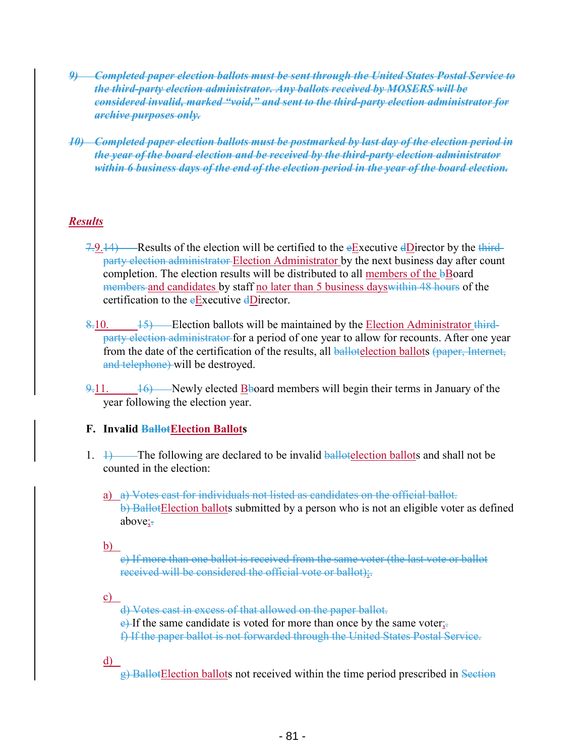- *9) Completed paper election ballots must be sent through the United States Postal Service to the third-party election administrator. Any ballots received by MOSERS will be considered invalid, marked "void," and sent to the third-party election administrator for archive purposes only.*
- *10) Completed paper election ballots must be postmarked by last day of the election period in the year of the board election and be received by the third-party election administrator within 6 business days of the end of the election period in the year of the board election.*

### *Results*

- 7.9.14) Results of the election will be certified to the eExecutive dDirector by the thirdparty election administrator Election Administrator by the next business day after count completion. The election results will be distributed to all members of the **b**Board members and candidates by staff no later than 5 business days within 48 hours of the certification to the eExecutive dDirector.
- $8-10.$  15) Election ballots will be maintained by the Election Administrator thirdparty election administrator for a period of one year to allow for recounts. After one year from the date of the certification of the results, all ballotelection ballots (paper, Internet, and telephone) will be destroyed.
- $\frac{9.11}{9.11}$ . 16) Newly elected Bboard members will begin their terms in January of the year following the election year.

### **F. Invalid BallotElection Ballots**

- 1.  $\rightarrow$  The following are declared to be invalid ballotelection ballots and shall not be counted in the election:
	- a) a) Votes cast for individuals not listed as candidates on the official ballot. b) BallotElection ballots submitted by a person who is not an eligible voter as defined above:

b)

c) If more than one ballot is received from the same voter (the last vote or ballot received will be considered the official vote or ballot);.

c)

d) Votes cast in excess of that allowed on the paper ballot.

 $e$ ) If the same candidate is voted for more than once by the same voter;

f) If the paper ballot is not forwarded through the United States Postal Service.

d)

g) BallotElection ballots not received within the time period prescribed in Section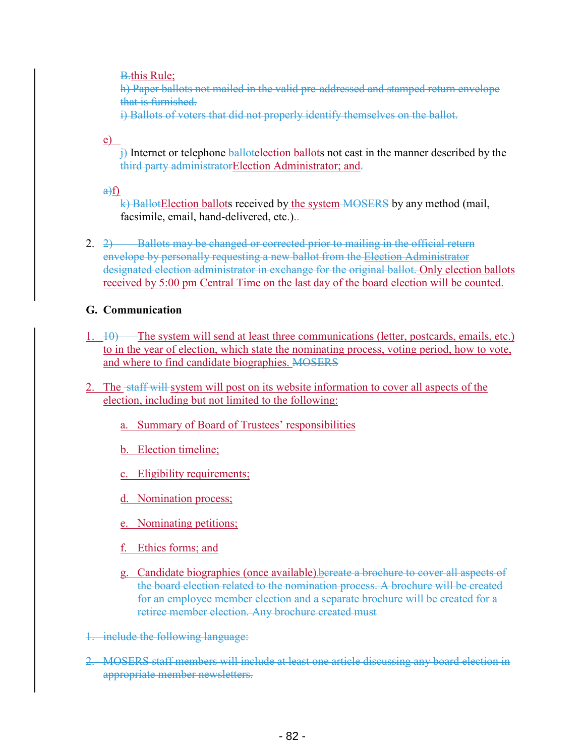**B**.this Rule;

h) Paper ballots not mailed in the valid pre-addressed and stamped return envelope that is furnished.

i) Ballots of voters that did not properly identify themselves on the ballot.

e)

 $\frac{1}{2}$  Internet or telephone ballotelection ballots not cast in the manner described by the third party administratorElection Administrator; and-

 $a) f$ 

k) BallotElection ballots received by the system MOSERS by any method (mail, facsimile, email, hand-delivered, etc.).

2.  $2)$  Ballots may be changed or corrected prior to mailing in the official return envelope by personally requesting a new ballot from the Election Administrator designated election administrator in exchange for the original ballot. Only election ballots received by 5:00 pm Central Time on the last day of the board election will be counted.

### **G. Communication**

- 1. 10) The system will send at least three communications (letter, postcards, emails, etc.) to in the year of election, which state the nominating process, voting period, how to vote, and where to find candidate biographies. MOSERS
- 2. The staff will system will post on its website information to cover all aspects of the election, including but not limited to the following:
	- a. Summary of Board of Trustees' responsibilities
	- b. Election timeline;
	- c. Eligibility requirements;
	- d. Nomination process;
	- e. Nominating petitions;
	- f. Ethics forms; and
	- g. Candidate biographies (once available).bcreate a brochure to cover all aspects of the board election related to the nomination process. A brochure will be created for an employee member election and a separate brochure will be created for a retiree member election. Any brochure created must
- 1. include the following language:
- 2. MOSERS staff members will include at least one article discussing any board election in appropriate member newsletters.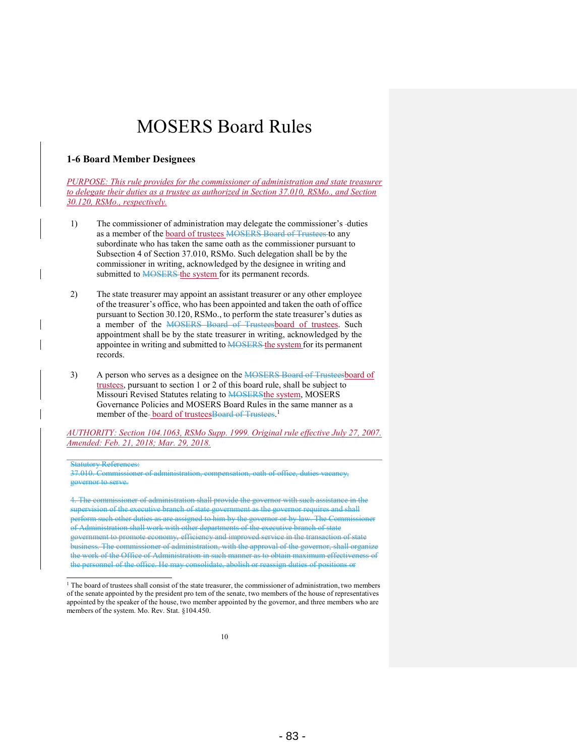#### **1-6 Board Member Designees**

*PURPOSE: This rule provides for the commissioner of administration and state treasurer to delegate their duties as a trustee as authorized in Section 37.010, RSMo., and Section 30.120, RSMo., respectively.* 

- 1) The commissioner of administration may delegate the commissioner's duties as a member of the board of trustees MOSERS Board of Trustees to any subordinate who has taken the same oath as the commissioner pursuant to Subsection 4 of Section 37.010, RSMo. Such delegation shall be by the commissioner in writing, acknowledged by the designee in writing and submitted to **MOSERS** the system for its permanent records.
- 2) The state treasurer may appoint an assistant treasurer or any other employee of the treasurer's office, who has been appointed and taken the oath of office pursuant to Section 30.120, RSMo., to perform the state treasurer's duties as a member of the MOSERS Board of Trusteesboard of trustees. Such appointment shall be by the state treasurer in writing, acknowledged by the appointee in writing and submitted to **MOSERS** the system for its permanent records.
- 3) A person who serves as a designee on the MOSERS Board of Trusteesboard of trustees, pursuant to section 1 or 2 of this board rule, shall be subject to Missouri Revised Statutes relating to **MOSERSthe system**, MOSERS Governance Policies and MOSERS Board Rules in the same manner as a member of the-**board of trustees**Board of Trustees.<sup>1</sup>

*AUTHORITY: Section 104.1063, RSMo Supp. 1999. Original rule effective July 27, 2007. Amended: Feb. 21, 2018; Mar. 29, 2018.* 

#### Statutory References:

 $\overline{a}$ 

37.010. Commissioner of administration, compensation, oath of office, duties vacancy, governor to serve.

4. The commissioner of administration shall provide the governor with such assistance in the supervision of the executive branch of state government as the governor requires and shall perform such other duties as are assigned to him by the governor or by law. The Commissioner of Administration shall work with other departments of the executive branch of state government to promote economy, efficiency and improved service in the transaction of state business. The commissioner of administration, with the approval of the governor, shall organize the work of the Office of Administration in such manner as to obtain maximum effectiveness of the personnel of the office. He may consolidate, abolish or reassign duties of positions or

<sup>1</sup> The board of trustees shall consist of the state treasurer, the commissioner of administration, two members of the senate appointed by the president pro tem of the senate, two members of the house of representatives appointed by the speaker of the house, two member appointed by the governor, and three members who are members of the system. Mo. Rev. Stat. §104.450.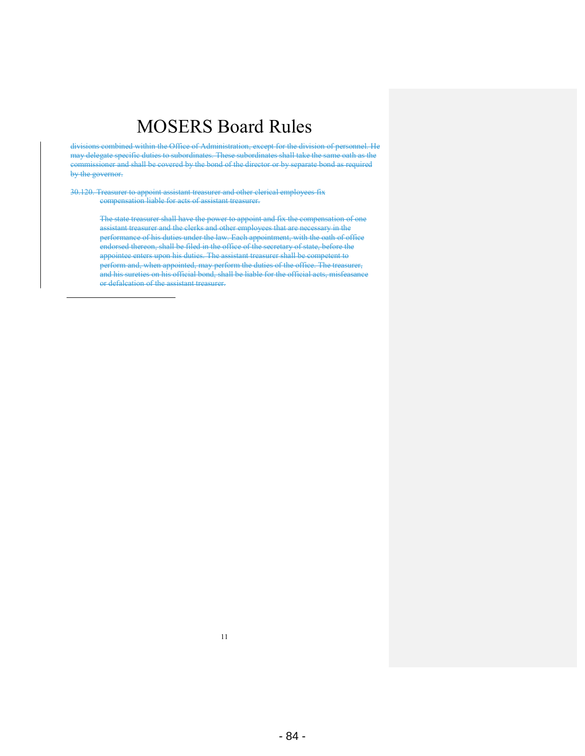divisions combined within the Office of Administration, except for the division of personnel. He may delegate specific duties to subordinates. These subordinates shall take the same oath as the commissioner and shall be covered by the bond of the director or by separate bond as required by the governor.

30.120. Treasurer to appoint assistant treasurer and other clerical employees fix compensation liable for acts of assistant treasurer.

> The state treasurer shall have the power to appoint and fix the compensation of one assistant treasurer and the clerks and other employees that are necessary in the performance of his duties under the law. Each appointment, with the oath of office endorsed thereon, shall be filed in the office of the secretary of state, before the appointee enters upon his duties. The assistant treasurer shall be competent to perform and, when appointed, may perform the duties of the office. The treasurer, and his sureties on his official bond, shall be liable for the official acts, misfeasance or defalcation of the assistant treasurer.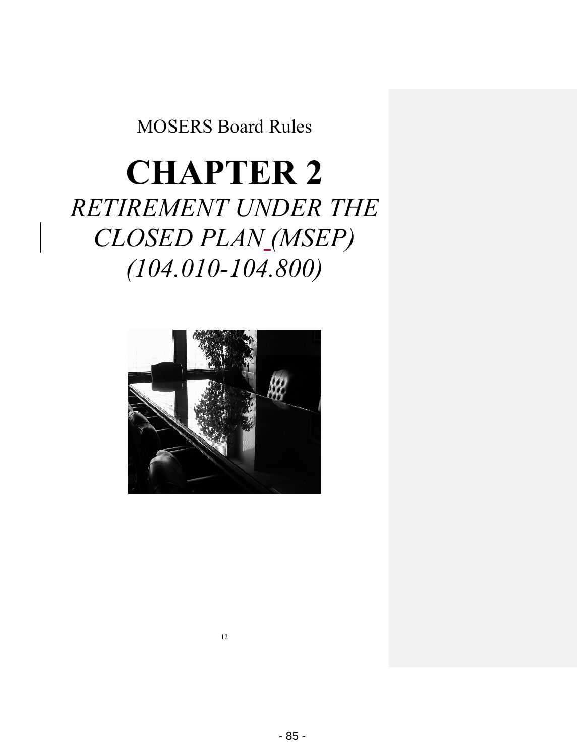# **CHAPTER 2** *RETIREMENT UNDER THE CLOSED PLAN (MSEP) (104.010-104.800)*

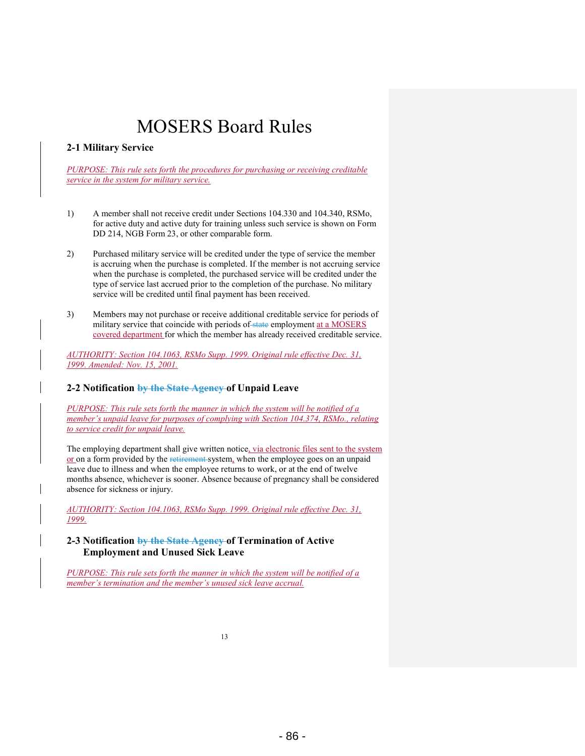#### **2-1 Military Service**

*PURPOSE: This rule sets forth the procedures for purchasing or receiving creditable service in the system for military service.* 

- 1) A member shall not receive credit under Sections 104.330 and 104.340, RSMo, for active duty and active duty for training unless such service is shown on Form DD 214, NGB Form 23, or other comparable form.
- 2) Purchased military service will be credited under the type of service the member is accruing when the purchase is completed. If the member is not accruing service when the purchase is completed, the purchased service will be credited under the type of service last accrued prior to the completion of the purchase. No military service will be credited until final payment has been received.
- 3) Members may not purchase or receive additional creditable service for periods of military service that coincide with periods of state employment at a MOSERS covered department for which the member has already received creditable service.

*AUTHORITY: Section 104.1063, RSMo Supp. 1999. Original rule effective Dec. 31, 1999. Amended: Nov. 15, 2001.* 

#### **2-2 Notification by the State Agency of Unpaid Leave**

*PURPOSE: This rule sets forth the manner in which the system will be notified of a member's unpaid leave for purposes of complying with Section 104.374, RSMo., relating to service credit for unpaid leave.* 

The employing department shall give written notice, via electronic files sent to the system or on a form provided by the retirement system, when the employee goes on an unpaid leave due to illness and when the employee returns to work, or at the end of twelve months absence, whichever is sooner. Absence because of pregnancy shall be considered absence for sickness or injury.

*AUTHORITY: Section 104.1063, RSMo Supp. 1999. Original rule effective Dec. 31, 1999.* 

#### **2-3 Notification by the State Agency of Termination of Active Employment and Unused Sick Leave**

*PURPOSE: This rule sets forth the manner in which the system will be notified of a member's termination and the member's unused sick leave accrual.*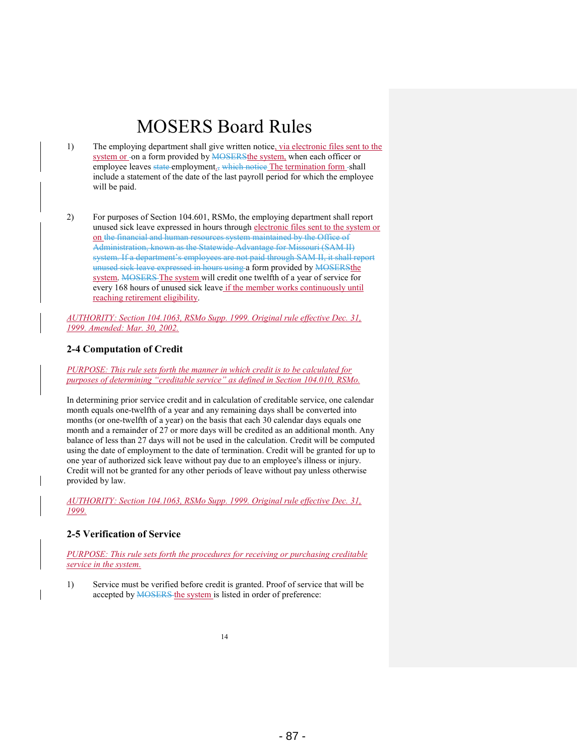- 1) The employing department shall give written notice, via electronic files sent to the system or -on a form provided by MOSERSthe system, when each officer or employee leaves state employment<sub>1</sub>, which notice The termination form -shall include a statement of the date of the last payroll period for which the employee will be paid.
- 2) For purposes of Section 104.601, RSMo, the employing department shall report unused sick leave expressed in hours through electronic files sent to the system or on the financial and human resources system maintained by the Office of Administration, known as the Statewide Advantage for Missouri (SAM II) system. If a department's employees are not paid through SAM II, it shall report unused sick leave expressed in hours using a form provided by MOSERSthe system. MOSERS The system will credit one twelfth of a year of service for every 168 hours of unused sick leave if the member works continuously until reaching retirement eligibility.

*AUTHORITY: Section 104.1063, RSMo Supp. 1999. Original rule effective Dec. 31, 1999. Amended: Mar. 30, 2002.* 

#### **2-4 Computation of Credit**

*PURPOSE: This rule sets forth the manner in which credit is to be calculated for purposes of determining "creditable service" as defined in Section 104.010, RSMo.* 

In determining prior service credit and in calculation of creditable service, one calendar month equals one-twelfth of a year and any remaining days shall be converted into months (or one-twelfth of a year) on the basis that each 30 calendar days equals one month and a remainder of 27 or more days will be credited as an additional month. Any balance of less than 27 days will not be used in the calculation. Credit will be computed using the date of employment to the date of termination. Credit will be granted for up to one year of authorized sick leave without pay due to an employee's illness or injury. Credit will not be granted for any other periods of leave without pay unless otherwise provided by law.

*AUTHORITY: Section 104.1063, RSMo Supp. 1999. Original rule effective Dec. 31, 1999.* 

#### **2-5 Verification of Service**

*PURPOSE: This rule sets forth the procedures for receiving or purchasing creditable service in the system.* 

1) Service must be verified before credit is granted. Proof of service that will be accepted by **MOSERS** the system is listed in order of preference: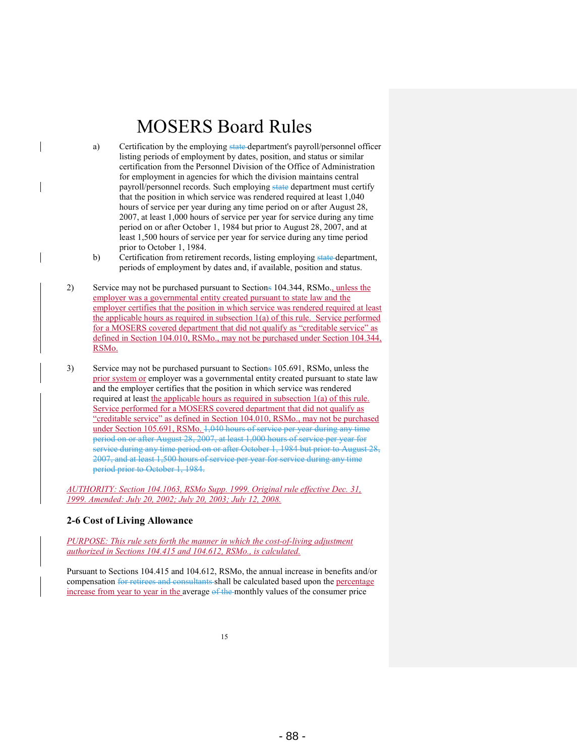- a) Certification by the employing state department's payroll/personnel officer listing periods of employment by dates, position, and status or similar certification from the Personnel Division of the Office of Administration for employment in agencies for which the division maintains central payroll/personnel records. Such employing state department must certify that the position in which service was rendered required at least 1,040 hours of service per year during any time period on or after August 28, 2007, at least 1,000 hours of service per year for service during any time period on or after October 1, 1984 but prior to August 28, 2007, and at least 1,500 hours of service per year for service during any time period prior to October 1, 1984.
- b) Certification from retirement records, listing employing state department, periods of employment by dates and, if available, position and status.
- 2) Service may not be purchased pursuant to Sections 104.344, RSMo., unless the employer was a governmental entity created pursuant to state law and the employer certifies that the position in which service was rendered required at least the applicable hours as required in subsection 1(a) of this rule. Service performed for a MOSERS covered department that did not qualify as "creditable service" as defined in Section 104.010, RSMo., may not be purchased under Section 104.344, RSMo.
- 3) Service may not be purchased pursuant to Sections 105.691, RSMo, unless the prior system or employer was a governmental entity created pursuant to state law and the employer certifies that the position in which service was rendered required at least the applicable hours as required in subsection 1(a) of this rule. Service performed for a MOSERS covered department that did not qualify as "creditable service" as defined in Section 104.010, RSMo., may not be purchased under Section 105.691, RSMo. 1,040 hours of service per year during any time period on or after August 28, 2007, at least 1,000 hours of service per year for service during any time period on or after October 1, 1984 but prior to August 28, 2007, and at least 1,500 hours of service per year for service during any time period prior to October 1, 1984.

*AUTHORITY: Section 104.1063, RSMo Supp. 1999. Original rule effective Dec. 31, 1999. Amended: July 20, 2002; July 20, 2003; July 12, 2008.* 

#### **2-6 Cost of Living Allowance**

*PURPOSE: This rule sets forth the manner in which the cost-of-living adjustment authorized in Sections 104.415 and 104.612, RSMo., is calculated.* 

Pursuant to Sections 104.415 and 104.612, RSMo, the annual increase in benefits and/or compensation for retirees and consultants shall be calculated based upon the percentage increase from year to year in the average of the monthly values of the consumer price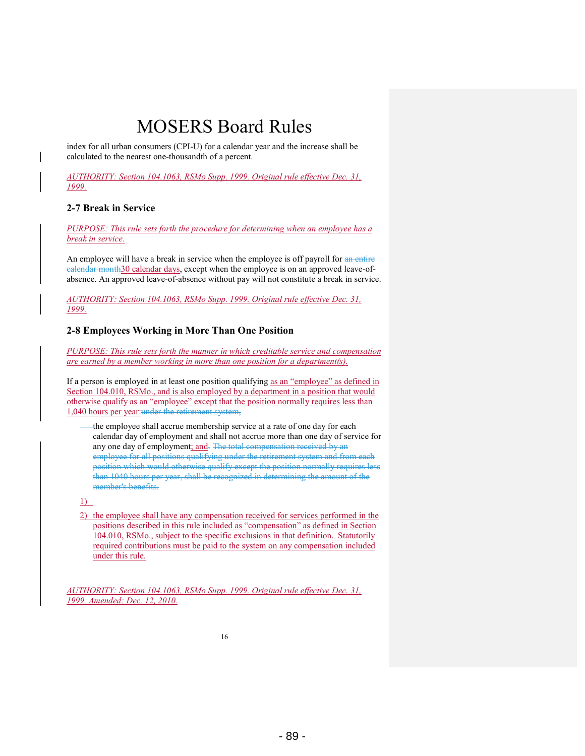index for all urban consumers (CPI-U) for a calendar year and the increase shall be calculated to the nearest one-thousandth of a percent.

*AUTHORITY: Section 104.1063, RSMo Supp. 1999. Original rule effective Dec. 31, 1999.* 

#### **2-7 Break in Service**

*PURPOSE: This rule sets forth the procedure for determining when an employee has a break in service.* 

An employee will have a break in service when the employee is off payroll for an entire calendar month30 calendar days, except when the employee is on an approved leave-ofabsence. An approved leave-of-absence without pay will not constitute a break in service.

*AUTHORITY: Section 104.1063, RSMo Supp. 1999. Original rule effective Dec. 31, 1999.* 

#### **2-8 Employees Working in More Than One Position**

*PURPOSE: This rule sets forth the manner in which creditable service and compensation are earned by a member working in more than one position for a department(s).* 

If a person is employed in at least one position qualifying as an "employee" as defined in Section 104.010, RSMo., and is also employed by a department in a position that would otherwise qualify as an "employee" except that the position normally requires less than 1,040 hours per year:under the retirement system,

the employee shall accrue membership service at a rate of one day for each calendar day of employment and shall not accrue more than one day of service for any one day of employment; and- The total compensation received by an employee for all positions qualifying under the retirement system and from each position which would otherwise qualify except the position normally requires less than 1040 hours per year, shall be recognized in determining the amount of the member's benefits.

1)

2) the employee shall have any compensation received for services performed in the positions described in this rule included as "compensation" as defined in Section 104.010, RSMo., subject to the specific exclusions in that definition. Statutorily required contributions must be paid to the system on any compensation included under this rule.

*AUTHORITY: Section 104.1063, RSMo Supp. 1999. Original rule effective Dec. 31, 1999. Amended: Dec. 12, 2010.*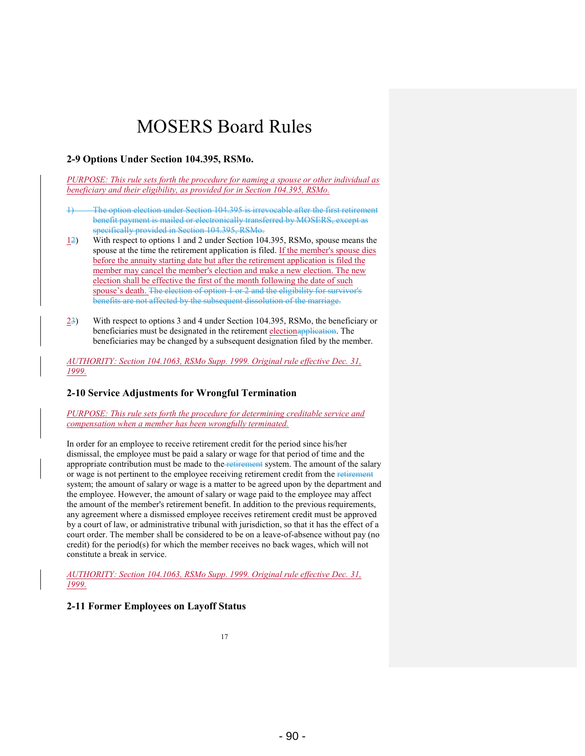#### **2-9 Options Under Section 104.395, RSMo.**

*PURPOSE: This rule sets forth the procedure for naming a spouse or other individual as beneficiary and their eligibility, as provided for in Section 104.395, RSMo.* 

- The option election under Section 104.395 is irrevocable after the first retirement benefit payment is mailed or electronically transferred by MOSERS, except as specifically provided in Section 104.395, RSMo.
- $\frac{12}{2}$  With respect to options 1 and 2 under Section 104.395, RSMo, spouse means the spouse at the time the retirement application is filed. If the member's spouse dies before the annuity starting date but after the retirement application is filed the member may cancel the member's election and make a new election. The new election shall be effective the first of the month following the date of such spouse's death. The election of option 1 or 2 and the eligibility for survivor's benefits are not affected by the subsequent dissolution of the marriage.
- 23) With respect to options 3 and 4 under Section 104.395, RSMo, the beneficiary or beneficiaries must be designated in the retirement electionapplication. The beneficiaries may be changed by a subsequent designation filed by the member.

*AUTHORITY: Section 104.1063, RSMo Supp. 1999. Original rule effective Dec. 31, 1999.* 

#### **2-10 Service Adjustments for Wrongful Termination**

*PURPOSE: This rule sets forth the procedure for determining creditable service and compensation when a member has been wrongfully terminated.* 

In order for an employee to receive retirement credit for the period since his/her dismissal, the employee must be paid a salary or wage for that period of time and the appropriate contribution must be made to the retirement system. The amount of the salary or wage is not pertinent to the employee receiving retirement credit from the retirement system; the amount of salary or wage is a matter to be agreed upon by the department and the employee. However, the amount of salary or wage paid to the employee may affect the amount of the member's retirement benefit. In addition to the previous requirements, any agreement where a dismissed employee receives retirement credit must be approved by a court of law, or administrative tribunal with jurisdiction, so that it has the effect of a court order. The member shall be considered to be on a leave-of-absence without pay (no credit) for the period(s) for which the member receives no back wages, which will not constitute a break in service.

*AUTHORITY: Section 104.1063, RSMo Supp. 1999. Original rule effective Dec. 31, 1999.* 

#### **2-11 Former Employees on Layoff Status**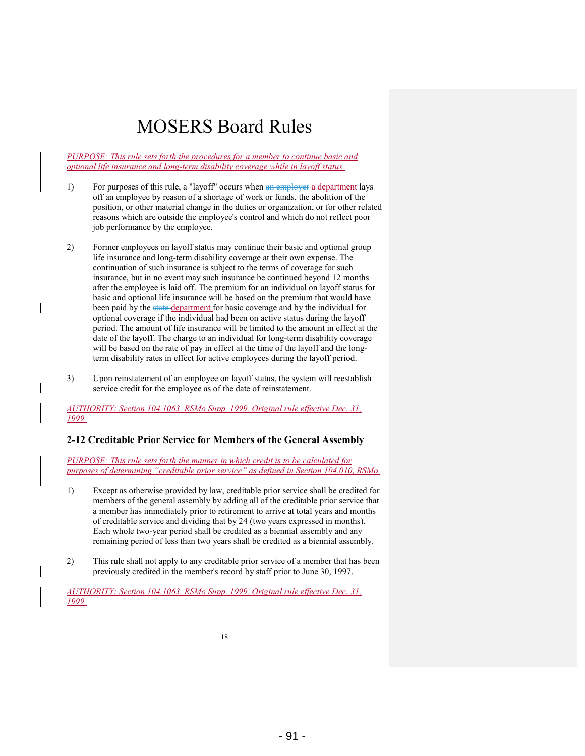*PURPOSE: This rule sets forth the procedures for a member to continue basic and optional life insurance and long-term disability coverage while in layoff status.* 

- 1) For purposes of this rule, a "layoff" occurs when an employer a department lays off an employee by reason of a shortage of work or funds, the abolition of the position, or other material change in the duties or organization, or for other related reasons which are outside the employee's control and which do not reflect poor job performance by the employee.
- 2) Former employees on layoff status may continue their basic and optional group life insurance and long-term disability coverage at their own expense. The continuation of such insurance is subject to the terms of coverage for such insurance, but in no event may such insurance be continued beyond 12 months after the employee is laid off. The premium for an individual on layoff status for basic and optional life insurance will be based on the premium that would have been paid by the state department for basic coverage and by the individual for optional coverage if the individual had been on active status during the layoff period. The amount of life insurance will be limited to the amount in effect at the date of the layoff. The charge to an individual for long-term disability coverage will be based on the rate of pay in effect at the time of the layoff and the longterm disability rates in effect for active employees during the layoff period.
- 3) Upon reinstatement of an employee on layoff status, the system will reestablish service credit for the employee as of the date of reinstatement.

*AUTHORITY: Section 104.1063, RSMo Supp. 1999. Original rule effective Dec. 31, 1999.* 

#### **2-12 Creditable Prior Service for Members of the General Assembly**

*PURPOSE: This rule sets forth the manner in which credit is to be calculated for purposes of determining "creditable prior service" as defined in Section 104.010, RSMo.* 

- 1) Except as otherwise provided by law, creditable prior service shall be credited for members of the general assembly by adding all of the creditable prior service that a member has immediately prior to retirement to arrive at total years and months of creditable service and dividing that by 24 (two years expressed in months). Each whole two-year period shall be credited as a biennial assembly and any remaining period of less than two years shall be credited as a biennial assembly.
- 2) This rule shall not apply to any creditable prior service of a member that has been previously credited in the member's record by staff prior to June 30, 1997.

*AUTHORITY: Section 104.1063, RSMo Supp. 1999. Original rule effective Dec. 31, 1999.*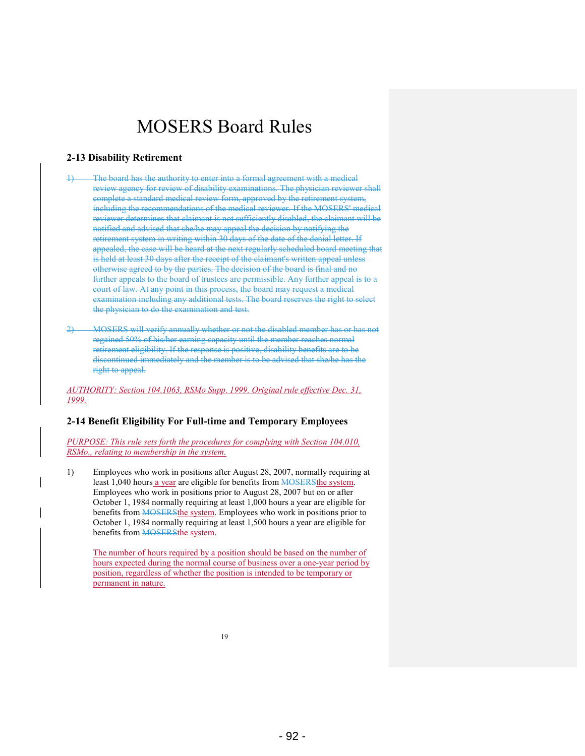#### **2-13 Disability Retirement**

- The board has the authority to enter into a formal agreement with a medical review agency for review of disability examinations. The physician reviewer shall complete a standard medical review form, approved by the retirement system, including the recommendations of the medical reviewer. If the MOSERS' medical reviewer determines that claimant is not sufficiently disabled, the claimant will be notified and advised that she/he may appeal the decision by notifying the retirement system in writing within 30 days of the date of the denial letter. If appealed, the case will be heard at the next regularly scheduled board meeting that is held at least 30 days after the receipt of the claimant's written appeal unless otherwise agreed to by the parties. The decision of the board is final and no further appeals to the board of trustees are permissible. Any further appeal is to a court of law. At any point in this process, the board may request a medical examination including any additional tests. The board reserves the right to select the physician to do the examination and test.
- 2) MOSERS will verify annually whether or not the disabled member has or has not regained 50% of his/her earning capacity until the member reaches normal retirement eligibility. If the response is positive, disability benefits are to be discontinued immediately and the member is to be advised that she/he has the right to appeal.

*AUTHORITY: Section 104.1063, RSMo Supp. 1999. Original rule effective Dec. 31, 1999.* 

#### **2-14 Benefit Eligibility For Full-time and Temporary Employees**

*PURPOSE: This rule sets forth the procedures for complying with Section 104.010, RSMo., relating to membership in the system.* 

1) Employees who work in positions after August 28, 2007, normally requiring at least 1,040 hours a year are eligible for benefits from **MOSERS**the system. Employees who work in positions prior to August 28, 2007 but on or after October 1, 1984 normally requiring at least 1,000 hours a year are eligible for benefits from **MOSERS**the system. Employees who work in positions prior to October 1, 1984 normally requiring at least 1,500 hours a year are eligible for benefits from **MOSERS** the system.

The number of hours required by a position should be based on the number of hours expected during the normal course of business over a one-year period by position, regardless of whether the position is intended to be temporary or permanent in nature.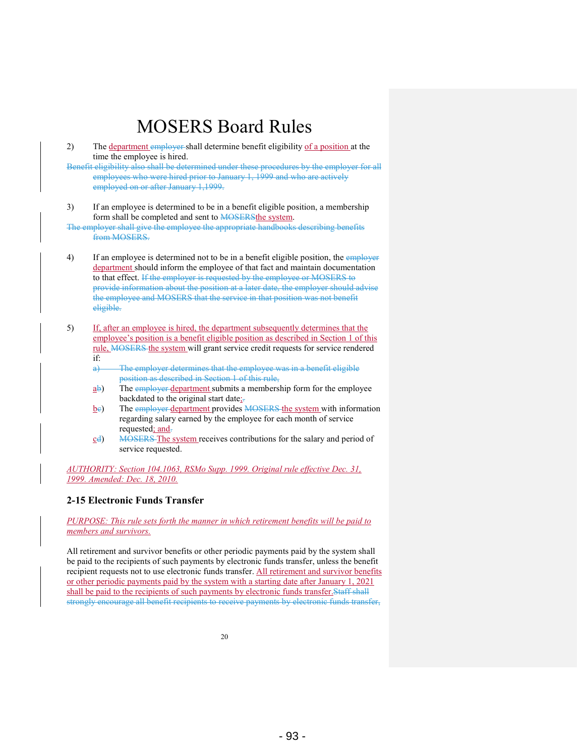2) The department employer shall determine benefit eligibility of a position at the time the employee is hired.

Benefit eligibility also shall be determined under these procedures by the employer for all employees who were hired prior to January 1, 1999 and who are actively employed on or after January 1,1999.

3) If an employee is determined to be in a benefit eligible position, a membership form shall be completed and sent to **MOSERSthe system**.

The employer shall give the employee the appropriate handbooks describing benefits from MOSERS.

- 4) If an employee is determined not to be in a benefit eligible position, the employer department should inform the employee of that fact and maintain documentation to that effect. If the employer is requested by the employee or MOSERS to provide information about the position at a later date, the employer should advise the employee and MOSERS that the service in that position was not benefit eligible.
- 5) If, after an employee is hired, the department subsequently determines that the employee's position is a benefit eligible position as described in Section 1 of this rule, MOSERS the system will grant service credit requests for service rendered if:
	- a) The employer determines that the employee was in a benefit eligible position as described in Section 1 of this rule,
	- $a\overline{b}$ ) The employer department submits a membership form for the employee backdated to the original start date;-
	- $\underline{b}$ e) The employer department provides MOSERS the system with information regarding salary earned by the employee for each month of service requested; and.
	- cd) MOSERS The system receives contributions for the salary and period of service requested.

*AUTHORITY: Section 104.1063, RSMo Supp. 1999. Original rule effective Dec. 31, 1999. Amended: Dec. 18, 2010.* 

#### **2-15 Electronic Funds Transfer**

*PURPOSE: This rule sets forth the manner in which retirement benefits will be paid to members and survivors.* 

All retirement and survivor benefits or other periodic payments paid by the system shall be paid to the recipients of such payments by electronic funds transfer, unless the benefit recipient requests not to use electronic funds transfer. All retirement and survivor benefits or other periodic payments paid by the system with a starting date after January 1, 2021 shall be paid to the recipients of such payments by electronic funds transfer.Staff shall strongly encourage all benefit recipients to receive payments by electronic funds transfer,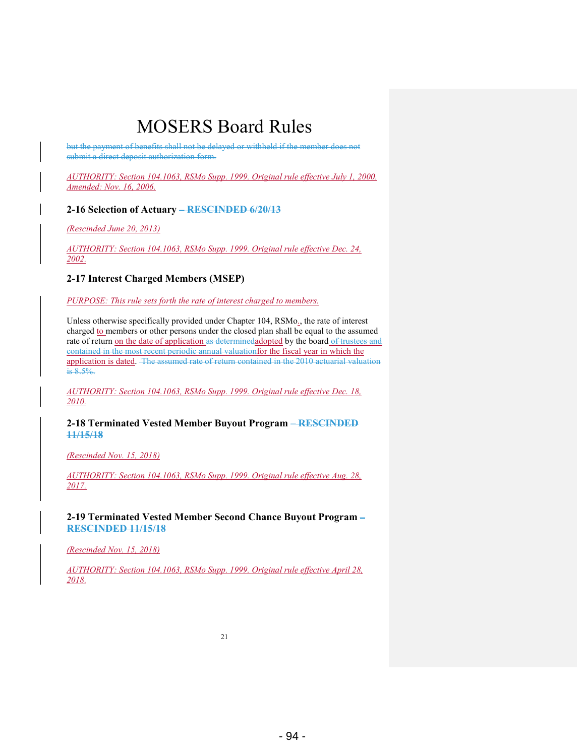but the payment of benefits shall not be delayed or withheld if the member does not submit a direct deposit authorization form.

*AUTHORITY: Section 104.1063, RSMo Supp. 1999. Original rule effective July 1, 2000. Amended: Nov. 16, 2006.* 

#### **2-16 Selection of Actuary – RESCINDED 6/20/13**

*(Rescinded June 20, 2013)* 

*AUTHORITY: Section 104.1063, RSMo Supp. 1999. Original rule effective Dec. 24, 2002.* 

#### **2-17 Interest Charged Members (MSEP)**

*PURPOSE: This rule sets forth the rate of interest charged to members.* 

Unless otherwise specifically provided under Chapter 104, RSMo<sub>1</sub>, the rate of interest charged to members or other persons under the closed plan shall be equal to the assumed rate of return on the date of application as determined adopted by the board of trustees and contained in the most recent periodic annual valuationfor the fiscal year in which the application is dated. The assumed rate of return contained in the 2010 actuarial valuation is 8.5%.

*AUTHORITY: Section 104.1063, RSMo Supp. 1999. Original rule effective Dec. 18, 2010.* 

#### **2-18 Terminated Vested Member Buyout Program – RESCINDED 11/15/18**

*(Rescinded Nov. 15, 2018)* 

*AUTHORITY: Section 104.1063, RSMo Supp. 1999. Original rule effective Aug. 28, 2017.* 

**2-19 Terminated Vested Member Second Chance Buyout Program – RESCINDED 11/15/18**

*(Rescinded Nov. 15, 2018)* 

*AUTHORITY: Section 104.1063, RSMo Supp. 1999. Original rule effective April 28, 2018.*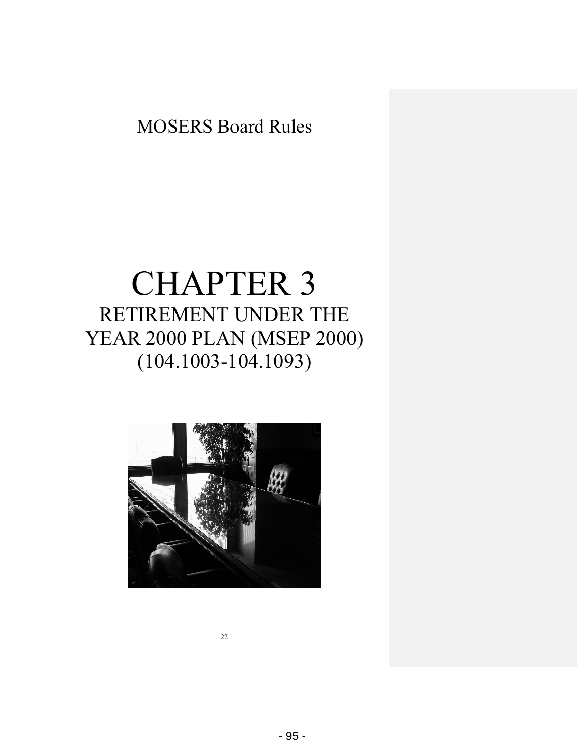# CHAPTER 3 RETIREMENT UNDER THE YEAR 2000 PLAN (MSEP 2000) (104.1003-104.1093)

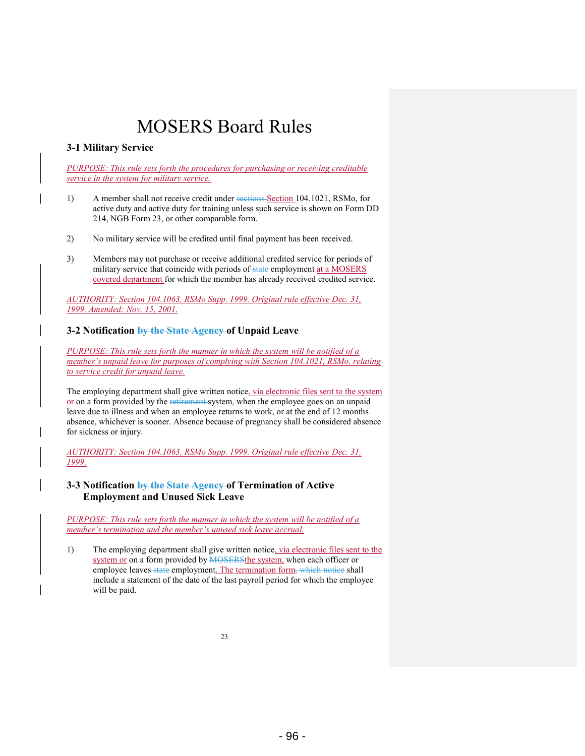#### **3-1 Military Service**

*PURPOSE: This rule sets forth the procedures for purchasing or receiving creditable service in the system for military service.* 

- 1) A member shall not receive credit under sections Section 104.1021, RSMo, for active duty and active duty for training unless such service is shown on Form DD 214, NGB Form 23, or other comparable form.
- 2) No military service will be credited until final payment has been received.
- 3) Members may not purchase or receive additional credited service for periods of military service that coincide with periods of state employment at a MOSERS covered department for which the member has already received credited service.

*AUTHORITY: Section 104.1063, RSMo Supp. 1999. Original rule effective Dec. 31, 1999. Amended: Nov. 15, 2001.* 

#### **3-2 Notification by the State Agency of Unpaid Leave**

*PURPOSE: This rule sets forth the manner in which the system will be notified of a member's unpaid leave for purposes of complying with Section 104.1021, RSMo. relating to service credit for unpaid leave.* 

The employing department shall give written notice, via electronic files sent to the system or on a form provided by the retirement-system, when the employee goes on an unpaid leave due to illness and when an employee returns to work, or at the end of 12 months absence, whichever is sooner. Absence because of pregnancy shall be considered absence for sickness or injury.

*AUTHORITY: Section 104.1063, RSMo Supp. 1999. Original rule effective Dec. 31, 1999.* 

#### **3-3 Notification by the State Agency of Termination of Active Employment and Unused Sick Leave**

*PURPOSE: This rule sets forth the manner in which the system will be notified of a member's termination and the member's unused sick leave accrual.* 

1) The employing department shall give written notice, via electronic files sent to the system or on a form provided by **MOSERS**the system, when each officer or employee leaves state employment. The termination form, which notice shall include a statement of the date of the last payroll period for which the employee will be paid.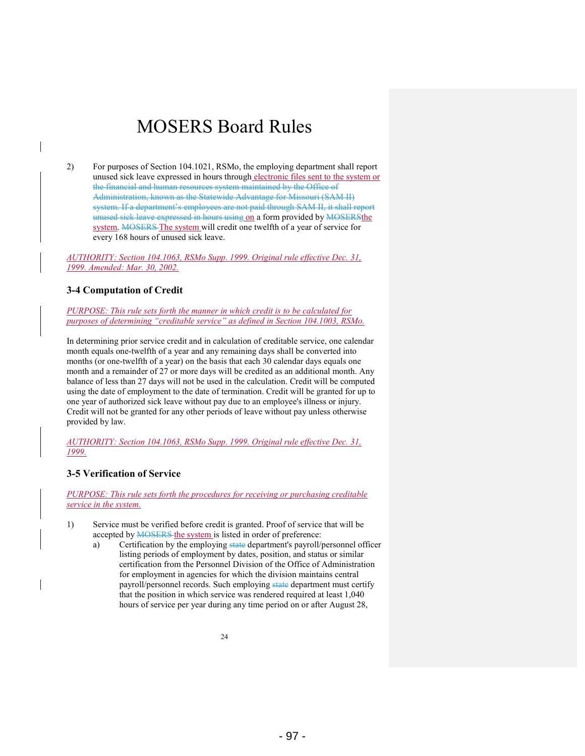2) For purposes of Section 104.1021, RSMo, the employing department shall report unused sick leave expressed in hours through electronic files sent to the system or the financial and human resources system maintained by the Office of Administration, known as the Statewide Advantage for Missouri (SAM II) system. If a department's employees are not paid through SAM II, it shall report unused sick leave expressed in hours using on a form provided by MOSERSthe system. MOSERS The system will credit one twelfth of a year of service for every 168 hours of unused sick leave.

*AUTHORITY: Section 104.1063, RSMo Supp. 1999. Original rule effective Dec. 31, 1999. Amended: Mar. 30, 2002.* 

#### **3-4 Computation of Credit**

*PURPOSE: This rule sets forth the manner in which credit is to be calculated for purposes of determining "creditable service" as defined in Section 104.1003, RSMo.* 

In determining prior service credit and in calculation of creditable service, one calendar month equals one-twelfth of a year and any remaining days shall be converted into months (or one-twelfth of a year) on the basis that each 30 calendar days equals one month and a remainder of 27 or more days will be credited as an additional month. Any balance of less than 27 days will not be used in the calculation. Credit will be computed using the date of employment to the date of termination. Credit will be granted for up to one year of authorized sick leave without pay due to an employee's illness or injury. Credit will not be granted for any other periods of leave without pay unless otherwise provided by law.

*AUTHORITY: Section 104.1063, RSMo Supp. 1999. Original rule effective Dec. 31, 1999.* 

#### **3-5 Verification of Service**

*PURPOSE: This rule sets forth the procedures for receiving or purchasing creditable service in the system.* 

- 1) Service must be verified before credit is granted. Proof of service that will be accepted by **MOSERS** the system is listed in order of preference:
	- a) Certification by the employing state department's payroll/personnel officer listing periods of employment by dates, position, and status or similar certification from the Personnel Division of the Office of Administration for employment in agencies for which the division maintains central payroll/personnel records. Such employing state department must certify that the position in which service was rendered required at least 1,040 hours of service per year during any time period on or after August 28,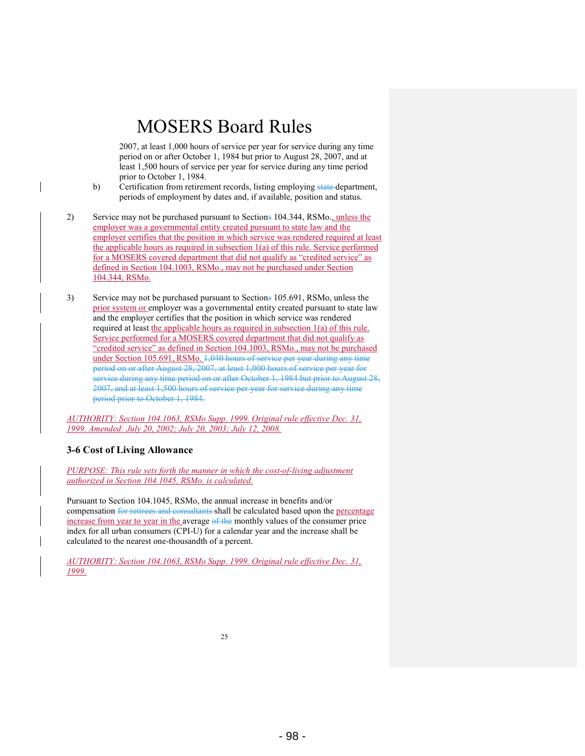2007, at least 1,000 hours of service per year for service during any time period on or after October 1, 1984 but prior to August 28, 2007, and at least 1,500 hours of service per year for service during any time period prior to October 1, 1984.

- b) Certification from retirement records, listing employing state department, periods of employment by dates and, if available, position and status.
- 2) Service may not be purchased pursuant to Sections 104.344, RSMo., unless the employer was a governmental entity created pursuant to state law and the employer certifies that the position in which service was rendered required at least the applicable hours as required in subsection 1(a) of this rule. Service performed for a MOSERS covered department that did not qualify as "credited service" as defined in Section 104.1003, RSMo., may not be purchased under Section 104.344, RSMo.
- 3) Service may not be purchased pursuant to Sections 105.691, RSMo, unless the prior system or employer was a governmental entity created pursuant to state law and the employer certifies that the position in which service was rendered required at least the applicable hours as required in subsection  $1(a)$  of this rule. Service performed for a MOSERS covered department that did not qualify as "credited service" as defined in Section 104.1003, RSMo., may not be purchased under Section 105.691, RSMo. 1,040 hours of service per year during any time period on or after August 28, 2007, at least 1,000 hours of service per year for service during any time period on or after October 1, 1984 but prior to August 28, 2007, and at least 1,500 hours of service per year for service during any time period prior to October 1, 1984.

*AUTHORITY: Section 104.1063, RSMo Supp. 1999. Original rule effective Dec. 31, 1999. Amended: July 20, 2002; July 20, 2003; July 12, 2008.* 

#### **3-6 Cost of Living Allowance**

*PURPOSE: This rule sets forth the manner in which the cost-of-living adjustment authorized in Section 104.1045, RSMo. is calculated.* 

Pursuant to Section 104.1045, RSMo, the annual increase in benefits and/or compensation for retirees and consultants shall be calculated based upon the percentage increase from year to year in the average of the monthly values of the consumer price index for all urban consumers (CPI-U) for a calendar year and the increase shall be calculated to the nearest one-thousandth of a percent.

*AUTHORITY: Section 104.1063, RSMo Supp. 1999. Original rule effective Dec. 31, 1999.*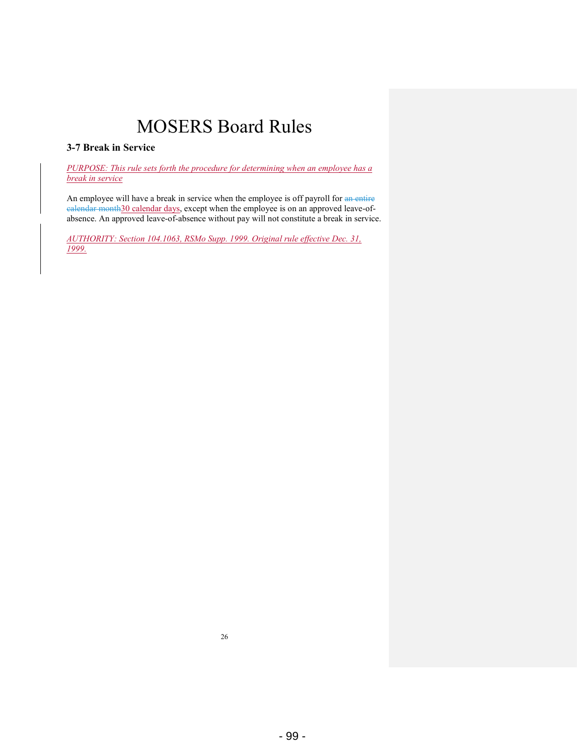### **3-7 Break in Service**

*PURPOSE: This rule sets forth the procedure for determining when an employee has a break in service*

An employee will have a break in service when the employee is off payroll for an entire ealendar month30 calendar days, except when the employee is on an approved leave-ofabsence. An approved leave-of-absence without pay will not constitute a break in service.

*AUTHORITY: Section 104.1063, RSMo Supp. 1999. Original rule effective Dec. 31, 1999.*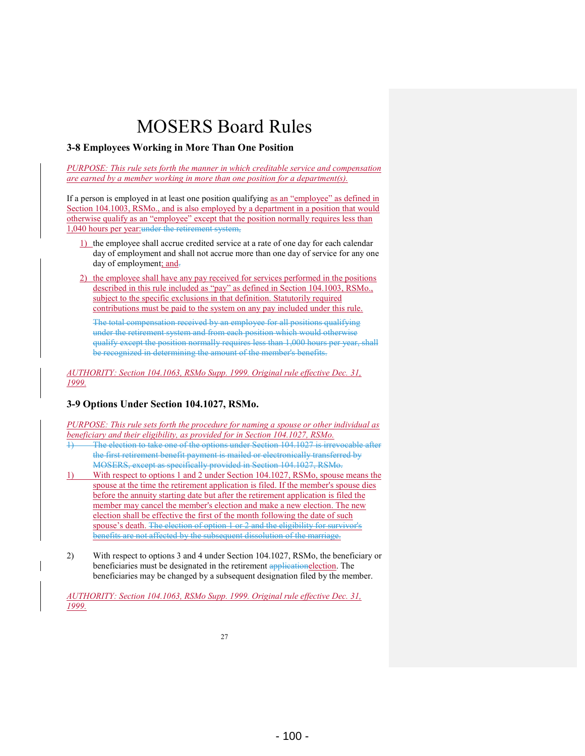#### **3-8 Employees Working in More Than One Position**

*PURPOSE: This rule sets forth the manner in which creditable service and compensation are earned by a member working in more than one position for a department(s).* 

If a person is employed in at least one position qualifying as an "employee" as defined in Section 104.1003, RSMo., and is also employed by a department in a position that would otherwise qualify as an "employee" except that the position normally requires less than 1,040 hours per year:under the retirement system,

- 1) the employee shall accrue credited service at a rate of one day for each calendar day of employment and shall not accrue more than one day of service for any one day of employment; and-
- 2) the employee shall have any pay received for services performed in the positions described in this rule included as "pay" as defined in Section 104.1003, RSMo., subject to the specific exclusions in that definition. Statutorily required contributions must be paid to the system on any pay included under this rule.

The total compensation received by an employee for all positions qualifying under the retirement system and from each position which would otherwise qualify except the position normally requires less than 1,000 hours per year, shall be recognized in determining the amount of the member's benefits.

*AUTHORITY: Section 104.1063, RSMo Supp. 1999. Original rule effective Dec. 31, 1999.* 

### **3-9 Options Under Section 104.1027, RSMo.**

*PURPOSE: This rule sets forth the procedure for naming a spouse or other individual as beneficiary and their eligibility, as provided for in Section 104.1027, RSMo.* 

- 1) The election to take one of the options under Section 104.1027 is irrevocable after the first retirement benefit payment is mailed or electronically transferred by MOSERS, except as specifically provided in Section 104.1027, RSMo.
- 1) With respect to options 1 and 2 under Section 104.1027, RSMo, spouse means the spouse at the time the retirement application is filed. If the member's spouse dies before the annuity starting date but after the retirement application is filed the member may cancel the member's election and make a new election. The new election shall be effective the first of the month following the date of such spouse's death. The election of option 1 or 2 and the eligibility for survivor's benefits are not affected by the subsequent dissolution of the marriage.
- 2) With respect to options 3 and 4 under Section 104.1027, RSMo, the beneficiary or beneficiaries must be designated in the retirement applicationelection. The beneficiaries may be changed by a subsequent designation filed by the member.

*AUTHORITY: Section 104.1063, RSMo Supp. 1999. Original rule effective Dec. 31, 1999.*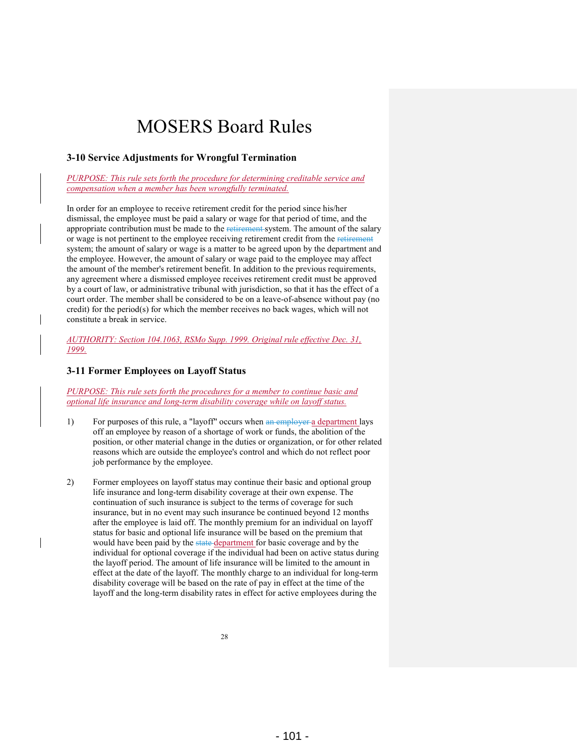#### **3-10 Service Adjustments for Wrongful Termination**

*PURPOSE: This rule sets forth the procedure for determining creditable service and compensation when a member has been wrongfully terminated.* 

In order for an employee to receive retirement credit for the period since his/her dismissal, the employee must be paid a salary or wage for that period of time, and the appropriate contribution must be made to the retirement system. The amount of the salary or wage is not pertinent to the employee receiving retirement credit from the retirement system; the amount of salary or wage is a matter to be agreed upon by the department and the employee. However, the amount of salary or wage paid to the employee may affect the amount of the member's retirement benefit. In addition to the previous requirements, any agreement where a dismissed employee receives retirement credit must be approved by a court of law, or administrative tribunal with jurisdiction, so that it has the effect of a court order. The member shall be considered to be on a leave-of-absence without pay (no credit) for the period(s) for which the member receives no back wages, which will not constitute a break in service.

*AUTHORITY: Section 104.1063, RSMo Supp. 1999. Original rule effective Dec. 31, 1999.* 

#### **3-11 Former Employees on Layoff Status**

*PURPOSE: This rule sets forth the procedures for a member to continue basic and optional life insurance and long-term disability coverage while on layoff status.* 

- 1) For purposes of this rule, a "layoff" occurs when an employer a department lays off an employee by reason of a shortage of work or funds, the abolition of the position, or other material change in the duties or organization, or for other related reasons which are outside the employee's control and which do not reflect poor job performance by the employee.
- 2) Former employees on layoff status may continue their basic and optional group life insurance and long-term disability coverage at their own expense. The continuation of such insurance is subject to the terms of coverage for such insurance, but in no event may such insurance be continued beyond 12 months after the employee is laid off. The monthly premium for an individual on layoff status for basic and optional life insurance will be based on the premium that would have been paid by the state-department for basic coverage and by the individual for optional coverage if the individual had been on active status during the layoff period. The amount of life insurance will be limited to the amount in effect at the date of the layoff. The monthly charge to an individual for long-term disability coverage will be based on the rate of pay in effect at the time of the layoff and the long-term disability rates in effect for active employees during the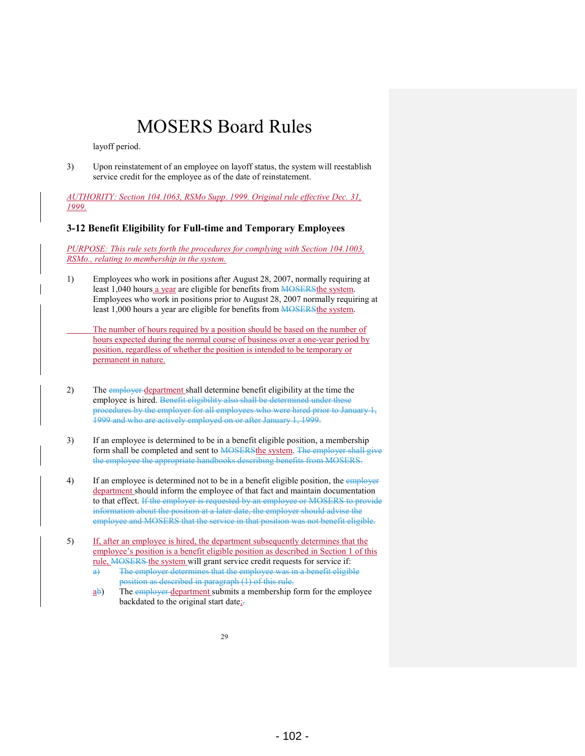layoff period.

3) Upon reinstatement of an employee on layoff status, the system will reestablish service credit for the employee as of the date of reinstatement.

*AUTHORITY: Section 104.1063, RSMo Supp. 1999. Original rule effective Dec. 31, 1999.* 

### **3-12 Benefit Eligibility for Full-time and Temporary Employees**

*PURPOSE: This rule sets forth the procedures for complying with Section 104.1003, RSMo., relating to membership in the system.* 

- 1) Employees who work in positions after August 28, 2007, normally requiring at least 1,040 hours a year are eligible for benefits from **MOSERS**the system. Employees who work in positions prior to August 28, 2007 normally requiring at least 1,000 hours a year are eligible for benefits from **MOSERS**the system.
- The number of hours required by a position should be based on the number of hours expected during the normal course of business over a one-year period by position, regardless of whether the position is intended to be temporary or permanent in nature.
- 2) The employer department shall determine benefit eligibility at the time the employee is hired. Benefit eligibility also shall be determined under these procedures by the employer for all employees who were hired prior to January 1, 1999 and who are actively employed on or after January 1, 1999.
- 3) If an employee is determined to be in a benefit eligible position, a membership form shall be completed and sent to **MOSERS**the system. The employer shall give the employee the appropriate handbooks describing benefits from MOSERS.
- 4) If an employee is determined not to be in a benefit eligible position, the employer department should inform the employee of that fact and maintain documentation to that effect. If the employer is requested by an employee or MOSERS to provide information about the position at a later date, the employer should advise the employee and MOSERS that the service in that position was not benefit eligible.
- 5) If, after an employee is hired, the department subsequently determines that the employee's position is a benefit eligible position as described in Section 1 of this rule, MOSERS the system will grant service credit requests for service if:
	- a) The employer determines that the employee was in a benefit eligible position as described in paragraph (1) of this rule.
	- $\underline{a}$ b) The employer department submits a membership form for the employee backdated to the original start date;-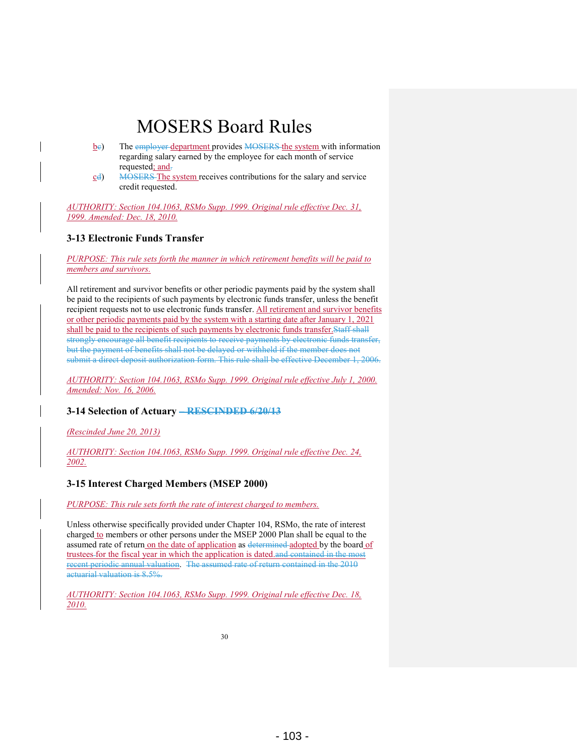- $\underline{b}$ e) The employer department provides MOSERS the system with information regarding salary earned by the employee for each month of service requested; and.
- cd) MOSERS The system receives contributions for the salary and service credit requested.

*AUTHORITY: Section 104.1063, RSMo Supp. 1999. Original rule effective Dec. 31, 1999. Amended: Dec. 18, 2010.* 

### **3-13 Electronic Funds Transfer**

*PURPOSE: This rule sets forth the manner in which retirement benefits will be paid to members and survivors.* 

All retirement and survivor benefits or other periodic payments paid by the system shall be paid to the recipients of such payments by electronic funds transfer, unless the benefit recipient requests not to use electronic funds transfer. All retirement and survivor benefits or other periodic payments paid by the system with a starting date after January 1, 2021 shall be paid to the recipients of such payments by electronic funds transfer.Staff shall strongly encourage all benefit recipients to receive payments by electronic funds transfer, but the payment of benefits shall not be delayed or withheld if the member does not submit a direct deposit authorization form. This rule shall be effective December 1, 2006.

*AUTHORITY: Section 104.1063, RSMo Supp. 1999. Original rule effective July 1, 2000. Amended: Nov. 16, 2006.* 

### **3-14 Selection of Actuary – RESCINDED 6/20/13**

*(Rescinded June 20, 2013)* 

*AUTHORITY: Section 104.1063, RSMo Supp. 1999. Original rule effective Dec. 24, 2002.* 

### **3-15 Interest Charged Members (MSEP 2000)**

*PURPOSE: This rule sets forth the rate of interest charged to members.* 

Unless otherwise specifically provided under Chapter 104, RSMo, the rate of interest charged to members or other persons under the MSEP 2000 Plan shall be equal to the assumed rate of return on the date of application as determined adopted by the board of trustees for the fiscal year in which the application is dated.and contained in the most recent periodic annual valuation. The assumed rate of return contained in the 2010 actuarial valuation is 8.5%.

*AUTHORITY: Section 104.1063, RSMo Supp. 1999. Original rule effective Dec. 18, 2010.*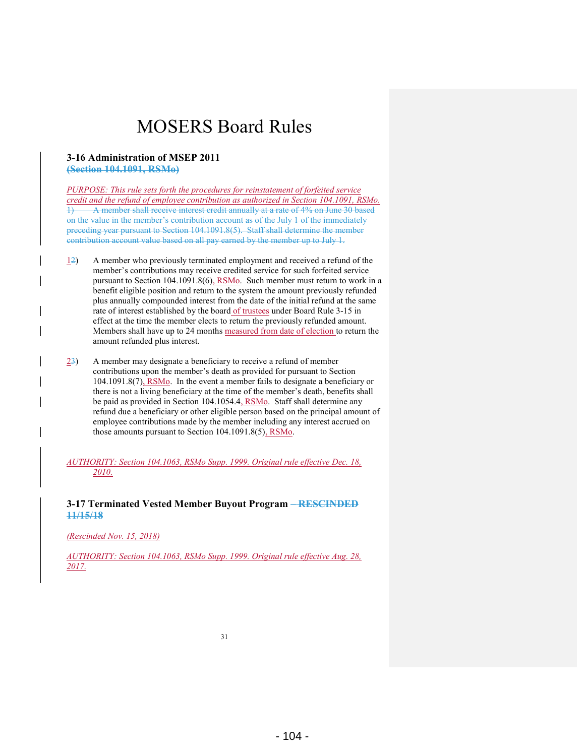#### **3-16 Administration of MSEP 2011 (Section 104.1091, RSMo)**

*PURPOSE: This rule sets forth the procedures for reinstatement of forfeited service credit and the refund of employee contribution as authorized in Section 104.1091, RSMo.*  1) A member shall receive interest credit annually at a rate of 4% on June 30 based on the value in the member's contribution account as of the July 1 of the immediately preceding year pursuant to Section 104.1091.8(5). Staff shall determine the member contribution account value based on all pay earned by the member up to July 1.

- $\frac{12}{2}$  A member who previously terminated employment and received a refund of the member's contributions may receive credited service for such forfeited service pursuant to Section 104.1091.8(6), RSMo. Such member must return to work in a benefit eligible position and return to the system the amount previously refunded plus annually compounded interest from the date of the initial refund at the same rate of interest established by the board of trustees under Board Rule 3-15 in effect at the time the member elects to return the previously refunded amount. Members shall have up to 24 months measured from date of election to return the amount refunded plus interest.
- $\frac{23}{2}$  A member may designate a beneficiary to receive a refund of member contributions upon the member's death as provided for pursuant to Section 104.1091.8(7), RSMo. In the event a member fails to designate a beneficiary or there is not a living beneficiary at the time of the member's death, benefits shall be paid as provided in Section 104.1054.4, RSMo. Staff shall determine any refund due a beneficiary or other eligible person based on the principal amount of employee contributions made by the member including any interest accrued on those amounts pursuant to Section 104.1091.8(5), RSMo.

*AUTHORITY: Section 104.1063, RSMo Supp. 1999. Original rule effective Dec. 18, 2010.* 

**3-17 Terminated Vested Member Buyout Program – RESCINDED 11/15/18**

*(Rescinded Nov. 15, 2018)* 

*AUTHORITY: Section 104.1063, RSMo Supp. 1999. Original rule effective Aug. 28, 2017.*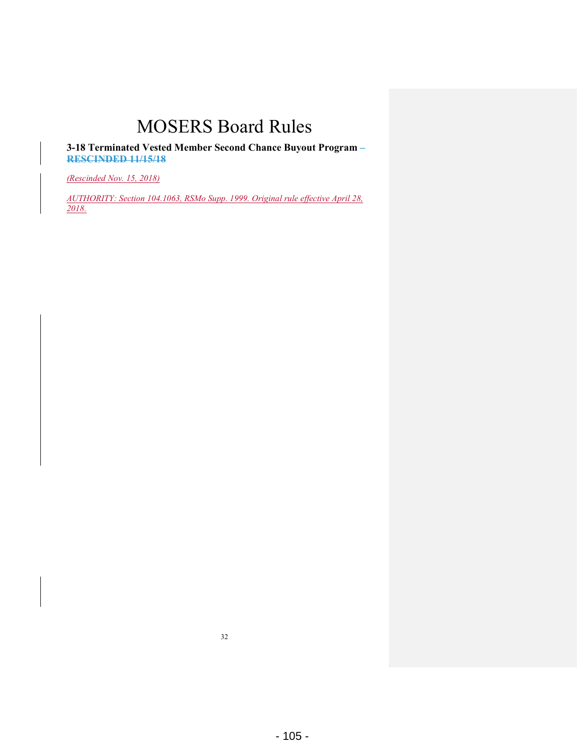**3-18 Terminated Vested Member Second Chance Buyout Program – RESCINDED 11/15/18**

*(Rescinded Nov. 15, 2018)* 

*AUTHORITY: Section 104.1063, RSMo Supp. 1999. Original rule effective April 28, 2018.*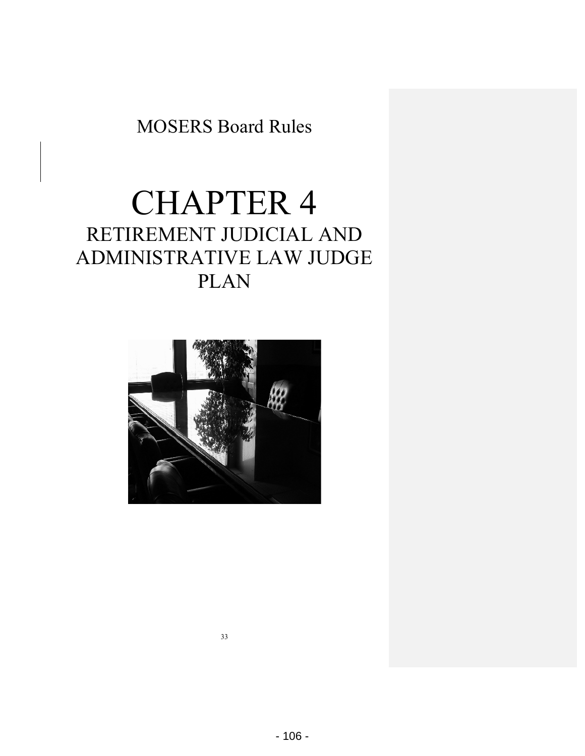# CHAPTER 4 RETIREMENT JUDICIAL AND ADMINISTRATIVE LAW JUDGE PLAN

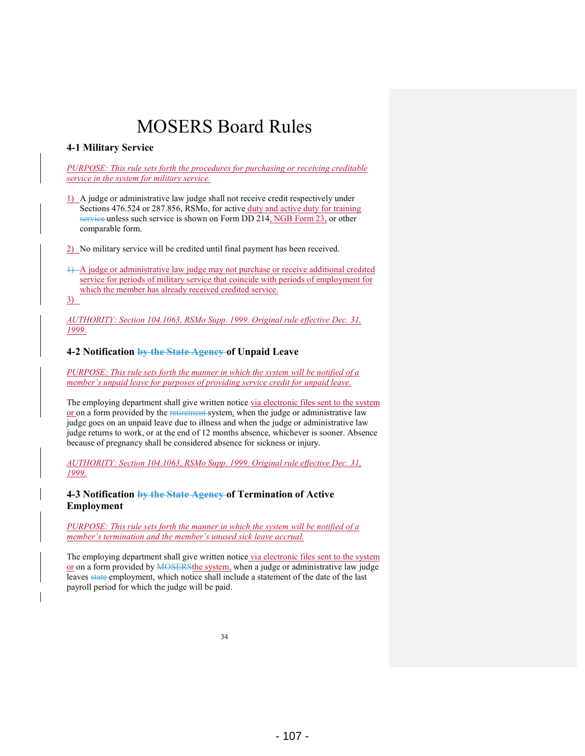### **4-1 Military Service**

*PURPOSE: This rule sets forth the procedures for purchasing or receiving creditable service in the system for military service.* 

1) A judge or administrative law judge shall not receive credit respectively under Sections 476.524 or 287.856, RSMo, for active duty and active duty for training service unless such service is shown on Form DD 214, NGB Form 23, or other comparable form.

2) No military service will be credited until final payment has been received.

1) A judge or administrative law judge may not purchase or receive additional credited service for periods of military service that coincide with periods of employment for which the member has already received credited service. 3)

*AUTHORITY: Section 104.1063, RSMo Supp. 1999. Original rule effective Dec. 31, 1999.* 

#### **4-2 Notification by the State Agency of Unpaid Leave**

*PURPOSE: This rule sets forth the manner in which the system will be notified of a member's unpaid leave for purposes of providing service credit for unpaid leave.* 

The employing department shall give written notice via electronic files sent to the system or on a form provided by the retirement system, when the judge or administrative law judge goes on an unpaid leave due to illness and when the judge or administrative law judge returns to work, or at the end of 12 months absence, whichever is sooner. Absence because of pregnancy shall be considered absence for sickness or injury.

*AUTHORITY: Section 104.1063, RSMo Supp. 1999. Original rule effective Dec. 31, 1999.* 

**4-3 Notification by the State Agency of Termination of Active Employment** 

*PURPOSE: This rule sets forth the manner in which the system will be notified of a member's termination and the member's unused sick leave accrual.* 

The employing department shall give written notice via electronic files sent to the system or on a form provided by **MOSERS**the system, when a judge or administrative law judge leaves state employment, which notice shall include a statement of the date of the last payroll period for which the judge will be paid.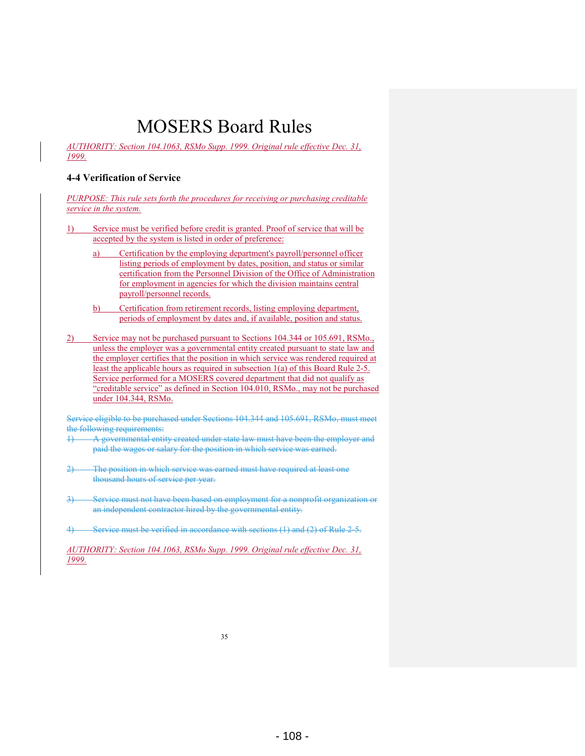*AUTHORITY: Section 104.1063, RSMo Supp. 1999. Original rule effective Dec. 31, 1999.* 

#### **4-4 Verification of Service**

*PURPOSE: This rule sets forth the procedures for receiving or purchasing creditable service in the system.* 

- Service must be verified before credit is granted. Proof of service that will be accepted by the system is listed in order of preference:
	- a) Certification by the employing department's payroll/personnel officer listing periods of employment by dates, position, and status or similar certification from the Personnel Division of the Office of Administration for employment in agencies for which the division maintains central payroll/personnel records.
	- b) Certification from retirement records, listing employing department, periods of employment by dates and, if available, position and status.
- 2) Service may not be purchased pursuant to Sections 104.344 or 105.691, RSMo., unless the employer was a governmental entity created pursuant to state law and the employer certifies that the position in which service was rendered required at least the applicable hours as required in subsection 1(a) of this Board Rule 2-5. Service performed for a MOSERS covered department that did not qualify as "creditable service" as defined in Section 104.010, RSMo., may not be purchased under 104.344, RSMo.

Service eligible to be purchased under Sections 104.344 and 105.691, RSMo, must meet the following requirements:

- 1) A governmental entity created under state law must have been the employer and paid the wages or salary for the position in which service was earned.
- 2) The position in which service was earned must have required at least one thousand hours of service per year.
- 3) Service must not have been based on employment for a nonprofit organization or an independent contractor hired by the governmental entity.
- 4) Service must be verified in accordance with sections (1) and (2) of Rule 2-5.

*AUTHORITY: Section 104.1063, RSMo Supp. 1999. Original rule effective Dec. 31, 1999.*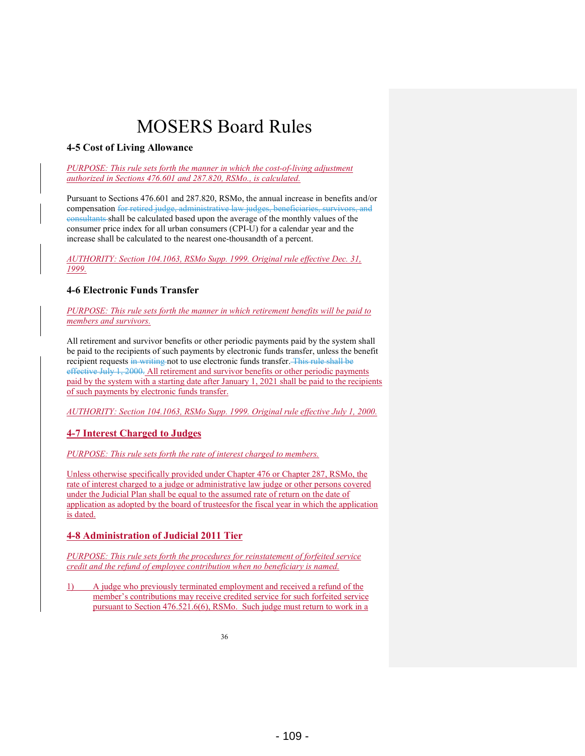### **4-5 Cost of Living Allowance**

*PURPOSE: This rule sets forth the manner in which the cost-of-living adjustment authorized in Sections 476.601 and 287.820, RSMo., is calculated.* 

Pursuant to Sections 476.601 and 287.820, RSMo, the annual increase in benefits and/or compensation for retired judge, administrative law judges, beneficiaries, survivors, and consultants shall be calculated based upon the average of the monthly values of the consumer price index for all urban consumers (CPI-U) for a calendar year and the increase shall be calculated to the nearest one-thousandth of a percent.

*AUTHORITY: Section 104.1063, RSMo Supp. 1999. Original rule effective Dec. 31, 1999.* 

### **4-6 Electronic Funds Transfer**

*PURPOSE: This rule sets forth the manner in which retirement benefits will be paid to members and survivors.* 

All retirement and survivor benefits or other periodic payments paid by the system shall be paid to the recipients of such payments by electronic funds transfer, unless the benefit recipient requests in writing not to use electronic funds transfer. This rule shall be effective July 1, 2000. All retirement and survivor benefits or other periodic payments paid by the system with a starting date after January 1, 2021 shall be paid to the recipients of such payments by electronic funds transfer.

*AUTHORITY: Section 104.1063, RSMo Supp. 1999. Original rule effective July 1, 2000.* 

### **4-7 Interest Charged to Judges**

*PURPOSE: This rule sets forth the rate of interest charged to members.* 

Unless otherwise specifically provided under Chapter 476 or Chapter 287, RSMo, the rate of interest charged to a judge or administrative law judge or other persons covered under the Judicial Plan shall be equal to the assumed rate of return on the date of application as adopted by the board of trusteesfor the fiscal year in which the application is dated.

### **4-8 Administration of Judicial 2011 Tier**

*PURPOSE: This rule sets forth the procedures for reinstatement of forfeited service credit and the refund of employee contribution when no beneficiary is named.* 

1) A judge who previously terminated employment and received a refund of the member's contributions may receive credited service for such forfeited service pursuant to Section 476.521.6(6), RSMo. Such judge must return to work in a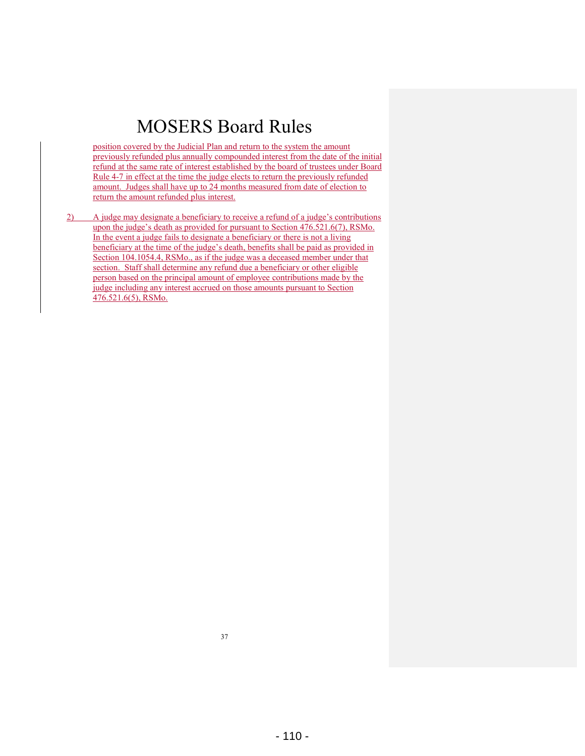position covered by the Judicial Plan and return to the system the amount previously refunded plus annually compounded interest from the date of the initial refund at the same rate of interest established by the board of trustees under Board Rule 4-7 in effect at the time the judge elects to return the previously refunded amount. Judges shall have up to 24 months measured from date of election to return the amount refunded plus interest.

2) A judge may designate a beneficiary to receive a refund of a judge's contributions upon the judge's death as provided for pursuant to Section 476.521.6(7), RSMo. In the event a judge fails to designate a beneficiary or there is not a living beneficiary at the time of the judge's death, benefits shall be paid as provided in Section 104.1054.4, RSMo., as if the judge was a deceased member under that section. Staff shall determine any refund due a beneficiary or other eligible person based on the principal amount of employee contributions made by the judge including any interest accrued on those amounts pursuant to Section 476.521.6(5), RSMo.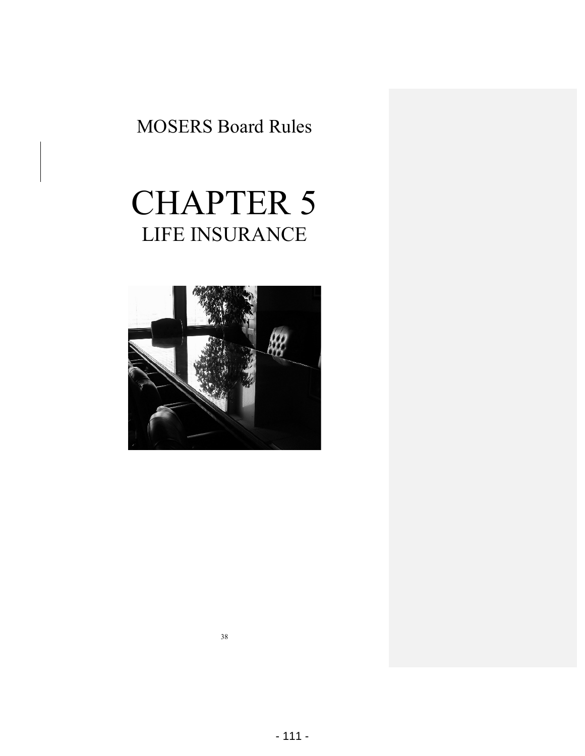# CHAPTER 5 LIFE INSURANCE

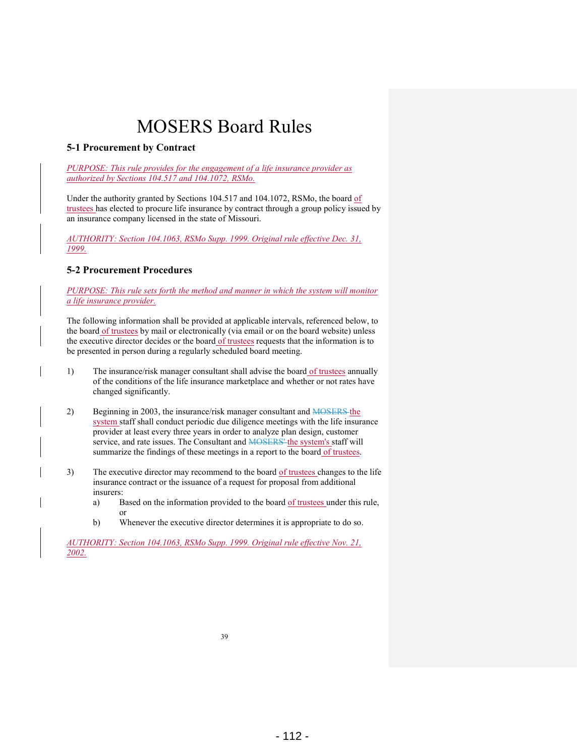### **5-1 Procurement by Contract**

*PURPOSE: This rule provides for the engagement of a life insurance provider as authorized by Sections 104.517 and 104.1072, RSMo.* 

Under the authority granted by Sections 104.517 and 104.1072, RSMo, the board of trustees has elected to procure life insurance by contract through a group policy issued by an insurance company licensed in the state of Missouri.

*AUTHORITY: Section 104.1063, RSMo Supp. 1999. Original rule effective Dec. 31, 1999.* 

### **5-2 Procurement Procedures**

*PURPOSE: This rule sets forth the method and manner in which the system will monitor a life insurance provider.* 

The following information shall be provided at applicable intervals, referenced below, to the board of trustees by mail or electronically (via email or on the board website) unless the executive director decides or the board of trustees requests that the information is to be presented in person during a regularly scheduled board meeting.

- 1) The insurance/risk manager consultant shall advise the board of trustees annually of the conditions of the life insurance marketplace and whether or not rates have changed significantly.
- 2) Beginning in 2003, the insurance/risk manager consultant and MOSERS the system staff shall conduct periodic due diligence meetings with the life insurance provider at least every three years in order to analyze plan design, customer service, and rate issues. The Consultant and **MOSERS'** the system's staff will summarize the findings of these meetings in a report to the board of trustees.
- 3) The executive director may recommend to the board of trustees changes to the life insurance contract or the issuance of a request for proposal from additional insurers:
	- a) Based on the information provided to the board of trustees under this rule, or
	- b) Whenever the executive director determines it is appropriate to do so.

*AUTHORITY: Section 104.1063, RSMo Supp. 1999. Original rule effective Nov. 21, 2002.*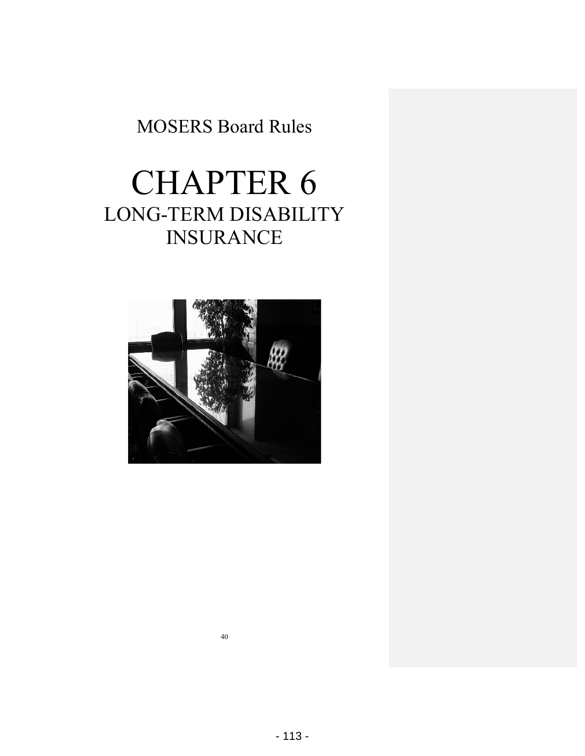# CHAPTER 6 LONG-TERM DISABILITY INSURANCE

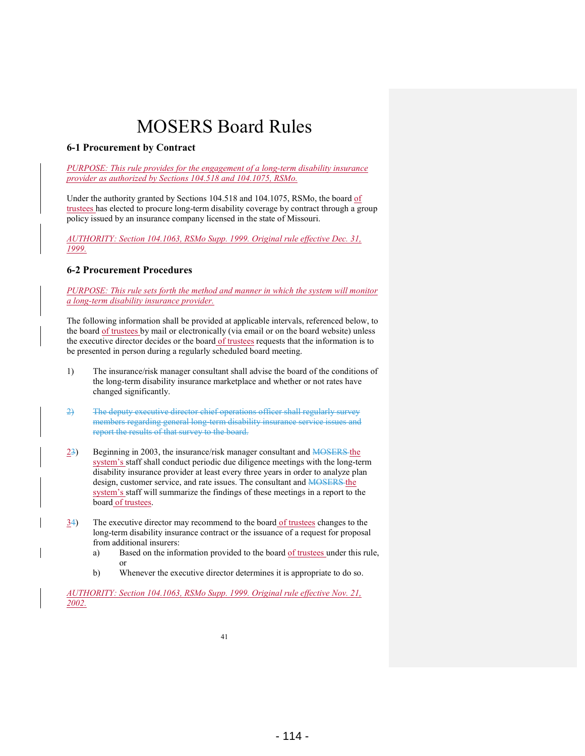### **6-1 Procurement by Contract**

*PURPOSE: This rule provides for the engagement of a long-term disability insurance provider as authorized by Sections 104.518 and 104.1075, RSMo.* 

Under the authority granted by Sections 104.518 and 104.1075, RSMo, the board of trustees has elected to procure long-term disability coverage by contract through a group policy issued by an insurance company licensed in the state of Missouri.

*AUTHORITY: Section 104.1063, RSMo Supp. 1999. Original rule effective Dec. 31, 1999.* 

### **6-2 Procurement Procedures**

*PURPOSE: This rule sets forth the method and manner in which the system will monitor a long-term disability insurance provider.* 

The following information shall be provided at applicable intervals, referenced below, to the board of trustees by mail or electronically (via email or on the board website) unless the executive director decides or the board of trustees requests that the information is to be presented in person during a regularly scheduled board meeting.

- 1) The insurance/risk manager consultant shall advise the board of the conditions of the long-term disability insurance marketplace and whether or not rates have changed significantly.
- 2) The deputy executive director chief operations officer shall regularly survey members regarding general long-term disability insurance service issues and report the results of that survey to the board.
- $23$ ) Beginning in 2003, the insurance/risk manager consultant and MOSERS the system's staff shall conduct periodic due diligence meetings with the long-term disability insurance provider at least every three years in order to analyze plan design, customer service, and rate issues. The consultant and **MOSERS** the system's staff will summarize the findings of these meetings in a report to the board of trustees.
- $\frac{34}{10}$  The executive director may recommend to the board of trustees changes to the long-term disability insurance contract or the issuance of a request for proposal from additional insurers:
	- a) Based on the information provided to the board of trustees under this rule, or
	- b) Whenever the executive director determines it is appropriate to do so.

*AUTHORITY: Section 104.1063, RSMo Supp. 1999. Original rule effective Nov. 21, 2002.*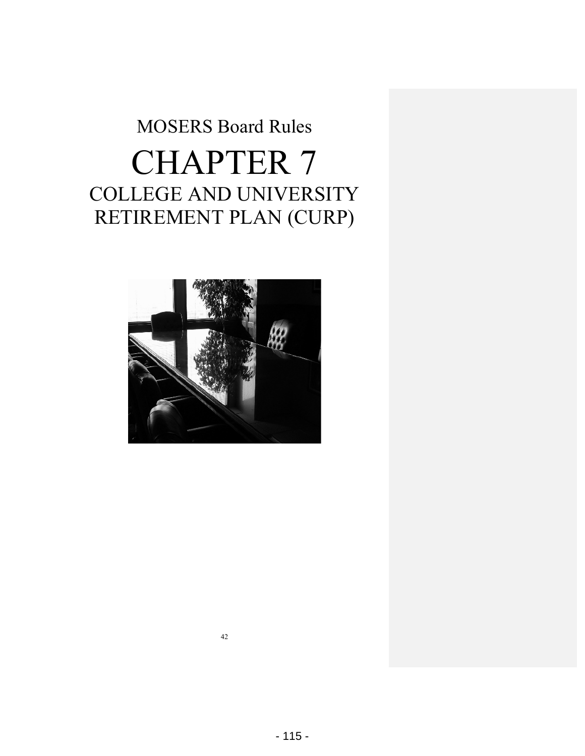# MOSERS Board Rules CHAPTER 7 COLLEGE AND UNIVERSITY RETIREMENT PLAN (CURP)

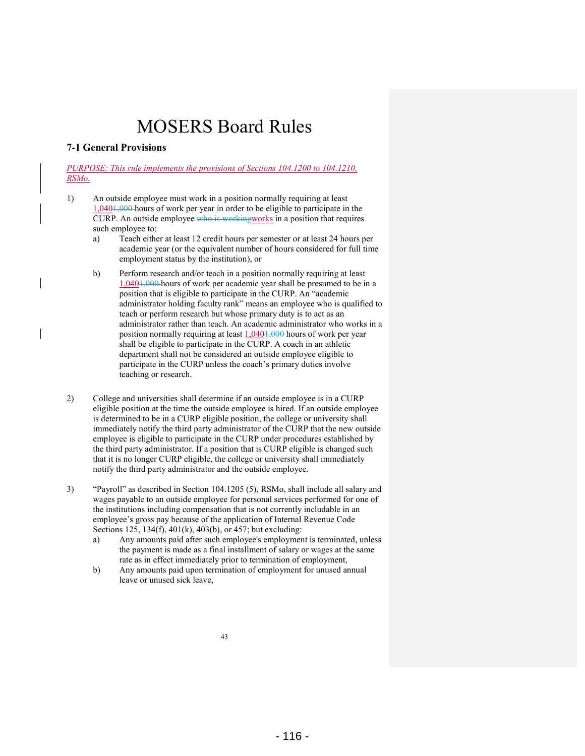### **7-1 General Provisions**

*PURPOSE: This rule implements the provisions of Sections 104.1200 to 104.1210, RSMo.* 

- 1) An outside employee must work in a position normally requiring at least 1,0401,000 hours of work per year in order to be eligible to participate in the CURP. An outside employee who is workingworks in a position that requires such employee to:
	- a) Teach either at least 12 credit hours per semester or at least 24 hours per academic year (or the equivalent number of hours considered for full time employment status by the institution), or
	- b) Perform research and/or teach in a position normally requiring at least 1,0401,000 hours of work per academic year shall be presumed to be in a position that is eligible to participate in the CURP. An "academic administrator holding faculty rank" means an employee who is qualified to teach or perform research but whose primary duty is to act as an administrator rather than teach. An academic administrator who works in a position normally requiring at least 1,0401,000 hours of work per year shall be eligible to participate in the CURP. A coach in an athletic department shall not be considered an outside employee eligible to participate in the CURP unless the coach's primary duties involve teaching or research.
- 2) College and universities shall determine if an outside employee is in a CURP eligible position at the time the outside employee is hired. If an outside employee is determined to be in a CURP eligible position, the college or university shall immediately notify the third party administrator of the CURP that the new outside employee is eligible to participate in the CURP under procedures established by the third party administrator. If a position that is CURP eligible is changed such that it is no longer CURP eligible, the college or university shall immediately notify the third party administrator and the outside employee.
- 3) "Payroll" as described in Section 104.1205 (5), RSMo, shall include all salary and wages payable to an outside employee for personal services performed for one of the institutions including compensation that is not currently includable in an employee's gross pay because of the application of Internal Revenue Code Sections 125, 134(f), 401(k), 403(b), or 457; but excluding:
	- a) Any amounts paid after such employee's employment is terminated, unless the payment is made as a final installment of salary or wages at the same rate as in effect immediately prior to termination of employment,
	- b) Any amounts paid upon termination of employment for unused annual leave or unused sick leave,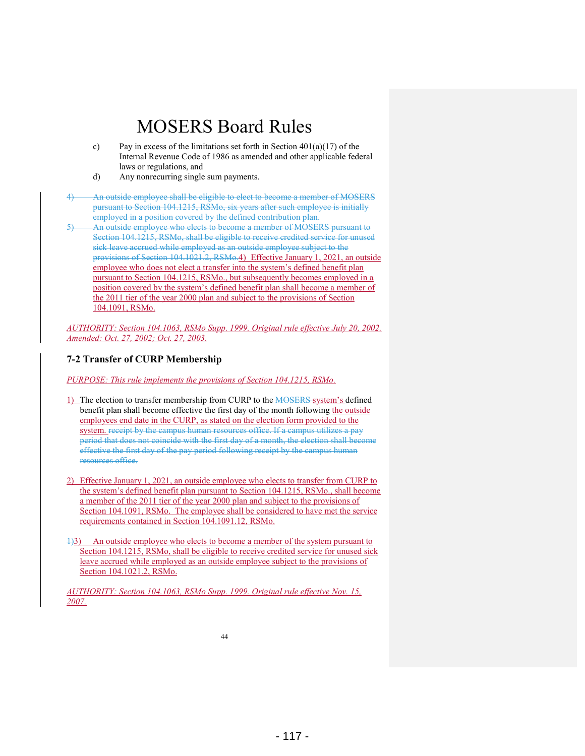- c) Pay in excess of the limitations set forth in Section  $401(a)(17)$  of the Internal Revenue Code of 1986 as amended and other applicable federal laws or regulations, and
- d) Any nonrecurring single sum payments.

4) An outside employee shall be eligible to elect to become a member of MOSERS pursuant to Section 104.1215, RSMo, six years after such employee is initially employed in a position covered by the defined contribution plan.

5) An outside employee who elects to become a member of MOSERS pursuant to Section 104.1215, RSMo, shall be eligible to receive credited service for unused sick leave accrued while employed as an outside employee subject to the provisions of Section 104.1021.2, RSMo.4) Effective January 1, 2021, an outside employee who does not elect a transfer into the system's defined benefit plan pursuant to Section 104.1215, RSMo., but subsequently becomes employed in a position covered by the system's defined benefit plan shall become a member of the 2011 tier of the year 2000 plan and subject to the provisions of Section 104.1091, RSMo.

*AUTHORITY: Section 104.1063, RSMo Supp. 1999. Original rule effective July 20, 2002. Amended: Oct. 27, 2002; Oct. 27, 2003.* 

### **7-2 Transfer of CURP Membership**

*PURPOSE: This rule implements the provisions of Section 104.1215, RSMo.* 

- 1) The election to transfer membership from CURP to the MOSERS system's defined benefit plan shall become effective the first day of the month following the outside employees end date in the CURP, as stated on the election form provided to the system. receipt by the campus human resources office. If a campus utilizes a pay period that does not coincide with the first day of a month, the election shall become effective the first day of the pay period following receipt by the campus human resources office.
- 2) Effective January 1, 2021, an outside employee who elects to transfer from CURP to the system's defined benefit plan pursuant to Section 104.1215, RSMo., shall become a member of the 2011 tier of the year 2000 plan and subject to the provisions of Section 104.1091, RSMo. The employee shall be considered to have met the service requirements contained in Section 104.1091.12, RSMo.
- 1)3) An outside employee who elects to become a member of the system pursuant to Section 104.1215, RSMo, shall be eligible to receive credited service for unused sick leave accrued while employed as an outside employee subject to the provisions of Section 104.1021.2, RSMo.

*AUTHORITY: Section 104.1063, RSMo Supp. 1999. Original rule effective Nov. 15, 2007.*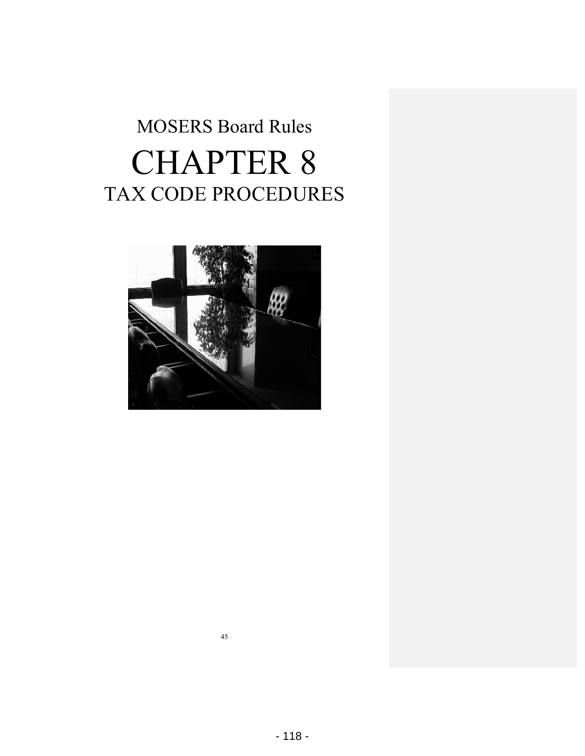# MOSERS Board Rules CHAPTER 8 TAX CODE PROCEDURES

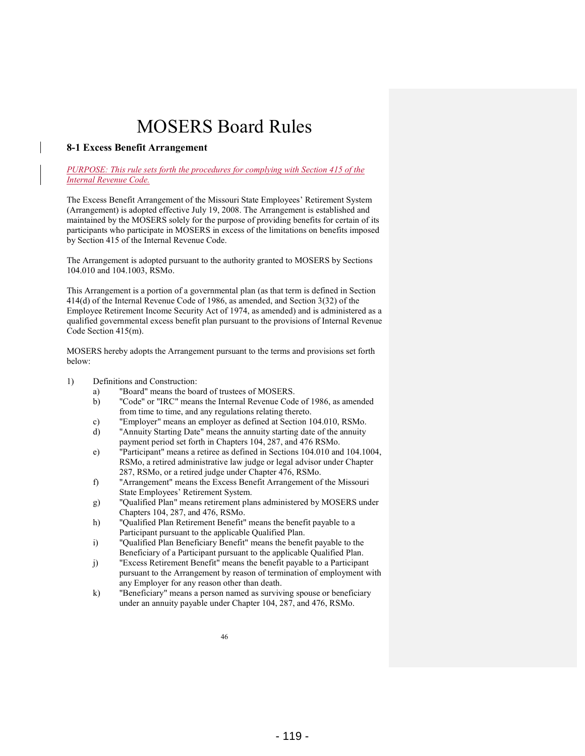#### **8-1 Excess Benefit Arrangement**

#### *PURPOSE: This rule sets forth the procedures for complying with Section 415 of the Internal Revenue Code.*

The Excess Benefit Arrangement of the Missouri State Employees' Retirement System (Arrangement) is adopted effective July 19, 2008. The Arrangement is established and maintained by the MOSERS solely for the purpose of providing benefits for certain of its participants who participate in MOSERS in excess of the limitations on benefits imposed by Section 415 of the Internal Revenue Code.

The Arrangement is adopted pursuant to the authority granted to MOSERS by Sections 104.010 and 104.1003, RSMo.

This Arrangement is a portion of a governmental plan (as that term is defined in Section 414(d) of the Internal Revenue Code of 1986, as amended, and Section 3(32) of the Employee Retirement Income Security Act of 1974, as amended) and is administered as a qualified governmental excess benefit plan pursuant to the provisions of Internal Revenue Code Section 415(m).

MOSERS hereby adopts the Arrangement pursuant to the terms and provisions set forth below:

- 1) Definitions and Construction:
	- a) "Board" means the board of trustees of MOSERS.
	- b) "Code" or "IRC" means the Internal Revenue Code of 1986, as amended from time to time, and any regulations relating thereto.
	- c) "Employer" means an employer as defined at Section 104.010, RSMo.<br>d) "Annuity Starting Date" means the annuity starting date of the annuity
	- "Annuity Starting Date" means the annuity starting date of the annuity payment period set forth in Chapters 104, 287, and 476 RSMo.
	- e) "Participant" means a retiree as defined in Sections 104.010 and 104.1004, RSMo, a retired administrative law judge or legal advisor under Chapter 287, RSMo, or a retired judge under Chapter 476, RSMo.
	- f) "Arrangement" means the Excess Benefit Arrangement of the Missouri State Employees' Retirement System.
	- g) "Qualified Plan" means retirement plans administered by MOSERS under Chapters 104, 287, and 476, RSMo.
	- h) "Qualified Plan Retirement Benefit" means the benefit payable to a Participant pursuant to the applicable Qualified Plan.
	- i) "Qualified Plan Beneficiary Benefit" means the benefit payable to the Beneficiary of a Participant pursuant to the applicable Qualified Plan.
	- j) "Excess Retirement Benefit" means the benefit payable to a Participant pursuant to the Arrangement by reason of termination of employment with any Employer for any reason other than death.
	- k) "Beneficiary" means a person named as surviving spouse or beneficiary under an annuity payable under Chapter 104, 287, and 476, RSMo.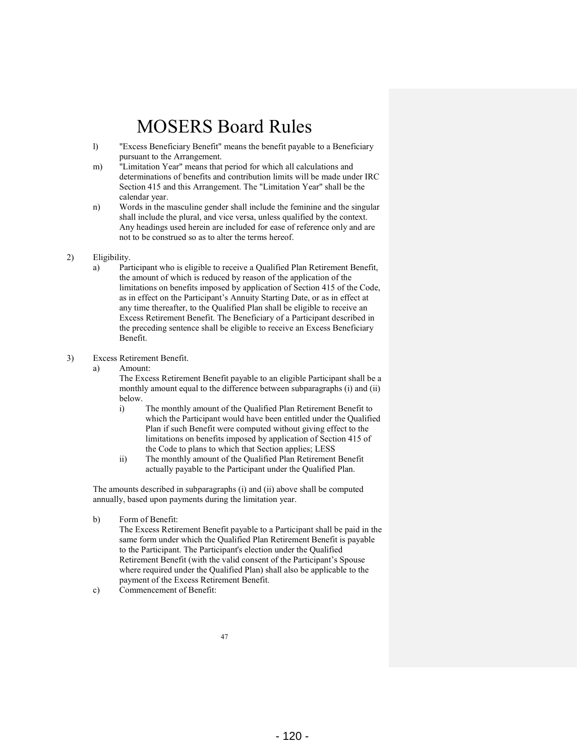- l) "Excess Beneficiary Benefit" means the benefit payable to a Beneficiary pursuant to the Arrangement.
- m) "Limitation Year" means that period for which all calculations and determinations of benefits and contribution limits will be made under IRC Section 415 and this Arrangement. The "Limitation Year" shall be the calendar year.
- n) Words in the masculine gender shall include the feminine and the singular shall include the plural, and vice versa, unless qualified by the context. Any headings used herein are included for ease of reference only and are not to be construed so as to alter the terms hereof.

#### 2) Eligibility.

a) Participant who is eligible to receive a Qualified Plan Retirement Benefit, the amount of which is reduced by reason of the application of the limitations on benefits imposed by application of Section 415 of the Code, as in effect on the Participant's Annuity Starting Date, or as in effect at any time thereafter, to the Qualified Plan shall be eligible to receive an Excess Retirement Benefit. The Beneficiary of a Participant described in the preceding sentence shall be eligible to receive an Excess Beneficiary Benefit.

#### 3) Excess Retirement Benefit.

a) Amount:

 The Excess Retirement Benefit payable to an eligible Participant shall be a monthly amount equal to the difference between subparagraphs (i) and (ii) below.

- i) The monthly amount of the Qualified Plan Retirement Benefit to which the Participant would have been entitled under the Qualified Plan if such Benefit were computed without giving effect to the limitations on benefits imposed by application of Section 415 of the Code to plans to which that Section applies; LESS
- ii) The monthly amount of the Qualified Plan Retirement Benefit actually payable to the Participant under the Qualified Plan.

The amounts described in subparagraphs (i) and (ii) above shall be computed annually, based upon payments during the limitation year.

b) Form of Benefit:

 The Excess Retirement Benefit payable to a Participant shall be paid in the same form under which the Qualified Plan Retirement Benefit is payable to the Participant. The Participant's election under the Qualified Retirement Benefit (with the valid consent of the Participant's Spouse where required under the Qualified Plan) shall also be applicable to the payment of the Excess Retirement Benefit.

c) Commencement of Benefit: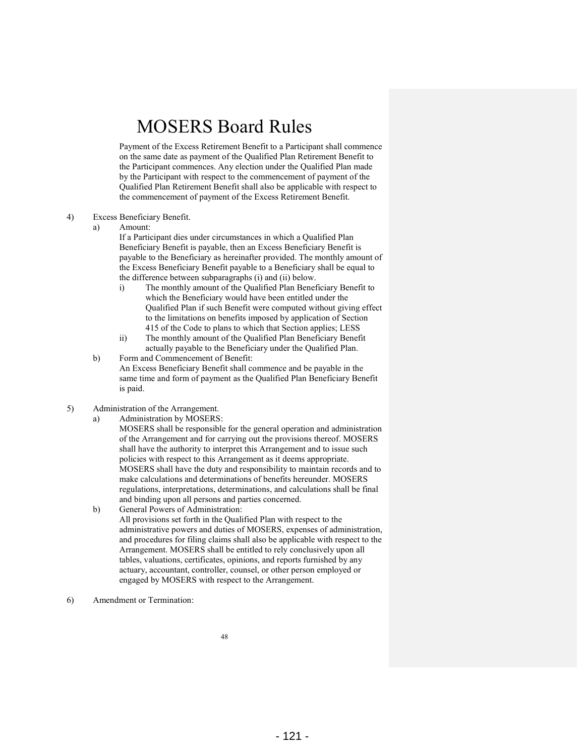Payment of the Excess Retirement Benefit to a Participant shall commence on the same date as payment of the Qualified Plan Retirement Benefit to the Participant commences. Any election under the Qualified Plan made by the Participant with respect to the commencement of payment of the Qualified Plan Retirement Benefit shall also be applicable with respect to the commencement of payment of the Excess Retirement Benefit.

- 4) Excess Beneficiary Benefit.
	- a) Amount:

 If a Participant dies under circumstances in which a Qualified Plan Beneficiary Benefit is payable, then an Excess Beneficiary Benefit is payable to the Beneficiary as hereinafter provided. The monthly amount of the Excess Beneficiary Benefit payable to a Beneficiary shall be equal to the difference between subparagraphs (i) and (ii) below.

- i) The monthly amount of the Qualified Plan Beneficiary Benefit to which the Beneficiary would have been entitled under the Qualified Plan if such Benefit were computed without giving effect to the limitations on benefits imposed by application of Section 415 of the Code to plans to which that Section applies; LESS
- ii) The monthly amount of the Qualified Plan Beneficiary Benefit actually payable to the Beneficiary under the Qualified Plan.
- b) Form and Commencement of Benefit: An Excess Beneficiary Benefit shall commence and be payable in the same time and form of payment as the Qualified Plan Beneficiary Benefit is paid.
- 5) Administration of the Arrangement.
	- a) Administration by MOSERS:

 MOSERS shall be responsible for the general operation and administration of the Arrangement and for carrying out the provisions thereof. MOSERS shall have the authority to interpret this Arrangement and to issue such policies with respect to this Arrangement as it deems appropriate. MOSERS shall have the duty and responsibility to maintain records and to make calculations and determinations of benefits hereunder. MOSERS regulations, interpretations, determinations, and calculations shall be final and binding upon all persons and parties concerned.

- b) General Powers of Administration: All provisions set forth in the Qualified Plan with respect to the administrative powers and duties of MOSERS, expenses of administration, and procedures for filing claims shall also be applicable with respect to the Arrangement. MOSERS shall be entitled to rely conclusively upon all tables, valuations, certificates, opinions, and reports furnished by any actuary, accountant, controller, counsel, or other person employed or engaged by MOSERS with respect to the Arrangement.
- 6) Amendment or Termination: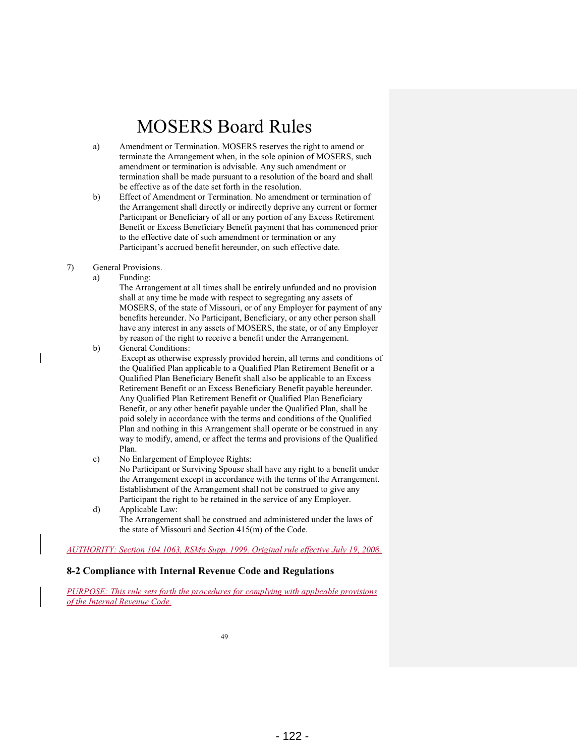- a) Amendment or Termination. MOSERS reserves the right to amend or terminate the Arrangement when, in the sole opinion of MOSERS, such amendment or termination is advisable. Any such amendment or termination shall be made pursuant to a resolution of the board and shall be effective as of the date set forth in the resolution.
- b) Effect of Amendment or Termination. No amendment or termination of the Arrangement shall directly or indirectly deprive any current or former Participant or Beneficiary of all or any portion of any Excess Retirement Benefit or Excess Beneficiary Benefit payment that has commenced prior to the effective date of such amendment or termination or any Participant's accrued benefit hereunder, on such effective date.
- 7) General Provisions.
	- a) Funding:

 The Arrangement at all times shall be entirely unfunded and no provision shall at any time be made with respect to segregating any assets of MOSERS, of the state of Missouri, or of any Employer for payment of any benefits hereunder. No Participant, Beneficiary, or any other person shall have any interest in any assets of MOSERS, the state, or of any Employer by reason of the right to receive a benefit under the Arrangement.

b) General Conditions:

Except as otherwise expressly provided herein, all terms and conditions of the Qualified Plan applicable to a Qualified Plan Retirement Benefit or a Qualified Plan Beneficiary Benefit shall also be applicable to an Excess Retirement Benefit or an Excess Beneficiary Benefit payable hereunder. Any Qualified Plan Retirement Benefit or Qualified Plan Beneficiary Benefit, or any other benefit payable under the Qualified Plan, shall be paid solely in accordance with the terms and conditions of the Qualified Plan and nothing in this Arrangement shall operate or be construed in any way to modify, amend, or affect the terms and provisions of the Qualified Plan.

- c) No Enlargement of Employee Rights: No Participant or Surviving Spouse shall have any right to a benefit under the Arrangement except in accordance with the terms of the Arrangement. Establishment of the Arrangement shall not be construed to give any Participant the right to be retained in the service of any Employer.
- d) Applicable Law: The Arrangement shall be construed and administered under the laws of the state of Missouri and Section 415(m) of the Code.

*AUTHORITY: Section 104.1063, RSMo Supp. 1999. Original rule effective July 19, 2008.* 

#### **8-2 Compliance with Internal Revenue Code and Regulations**

*PURPOSE: This rule sets forth the procedures for complying with applicable provisions of the Internal Revenue Code.*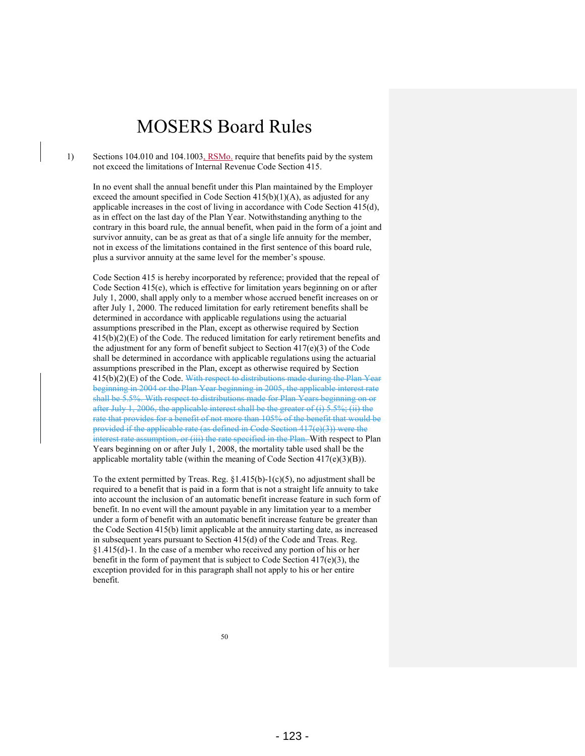1) Sections 104.010 and 104.1003, RSMo. require that benefits paid by the system not exceed the limitations of Internal Revenue Code Section 415.

In no event shall the annual benefit under this Plan maintained by the Employer exceed the amount specified in Code Section  $415(b)(1)(A)$ , as adjusted for any applicable increases in the cost of living in accordance with Code Section 415(d), as in effect on the last day of the Plan Year. Notwithstanding anything to the contrary in this board rule, the annual benefit, when paid in the form of a joint and survivor annuity, can be as great as that of a single life annuity for the member, not in excess of the limitations contained in the first sentence of this board rule, plus a survivor annuity at the same level for the member's spouse.

Code Section 415 is hereby incorporated by reference; provided that the repeal of Code Section 415(e), which is effective for limitation years beginning on or after July 1, 2000, shall apply only to a member whose accrued benefit increases on or after July 1, 2000. The reduced limitation for early retirement benefits shall be determined in accordance with applicable regulations using the actuarial assumptions prescribed in the Plan, except as otherwise required by Section  $415(b)(2)(E)$  of the Code. The reduced limitation for early retirement benefits and the adjustment for any form of benefit subject to Section 417(e)(3) of the Code shall be determined in accordance with applicable regulations using the actuarial assumptions prescribed in the Plan, except as otherwise required by Section 415(b)(2)(E) of the Code. With respect to distributions made during the Plan Year beginning in 2004 or the Plan Year beginning in 2005, the applicable interest rate shall be 5.5%. With respect to distributions made for Plan Years beginning on or after July 1, 2006, the applicable interest shall be the greater of (i) 5.5%; (ii) the rate that provides for a benefit of not more than 105% of the benefit that would be provided if the applicable rate (as defined in Code Section 417(e)(3)) were the interest rate assumption, or (iii) the rate specified in the Plan. With respect to Plan Years beginning on or after July 1, 2008, the mortality table used shall be the applicable mortality table (within the meaning of Code Section  $417(e)(3)(B)$ ).

To the extent permitted by Treas. Reg.  $\S 1.415(b)-1(c)(5)$ , no adjustment shall be required to a benefit that is paid in a form that is not a straight life annuity to take into account the inclusion of an automatic benefit increase feature in such form of benefit. In no event will the amount payable in any limitation year to a member under a form of benefit with an automatic benefit increase feature be greater than the Code Section 415(b) limit applicable at the annuity starting date, as increased in subsequent years pursuant to Section 415(d) of the Code and Treas. Reg. §1.415(d)-1. In the case of a member who received any portion of his or her benefit in the form of payment that is subject to Code Section 417(e)(3), the exception provided for in this paragraph shall not apply to his or her entire benefit.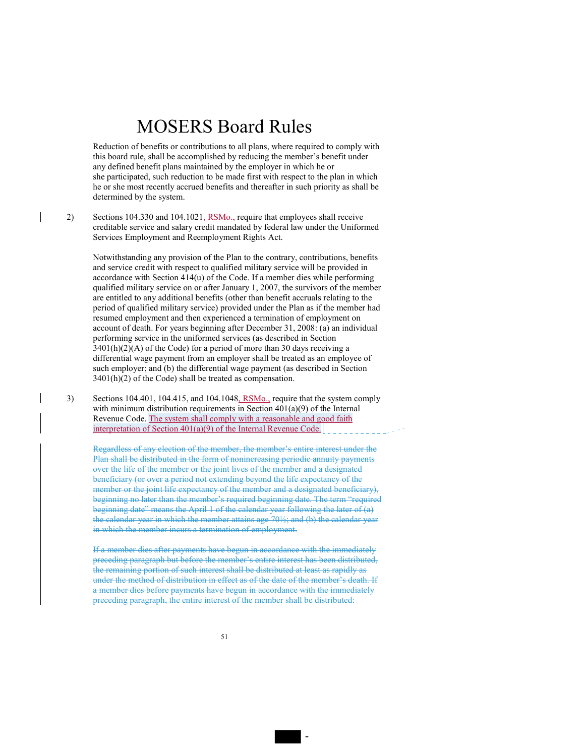Reduction of benefits or contributions to all plans, where required to comply with this board rule, shall be accomplished by reducing the member's benefit under any defined benefit plans maintained by the employer in which he or she participated, such reduction to be made first with respect to the plan in which he or she most recently accrued benefits and thereafter in such priority as shall be determined by the system.

2) Sections 104.330 and 104.1021, RSMo., require that employees shall receive creditable service and salary credit mandated by federal law under the Uniformed Services Employment and Reemployment Rights Act.

Notwithstanding any provision of the Plan to the contrary, contributions, benefits and service credit with respect to qualified military service will be provided in accordance with Section 414(u) of the Code. If a member dies while performing qualified military service on or after January 1, 2007, the survivors of the member are entitled to any additional benefits (other than benefit accruals relating to the period of qualified military service) provided under the Plan as if the member had resumed employment and then experienced a termination of employment on account of death. For years beginning after December 31, 2008: (a) an individual performing service in the uniformed services (as described in Section  $3401(h)(2)(A)$  of the Code) for a period of more than 30 days receiving a differential wage payment from an employer shall be treated as an employee of such employer; and (b) the differential wage payment (as described in Section  $3401(h)(2)$  of the Code) shall be treated as compensation.

3) Sections 104.401, 104.415, and 104.1048, RSMo., require that the system comply with minimum distribution requirements in Section  $401(a)(9)$  of the Internal Revenue Code. The system shall comply with a reasonable and good faith interpretation of Section 401(a)(9) of the Internal Revenue Code.

Regardless of any election of the member, the member's entire interest under the Plan shall be distributed in the form of nonincreasing periodic annuity payments over the life of the member or the joint lives of the member and a designated beneficiary (or over a period not extending beyond the life expectancy of the member or the joint life expectancy of the member and a designated beneficiary), beginning no later than the member's required beginning date. The term "required beginning date" means the April 1 of the calendar year following the later of  $(a)$ the calendar year in which the member attains age 70½; and (b) the calendar year in which the member incurs a termination of employment.

If a member dies after payments have begun in accordance with the immediately preceding paragraph but before the member's entire interest has been distributed, the remaining portion of such interest shall be distributed at least as rapidly as under the method of distribution in effect as of the date of the member's death. If a member dies before payments have begun in accordance with the immediately preceding paragraph, the entire interest of the member shall be distributed:

-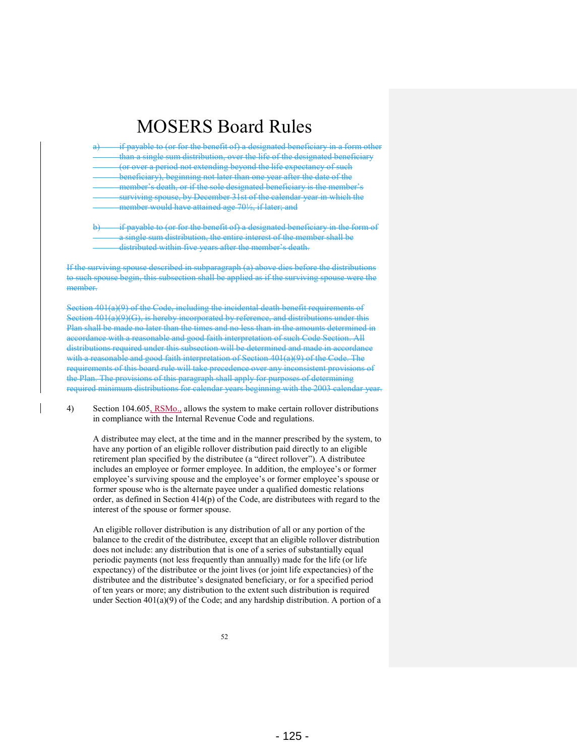| if payable to (or for the benefit of) a designated beneficiary in a form-   |
|-----------------------------------------------------------------------------|
| than a single sum distribution, over the life of the designated beneficiary |
| <u>(or over a period not extending bevond the life expectancy of such</u>   |
| beneficiary), beginning not later than one year after the date of the       |
| member's death, or if the sole designated beneficiary is the member's       |
| surviving spouse, by December 31st of the calendar year in which the        |
| member would have attained age 70 <sup>1/2</sup> , if later; and            |
|                                                                             |

payable to (or for the benefit of) a designated beneficiary in the form of a single sum distribution, the entire interest of the member shall be distributed within five years after the member's death.

If the surviving spouse described in subparagraph (a) above dies before the distributions to such spouse begin, this subsection shall be applied as if the surviving spouse were the member.

Section 401(a)(9) of the Code, including the incidental death benefit requirements of Section 401(a)(9)(G), is hereby incorporated by reference, and distributions under this Plan shall be made no later than the times and no less than in the amounts determined in accordance with a reasonable and good faith interpretation of such Code Section. All distributions required under this subsection will be determined and made in accordance with a reasonable and good faith interpretation of Section 401(a)(9) of the Code. The requirements of this board rule will take precedence over any inconsistent provisions of the Plan. The provisions of this paragraph shall apply for purposes of determining required minimum distributions for calendar years beginning with the 2003 calendar year.

4) Section 104.605, RSMo., allows the system to make certain rollover distributions in compliance with the Internal Revenue Code and regulations.

A distributee may elect, at the time and in the manner prescribed by the system, to have any portion of an eligible rollover distribution paid directly to an eligible retirement plan specified by the distributee (a "direct rollover"). A distributee includes an employee or former employee. In addition, the employee's or former employee's surviving spouse and the employee's or former employee's spouse or former spouse who is the alternate payee under a qualified domestic relations order, as defined in Section 414(p) of the Code, are distributees with regard to the interest of the spouse or former spouse.

An eligible rollover distribution is any distribution of all or any portion of the balance to the credit of the distributee, except that an eligible rollover distribution does not include: any distribution that is one of a series of substantially equal periodic payments (not less frequently than annually) made for the life (or life expectancy) of the distributee or the joint lives (or joint life expectancies) of the distributee and the distributee's designated beneficiary, or for a specified period of ten years or more; any distribution to the extent such distribution is required under Section 401(a)(9) of the Code; and any hardship distribution. A portion of a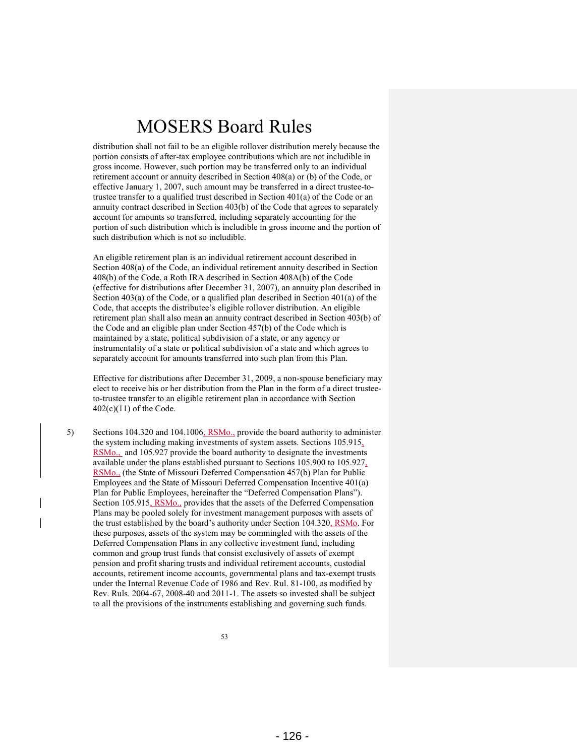distribution shall not fail to be an eligible rollover distribution merely because the portion consists of after-tax employee contributions which are not includible in gross income. However, such portion may be transferred only to an individual retirement account or annuity described in Section 408(a) or (b) of the Code, or effective January 1, 2007, such amount may be transferred in a direct trustee-totrustee transfer to a qualified trust described in Section 401(a) of the Code or an annuity contract described in Section 403(b) of the Code that agrees to separately account for amounts so transferred, including separately accounting for the portion of such distribution which is includible in gross income and the portion of such distribution which is not so includible.

An eligible retirement plan is an individual retirement account described in Section 408(a) of the Code, an individual retirement annuity described in Section 408(b) of the Code, a Roth IRA described in Section 408A(b) of the Code (effective for distributions after December 31, 2007), an annuity plan described in Section 403(a) of the Code, or a qualified plan described in Section 401(a) of the Code, that accepts the distributee's eligible rollover distribution. An eligible retirement plan shall also mean an annuity contract described in Section 403(b) of the Code and an eligible plan under Section 457(b) of the Code which is maintained by a state, political subdivision of a state, or any agency or instrumentality of a state or political subdivision of a state and which agrees to separately account for amounts transferred into such plan from this Plan.

Effective for distributions after December 31, 2009, a non-spouse beneficiary may elect to receive his or her distribution from the Plan in the form of a direct trusteeto-trustee transfer to an eligible retirement plan in accordance with Section 402(c)(11) of the Code.

5) Sections 104.320 and 104.1006, RSMo., provide the board authority to administer the system including making investments of system assets. Sections 105.915, RSMo., and 105.927 provide the board authority to designate the investments available under the plans established pursuant to Sections 105.900 to 105.927, RSMo., (the State of Missouri Deferred Compensation 457(b) Plan for Public Employees and the State of Missouri Deferred Compensation Incentive 401(a) Plan for Public Employees, hereinafter the "Deferred Compensation Plans"). Section 105.915, RSMo., provides that the assets of the Deferred Compensation Plans may be pooled solely for investment management purposes with assets of the trust established by the board's authority under Section 104.320, RSMo. For these purposes, assets of the system may be commingled with the assets of the Deferred Compensation Plans in any collective investment fund, including common and group trust funds that consist exclusively of assets of exempt pension and profit sharing trusts and individual retirement accounts, custodial accounts, retirement income accounts, governmental plans and tax-exempt trusts under the Internal Revenue Code of 1986 and Rev. Rul. 81-100, as modified by Rev. Ruls. 2004-67, 2008-40 and 2011-1. The assets so invested shall be subject to all the provisions of the instruments establishing and governing such funds.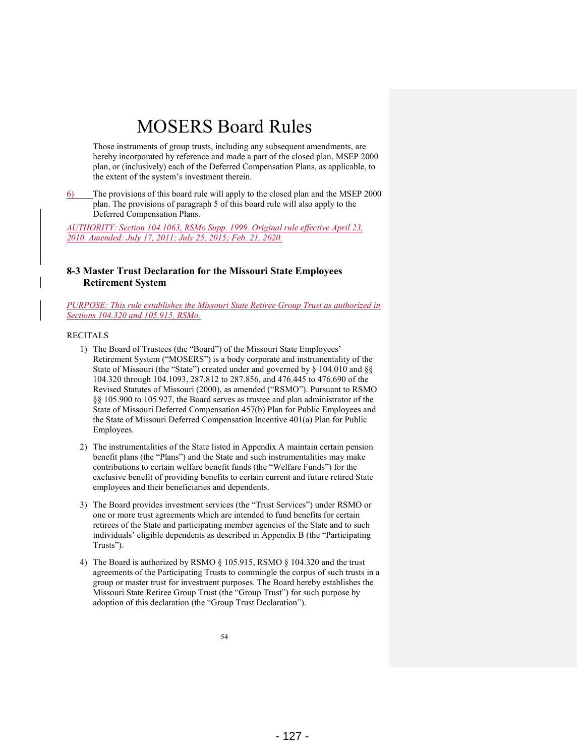Those instruments of group trusts, including any subsequent amendments, are hereby incorporated by reference and made a part of the closed plan, MSEP 2000 plan, or (inclusively) each of the Deferred Compensation Plans, as applicable, to the extent of the system's investment therein.

6) The provisions of this board rule will apply to the closed plan and the MSEP 2000 plan. The provisions of paragraph 5 of this board rule will also apply to the Deferred Compensation Plans.

*AUTHORITY: Section 104.1063, RSMo Supp. 1999. Original rule effective April 23, 2010. Amended: July 17, 2011; July 25, 2015; Feb. 21, 2020.* 

### **8-3 Master Trust Declaration for the Missouri State Employees Retirement System**

*PURPOSE: This rule establishes the Missouri State Retiree Group Trust as authorized in Sections 104.320 and 105.915, RSMo.* 

#### RECITALS

- 1) The Board of Trustees (the "Board") of the Missouri State Employees' Retirement System ("MOSERS") is a body corporate and instrumentality of the State of Missouri (the "State") created under and governed by § 104.010 and §§ 104.320 through 104.1093, 287.812 to 287.856, and 476.445 to 476.690 of the Revised Statutes of Missouri (2000), as amended ("RSMO"). Pursuant to RSMO §§ 105.900 to 105.927, the Board serves as trustee and plan administrator of the State of Missouri Deferred Compensation 457(b) Plan for Public Employees and the State of Missouri Deferred Compensation Incentive 401(a) Plan for Public Employees.
- 2) The instrumentalities of the State listed in Appendix A maintain certain pension benefit plans (the "Plans") and the State and such instrumentalities may make contributions to certain welfare benefit funds (the "Welfare Funds") for the exclusive benefit of providing benefits to certain current and future retired State employees and their beneficiaries and dependents.
- 3) The Board provides investment services (the "Trust Services") under RSMO or one or more trust agreements which are intended to fund benefits for certain retirees of the State and participating member agencies of the State and to such individuals' eligible dependents as described in Appendix B (the "Participating Trusts").
- 4) The Board is authorized by RSMO § 105.915, RSMO § 104.320 and the trust agreements of the Participating Trusts to commingle the corpus of such trusts in a group or master trust for investment purposes. The Board hereby establishes the Missouri State Retiree Group Trust (the "Group Trust") for such purpose by adoption of this declaration (the "Group Trust Declaration").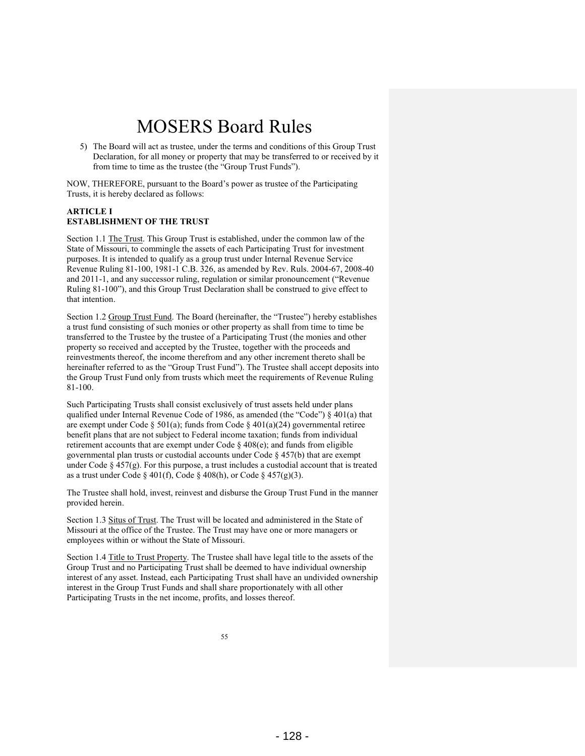5) The Board will act as trustee, under the terms and conditions of this Group Trust Declaration, for all money or property that may be transferred to or received by it from time to time as the trustee (the "Group Trust Funds").

NOW, THEREFORE, pursuant to the Board's power as trustee of the Participating Trusts, it is hereby declared as follows:

#### **ARTICLE I ESTABLISHMENT OF THE TRUST**

Section 1.1 The Trust. This Group Trust is established, under the common law of the State of Missouri, to commingle the assets of each Participating Trust for investment purposes. It is intended to qualify as a group trust under Internal Revenue Service Revenue Ruling 81-100, 1981-1 C.B. 326, as amended by Rev. Ruls. 2004-67, 2008-40 and 2011-1, and any successor ruling, regulation or similar pronouncement ("Revenue Ruling 81-100"), and this Group Trust Declaration shall be construed to give effect to that intention.

Section 1.2 Group Trust Fund. The Board (hereinafter, the "Trustee") hereby establishes a trust fund consisting of such monies or other property as shall from time to time be transferred to the Trustee by the trustee of a Participating Trust (the monies and other property so received and accepted by the Trustee, together with the proceeds and reinvestments thereof, the income therefrom and any other increment thereto shall be hereinafter referred to as the "Group Trust Fund"). The Trustee shall accept deposits into the Group Trust Fund only from trusts which meet the requirements of Revenue Ruling 81-100.

Such Participating Trusts shall consist exclusively of trust assets held under plans qualified under Internal Revenue Code of 1986, as amended (the "Code") § 401(a) that are exempt under Code § 501(a); funds from Code § 401(a)(24) governmental retiree benefit plans that are not subject to Federal income taxation; funds from individual retirement accounts that are exempt under Code § 408(e); and funds from eligible governmental plan trusts or custodial accounts under Code § 457(b) that are exempt under Code  $\S 457(g)$ . For this purpose, a trust includes a custodial account that is treated as a trust under Code § 401(f), Code § 408(h), or Code § 457(g)(3).

The Trustee shall hold, invest, reinvest and disburse the Group Trust Fund in the manner provided herein.

Section 1.3 Situs of Trust. The Trust will be located and administered in the State of Missouri at the office of the Trustee. The Trust may have one or more managers or employees within or without the State of Missouri.

Section 1.4 Title to Trust Property. The Trustee shall have legal title to the assets of the Group Trust and no Participating Trust shall be deemed to have individual ownership interest of any asset. Instead, each Participating Trust shall have an undivided ownership interest in the Group Trust Funds and shall share proportionately with all other Participating Trusts in the net income, profits, and losses thereof.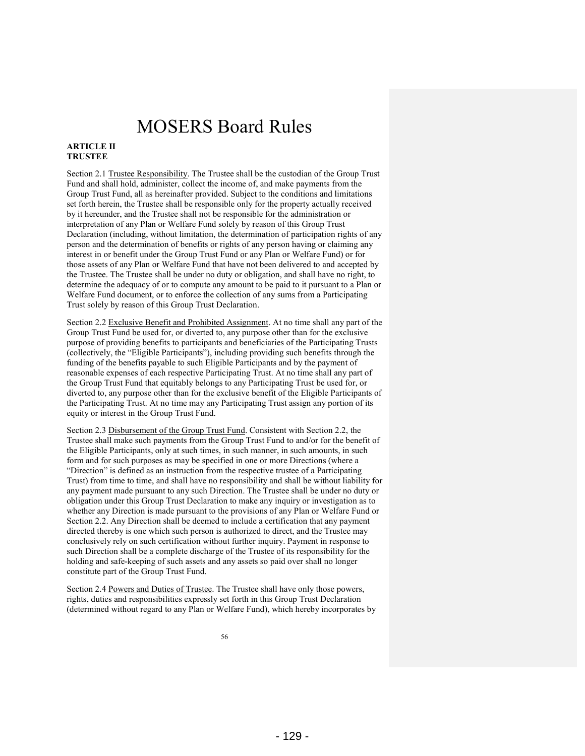#### **ARTICLE II TRUSTEE**

Section 2.1 Trustee Responsibility. The Trustee shall be the custodian of the Group Trust Fund and shall hold, administer, collect the income of, and make payments from the Group Trust Fund, all as hereinafter provided. Subject to the conditions and limitations set forth herein, the Trustee shall be responsible only for the property actually received by it hereunder, and the Trustee shall not be responsible for the administration or interpretation of any Plan or Welfare Fund solely by reason of this Group Trust Declaration (including, without limitation, the determination of participation rights of any person and the determination of benefits or rights of any person having or claiming any interest in or benefit under the Group Trust Fund or any Plan or Welfare Fund) or for those assets of any Plan or Welfare Fund that have not been delivered to and accepted by the Trustee. The Trustee shall be under no duty or obligation, and shall have no right, to determine the adequacy of or to compute any amount to be paid to it pursuant to a Plan or Welfare Fund document, or to enforce the collection of any sums from a Participating Trust solely by reason of this Group Trust Declaration.

Section 2.2 Exclusive Benefit and Prohibited Assignment. At no time shall any part of the Group Trust Fund be used for, or diverted to, any purpose other than for the exclusive purpose of providing benefits to participants and beneficiaries of the Participating Trusts (collectively, the "Eligible Participants"), including providing such benefits through the funding of the benefits payable to such Eligible Participants and by the payment of reasonable expenses of each respective Participating Trust. At no time shall any part of the Group Trust Fund that equitably belongs to any Participating Trust be used for, or diverted to, any purpose other than for the exclusive benefit of the Eligible Participants of the Participating Trust. At no time may any Participating Trust assign any portion of its equity or interest in the Group Trust Fund.

Section 2.3 Disbursement of the Group Trust Fund. Consistent with Section 2.2, the Trustee shall make such payments from the Group Trust Fund to and/or for the benefit of the Eligible Participants, only at such times, in such manner, in such amounts, in such form and for such purposes as may be specified in one or more Directions (where a "Direction" is defined as an instruction from the respective trustee of a Participating Trust) from time to time, and shall have no responsibility and shall be without liability for any payment made pursuant to any such Direction. The Trustee shall be under no duty or obligation under this Group Trust Declaration to make any inquiry or investigation as to whether any Direction is made pursuant to the provisions of any Plan or Welfare Fund or Section 2.2. Any Direction shall be deemed to include a certification that any payment directed thereby is one which such person is authorized to direct, and the Trustee may conclusively rely on such certification without further inquiry. Payment in response to such Direction shall be a complete discharge of the Trustee of its responsibility for the holding and safe-keeping of such assets and any assets so paid over shall no longer constitute part of the Group Trust Fund.

Section 2.4 Powers and Duties of Trustee. The Trustee shall have only those powers, rights, duties and responsibilities expressly set forth in this Group Trust Declaration (determined without regard to any Plan or Welfare Fund), which hereby incorporates by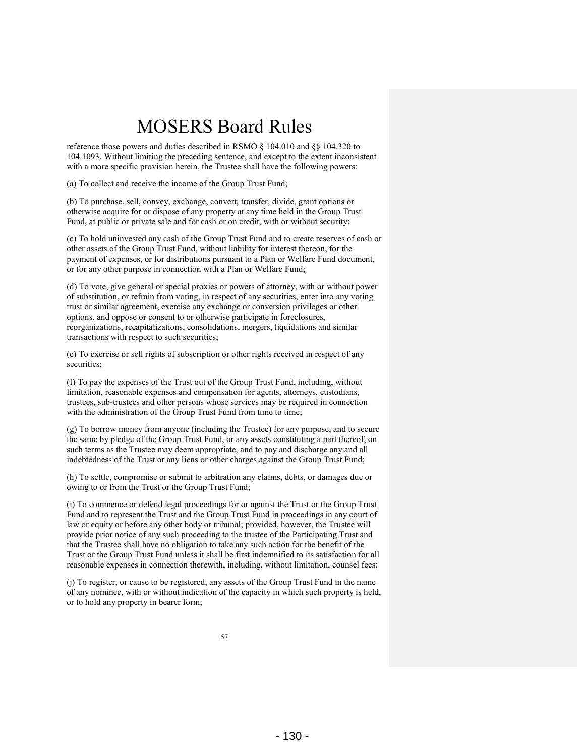reference those powers and duties described in RSMO § 104.010 and §§ 104.320 to 104.1093. Without limiting the preceding sentence, and except to the extent inconsistent with a more specific provision herein, the Trustee shall have the following powers:

(a) To collect and receive the income of the Group Trust Fund;

(b) To purchase, sell, convey, exchange, convert, transfer, divide, grant options or otherwise acquire for or dispose of any property at any time held in the Group Trust Fund, at public or private sale and for cash or on credit, with or without security;

(c) To hold uninvested any cash of the Group Trust Fund and to create reserves of cash or other assets of the Group Trust Fund, without liability for interest thereon, for the payment of expenses, or for distributions pursuant to a Plan or Welfare Fund document, or for any other purpose in connection with a Plan or Welfare Fund;

(d) To vote, give general or special proxies or powers of attorney, with or without power of substitution, or refrain from voting, in respect of any securities, enter into any voting trust or similar agreement, exercise any exchange or conversion privileges or other options, and oppose or consent to or otherwise participate in foreclosures, reorganizations, recapitalizations, consolidations, mergers, liquidations and similar transactions with respect to such securities;

(e) To exercise or sell rights of subscription or other rights received in respect of any securities;

(f) To pay the expenses of the Trust out of the Group Trust Fund, including, without limitation, reasonable expenses and compensation for agents, attorneys, custodians, trustees, sub-trustees and other persons whose services may be required in connection with the administration of the Group Trust Fund from time to time;

(g) To borrow money from anyone (including the Trustee) for any purpose, and to secure the same by pledge of the Group Trust Fund, or any assets constituting a part thereof, on such terms as the Trustee may deem appropriate, and to pay and discharge any and all indebtedness of the Trust or any liens or other charges against the Group Trust Fund;

(h) To settle, compromise or submit to arbitration any claims, debts, or damages due or owing to or from the Trust or the Group Trust Fund;

(i) To commence or defend legal proceedings for or against the Trust or the Group Trust Fund and to represent the Trust and the Group Trust Fund in proceedings in any court of law or equity or before any other body or tribunal; provided, however, the Trustee will provide prior notice of any such proceeding to the trustee of the Participating Trust and that the Trustee shall have no obligation to take any such action for the benefit of the Trust or the Group Trust Fund unless it shall be first indemnified to its satisfaction for all reasonable expenses in connection therewith, including, without limitation, counsel fees;

(j) To register, or cause to be registered, any assets of the Group Trust Fund in the name of any nominee, with or without indication of the capacity in which such property is held, or to hold any property in bearer form;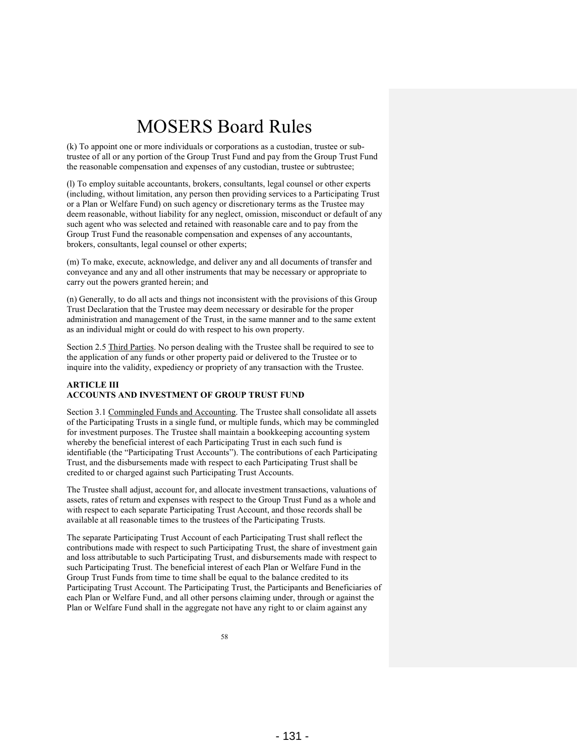(k) To appoint one or more individuals or corporations as a custodian, trustee or subtrustee of all or any portion of the Group Trust Fund and pay from the Group Trust Fund the reasonable compensation and expenses of any custodian, trustee or subtrustee;

(l) To employ suitable accountants, brokers, consultants, legal counsel or other experts (including, without limitation, any person then providing services to a Participating Trust or a Plan or Welfare Fund) on such agency or discretionary terms as the Trustee may deem reasonable, without liability for any neglect, omission, misconduct or default of any such agent who was selected and retained with reasonable care and to pay from the Group Trust Fund the reasonable compensation and expenses of any accountants, brokers, consultants, legal counsel or other experts;

(m) To make, execute, acknowledge, and deliver any and all documents of transfer and conveyance and any and all other instruments that may be necessary or appropriate to carry out the powers granted herein; and

(n) Generally, to do all acts and things not inconsistent with the provisions of this Group Trust Declaration that the Trustee may deem necessary or desirable for the proper administration and management of the Trust, in the same manner and to the same extent as an individual might or could do with respect to his own property.

Section 2.5 Third Parties. No person dealing with the Trustee shall be required to see to the application of any funds or other property paid or delivered to the Trustee or to inquire into the validity, expediency or propriety of any transaction with the Trustee.

#### **ARTICLE III ACCOUNTS AND INVESTMENT OF GROUP TRUST FUND**

Section 3.1 Commingled Funds and Accounting. The Trustee shall consolidate all assets of the Participating Trusts in a single fund, or multiple funds, which may be commingled for investment purposes. The Trustee shall maintain a bookkeeping accounting system whereby the beneficial interest of each Participating Trust in each such fund is identifiable (the "Participating Trust Accounts"). The contributions of each Participating Trust, and the disbursements made with respect to each Participating Trust shall be credited to or charged against such Participating Trust Accounts.

The Trustee shall adjust, account for, and allocate investment transactions, valuations of assets, rates of return and expenses with respect to the Group Trust Fund as a whole and with respect to each separate Participating Trust Account, and those records shall be available at all reasonable times to the trustees of the Participating Trusts.

The separate Participating Trust Account of each Participating Trust shall reflect the contributions made with respect to such Participating Trust, the share of investment gain and loss attributable to such Participating Trust, and disbursements made with respect to such Participating Trust. The beneficial interest of each Plan or Welfare Fund in the Group Trust Funds from time to time shall be equal to the balance credited to its Participating Trust Account. The Participating Trust, the Participants and Beneficiaries of each Plan or Welfare Fund, and all other persons claiming under, through or against the Plan or Welfare Fund shall in the aggregate not have any right to or claim against any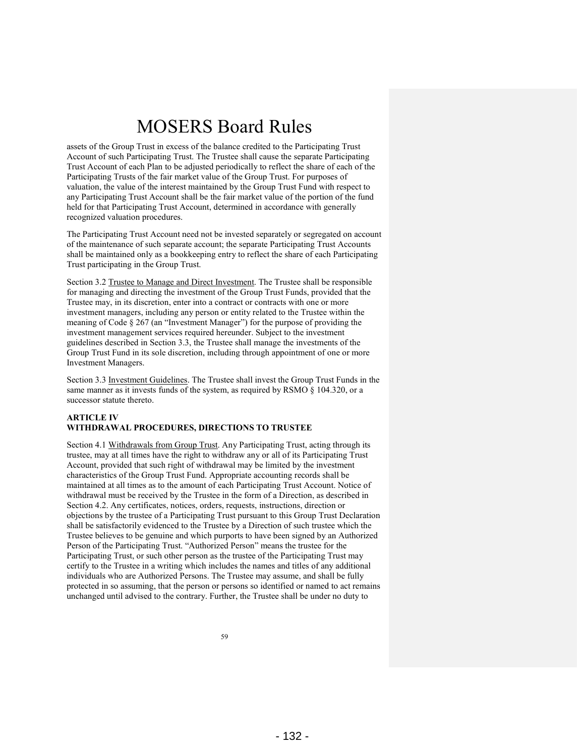assets of the Group Trust in excess of the balance credited to the Participating Trust Account of such Participating Trust. The Trustee shall cause the separate Participating Trust Account of each Plan to be adjusted periodically to reflect the share of each of the Participating Trusts of the fair market value of the Group Trust. For purposes of valuation, the value of the interest maintained by the Group Trust Fund with respect to any Participating Trust Account shall be the fair market value of the portion of the fund held for that Participating Trust Account, determined in accordance with generally recognized valuation procedures.

The Participating Trust Account need not be invested separately or segregated on account of the maintenance of such separate account; the separate Participating Trust Accounts shall be maintained only as a bookkeeping entry to reflect the share of each Participating Trust participating in the Group Trust.

Section 3.2 Trustee to Manage and Direct Investment. The Trustee shall be responsible for managing and directing the investment of the Group Trust Funds, provided that the Trustee may, in its discretion, enter into a contract or contracts with one or more investment managers, including any person or entity related to the Trustee within the meaning of Code § 267 (an "Investment Manager") for the purpose of providing the investment management services required hereunder. Subject to the investment guidelines described in Section 3.3, the Trustee shall manage the investments of the Group Trust Fund in its sole discretion, including through appointment of one or more Investment Managers.

Section 3.3 Investment Guidelines. The Trustee shall invest the Group Trust Funds in the same manner as it invests funds of the system, as required by RSMO § 104.320, or a successor statute thereto.

#### **ARTICLE IV WITHDRAWAL PROCEDURES, DIRECTIONS TO TRUSTEE**

Section 4.1 Withdrawals from Group Trust. Any Participating Trust, acting through its trustee, may at all times have the right to withdraw any or all of its Participating Trust Account, provided that such right of withdrawal may be limited by the investment characteristics of the Group Trust Fund. Appropriate accounting records shall be maintained at all times as to the amount of each Participating Trust Account. Notice of withdrawal must be received by the Trustee in the form of a Direction, as described in Section 4.2. Any certificates, notices, orders, requests, instructions, direction or objections by the trustee of a Participating Trust pursuant to this Group Trust Declaration shall be satisfactorily evidenced to the Trustee by a Direction of such trustee which the Trustee believes to be genuine and which purports to have been signed by an Authorized Person of the Participating Trust. "Authorized Person" means the trustee for the Participating Trust, or such other person as the trustee of the Participating Trust may certify to the Trustee in a writing which includes the names and titles of any additional individuals who are Authorized Persons. The Trustee may assume, and shall be fully protected in so assuming, that the person or persons so identified or named to act remains unchanged until advised to the contrary. Further, the Trustee shall be under no duty to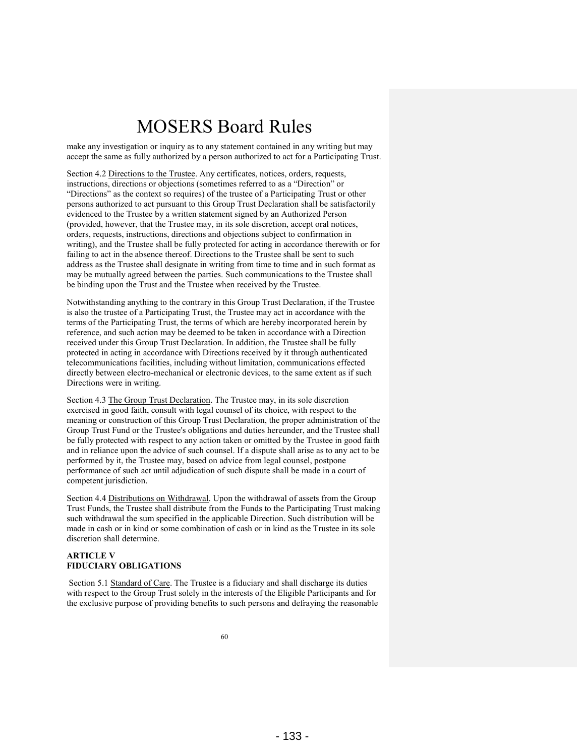make any investigation or inquiry as to any statement contained in any writing but may accept the same as fully authorized by a person authorized to act for a Participating Trust.

Section 4.2 Directions to the Trustee. Any certificates, notices, orders, requests, instructions, directions or objections (sometimes referred to as a "Direction" or "Directions" as the context so requires) of the trustee of a Participating Trust or other persons authorized to act pursuant to this Group Trust Declaration shall be satisfactorily evidenced to the Trustee by a written statement signed by an Authorized Person (provided, however, that the Trustee may, in its sole discretion, accept oral notices, orders, requests, instructions, directions and objections subject to confirmation in writing), and the Trustee shall be fully protected for acting in accordance therewith or for failing to act in the absence thereof. Directions to the Trustee shall be sent to such address as the Trustee shall designate in writing from time to time and in such format as may be mutually agreed between the parties. Such communications to the Trustee shall be binding upon the Trust and the Trustee when received by the Trustee.

Notwithstanding anything to the contrary in this Group Trust Declaration, if the Trustee is also the trustee of a Participating Trust, the Trustee may act in accordance with the terms of the Participating Trust, the terms of which are hereby incorporated herein by reference, and such action may be deemed to be taken in accordance with a Direction received under this Group Trust Declaration. In addition, the Trustee shall be fully protected in acting in accordance with Directions received by it through authenticated telecommunications facilities, including without limitation, communications effected directly between electro-mechanical or electronic devices, to the same extent as if such Directions were in writing.

Section 4.3 The Group Trust Declaration. The Trustee may, in its sole discretion exercised in good faith, consult with legal counsel of its choice, with respect to the meaning or construction of this Group Trust Declaration, the proper administration of the Group Trust Fund or the Trustee's obligations and duties hereunder, and the Trustee shall be fully protected with respect to any action taken or omitted by the Trustee in good faith and in reliance upon the advice of such counsel. If a dispute shall arise as to any act to be performed by it, the Trustee may, based on advice from legal counsel, postpone performance of such act until adjudication of such dispute shall be made in a court of competent jurisdiction.

Section 4.4 Distributions on Withdrawal. Upon the withdrawal of assets from the Group Trust Funds, the Trustee shall distribute from the Funds to the Participating Trust making such withdrawal the sum specified in the applicable Direction. Such distribution will be made in cash or in kind or some combination of cash or in kind as the Trustee in its sole discretion shall determine.

#### **ARTICLE V FIDUCIARY OBLIGATIONS**

Section 5.1 Standard of Care. The Trustee is a fiduciary and shall discharge its duties with respect to the Group Trust solely in the interests of the Eligible Participants and for the exclusive purpose of providing benefits to such persons and defraying the reasonable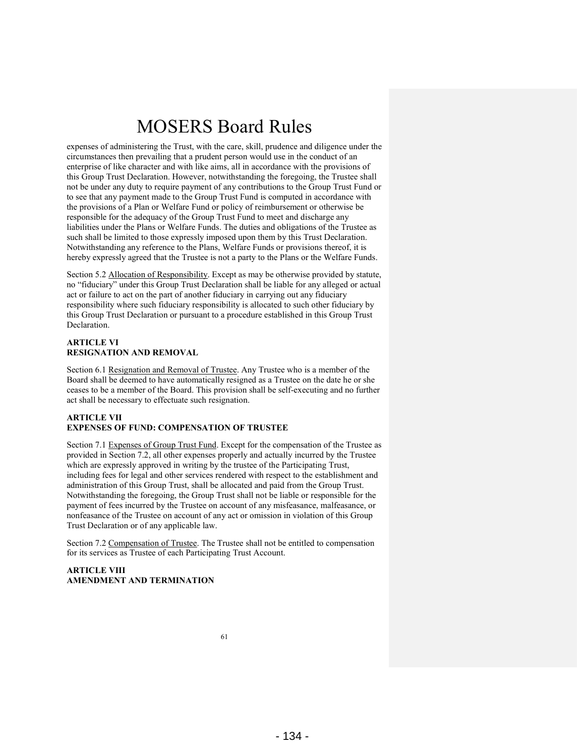expenses of administering the Trust, with the care, skill, prudence and diligence under the circumstances then prevailing that a prudent person would use in the conduct of an enterprise of like character and with like aims, all in accordance with the provisions of this Group Trust Declaration. However, notwithstanding the foregoing, the Trustee shall not be under any duty to require payment of any contributions to the Group Trust Fund or to see that any payment made to the Group Trust Fund is computed in accordance with the provisions of a Plan or Welfare Fund or policy of reimbursement or otherwise be responsible for the adequacy of the Group Trust Fund to meet and discharge any liabilities under the Plans or Welfare Funds. The duties and obligations of the Trustee as such shall be limited to those expressly imposed upon them by this Trust Declaration. Notwithstanding any reference to the Plans, Welfare Funds or provisions thereof, it is hereby expressly agreed that the Trustee is not a party to the Plans or the Welfare Funds.

Section 5.2 Allocation of Responsibility. Except as may be otherwise provided by statute, no "fiduciary" under this Group Trust Declaration shall be liable for any alleged or actual act or failure to act on the part of another fiduciary in carrying out any fiduciary responsibility where such fiduciary responsibility is allocated to such other fiduciary by this Group Trust Declaration or pursuant to a procedure established in this Group Trust Declaration.

#### **ARTICLE VI RESIGNATION AND REMOVAL**

Section 6.1 Resignation and Removal of Trustee. Any Trustee who is a member of the Board shall be deemed to have automatically resigned as a Trustee on the date he or she ceases to be a member of the Board. This provision shall be self-executing and no further act shall be necessary to effectuate such resignation.

#### **ARTICLE VII EXPENSES OF FUND: COMPENSATION OF TRUSTEE**

Section 7.1 Expenses of Group Trust Fund. Except for the compensation of the Trustee as provided in Section 7.2, all other expenses properly and actually incurred by the Trustee which are expressly approved in writing by the trustee of the Participating Trust, including fees for legal and other services rendered with respect to the establishment and administration of this Group Trust, shall be allocated and paid from the Group Trust. Notwithstanding the foregoing, the Group Trust shall not be liable or responsible for the payment of fees incurred by the Trustee on account of any misfeasance, malfeasance, or nonfeasance of the Trustee on account of any act or omission in violation of this Group Trust Declaration or of any applicable law.

Section 7.2 Compensation of Trustee. The Trustee shall not be entitled to compensation for its services as Trustee of each Participating Trust Account.

#### **ARTICLE VIII AMENDMENT AND TERMINATION**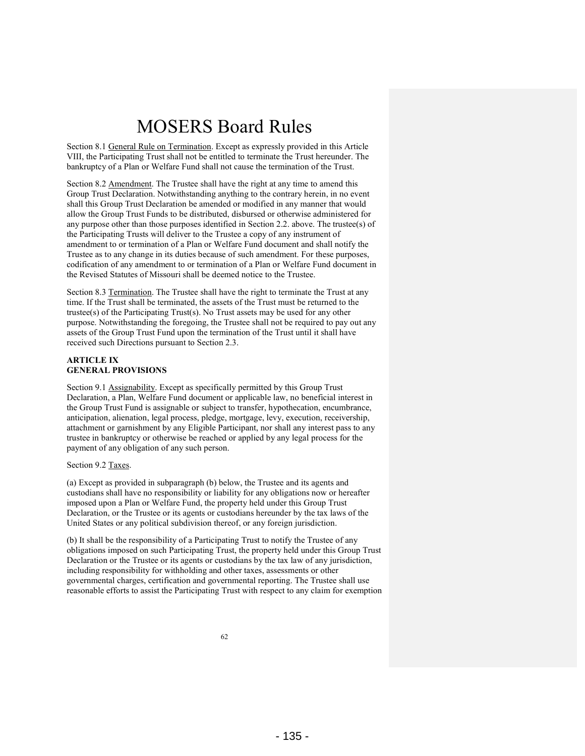Section 8.1 General Rule on Termination. Except as expressly provided in this Article VIII, the Participating Trust shall not be entitled to terminate the Trust hereunder. The bankruptcy of a Plan or Welfare Fund shall not cause the termination of the Trust.

Section 8.2 Amendment. The Trustee shall have the right at any time to amend this Group Trust Declaration. Notwithstanding anything to the contrary herein, in no event shall this Group Trust Declaration be amended or modified in any manner that would allow the Group Trust Funds to be distributed, disbursed or otherwise administered for any purpose other than those purposes identified in Section 2.2. above. The trustee(s) of the Participating Trusts will deliver to the Trustee a copy of any instrument of amendment to or termination of a Plan or Welfare Fund document and shall notify the Trustee as to any change in its duties because of such amendment. For these purposes, codification of any amendment to or termination of a Plan or Welfare Fund document in the Revised Statutes of Missouri shall be deemed notice to the Trustee.

Section 8.3 Termination. The Trustee shall have the right to terminate the Trust at any time. If the Trust shall be terminated, the assets of the Trust must be returned to the trustee(s) of the Participating Trust(s). No Trust assets may be used for any other purpose. Notwithstanding the foregoing, the Trustee shall not be required to pay out any assets of the Group Trust Fund upon the termination of the Trust until it shall have received such Directions pursuant to Section 2.3.

#### **ARTICLE IX GENERAL PROVISIONS**

Section 9.1 Assignability. Except as specifically permitted by this Group Trust Declaration, a Plan, Welfare Fund document or applicable law, no beneficial interest in the Group Trust Fund is assignable or subject to transfer, hypothecation, encumbrance, anticipation, alienation, legal process, pledge, mortgage, levy, execution, receivership, attachment or garnishment by any Eligible Participant, nor shall any interest pass to any trustee in bankruptcy or otherwise be reached or applied by any legal process for the payment of any obligation of any such person.

#### Section 9.2 Taxes.

(a) Except as provided in subparagraph (b) below, the Trustee and its agents and custodians shall have no responsibility or liability for any obligations now or hereafter imposed upon a Plan or Welfare Fund, the property held under this Group Trust Declaration, or the Trustee or its agents or custodians hereunder by the tax laws of the United States or any political subdivision thereof, or any foreign jurisdiction.

(b) It shall be the responsibility of a Participating Trust to notify the Trustee of any obligations imposed on such Participating Trust, the property held under this Group Trust Declaration or the Trustee or its agents or custodians by the tax law of any jurisdiction, including responsibility for withholding and other taxes, assessments or other governmental charges, certification and governmental reporting. The Trustee shall use reasonable efforts to assist the Participating Trust with respect to any claim for exemption